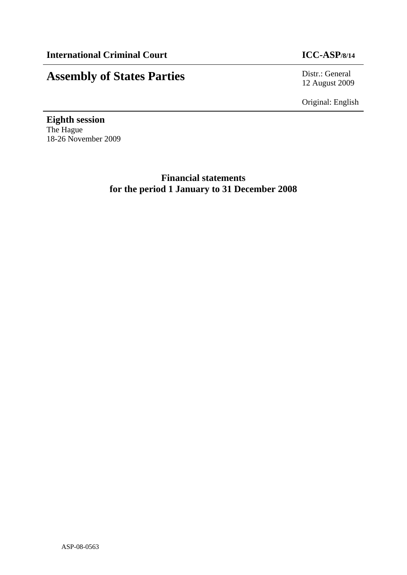# **Assembly of States Parties** Distr.: General

12 August 2009

Original: English

**Eighth session**  The Hague 18-26 November 2009

> **Financial statements for the period 1 January to 31 December 2008**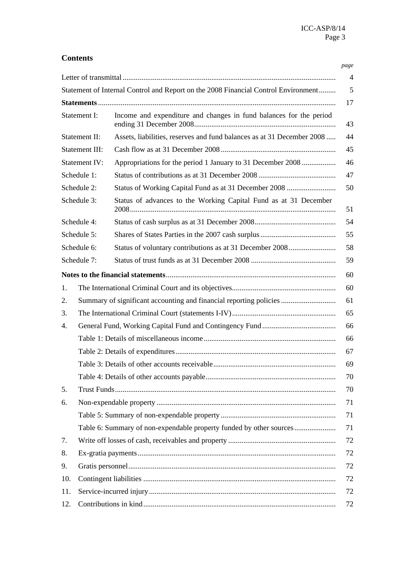|                |                                                                     |                                                                                    | page           |  |  |
|----------------|---------------------------------------------------------------------|------------------------------------------------------------------------------------|----------------|--|--|
|                |                                                                     |                                                                                    | $\overline{4}$ |  |  |
|                |                                                                     | Statement of Internal Control and Report on the 2008 Financial Control Environment | 5              |  |  |
|                |                                                                     |                                                                                    | 17             |  |  |
| Statement I:   |                                                                     | Income and expenditure and changes in fund balances for the period                 | 43             |  |  |
|                | Statement II:                                                       | Assets, liabilities, reserves and fund balances as at 31 December 2008             | 44             |  |  |
| Statement III: |                                                                     |                                                                                    |                |  |  |
|                | <b>Statement IV:</b>                                                | Appropriations for the period 1 January to 31 December 2008                        | 46             |  |  |
|                | Schedule 1:                                                         |                                                                                    | 47             |  |  |
|                | Schedule 2:                                                         | Status of Working Capital Fund as at 31 December 2008                              | 50             |  |  |
| Schedule 3:    |                                                                     | Status of advances to the Working Capital Fund as at 31 December                   |                |  |  |
|                | Schedule 4:                                                         |                                                                                    | 54             |  |  |
|                | Schedule 5:                                                         |                                                                                    | 55             |  |  |
|                | Schedule 6:                                                         | Status of voluntary contributions as at 31 December 2008                           | 58             |  |  |
|                | Schedule 7:                                                         |                                                                                    | 59             |  |  |
|                |                                                                     |                                                                                    | 60             |  |  |
| 1.             |                                                                     |                                                                                    | 60             |  |  |
| 2.             |                                                                     | Summary of significant accounting and financial reporting policies                 | 61             |  |  |
| 3.             |                                                                     |                                                                                    | 65             |  |  |
| 4.             |                                                                     |                                                                                    |                |  |  |
|                |                                                                     |                                                                                    |                |  |  |
|                |                                                                     |                                                                                    |                |  |  |
|                |                                                                     |                                                                                    |                |  |  |
|                |                                                                     |                                                                                    |                |  |  |
| 5.             |                                                                     |                                                                                    |                |  |  |
| 6.             |                                                                     |                                                                                    |                |  |  |
|                |                                                                     |                                                                                    | 71             |  |  |
|                | Table 6: Summary of non-expendable property funded by other sources |                                                                                    |                |  |  |
| 7.             |                                                                     |                                                                                    |                |  |  |
| 8.             |                                                                     |                                                                                    |                |  |  |
| 9.             |                                                                     |                                                                                    |                |  |  |
| 10.            |                                                                     |                                                                                    |                |  |  |
| 11.            |                                                                     |                                                                                    |                |  |  |
| 12.            |                                                                     |                                                                                    |                |  |  |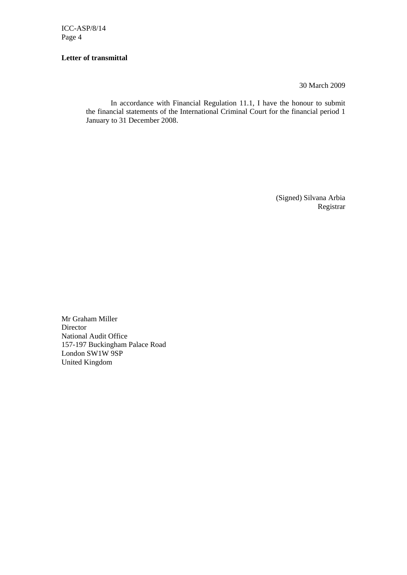### **Letter of transmittal**

30 March 2009

In accordance with Financial Regulation 11.1, I have the honour to submit the financial statements of the International Criminal Court for the financial period 1 January to 31 December 2008.

> (Signed) Silvana Arbia Registrar

Mr Graham Miller Director National Audit Office 157-197 Buckingham Palace Road London SW1W 9SP United Kingdom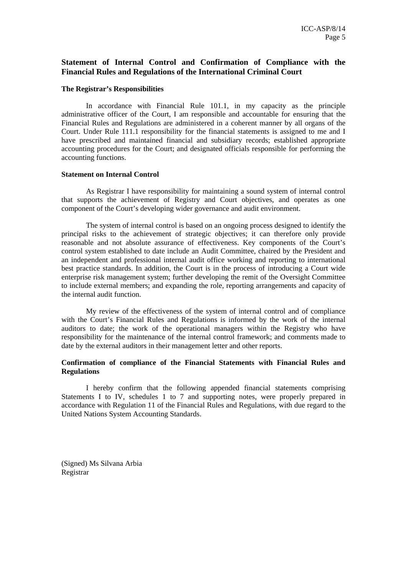## **Statement of Internal Control and Confirmation of Compliance with the Financial Rules and Regulations of the International Criminal Court**

#### **The Registrar's Responsibilities**

In accordance with Financial Rule 101.1, in my capacity as the principle administrative officer of the Court, I am responsible and accountable for ensuring that the Financial Rules and Regulations are administered in a coherent manner by all organs of the Court. Under Rule 111.1 responsibility for the financial statements is assigned to me and I have prescribed and maintained financial and subsidiary records; established appropriate accounting procedures for the Court; and designated officials responsible for performing the accounting functions.

#### **Statement on Internal Control**

As Registrar I have responsibility for maintaining a sound system of internal control that supports the achievement of Registry and Court objectives, and operates as one component of the Court's developing wider governance and audit environment.

The system of internal control is based on an ongoing process designed to identify the principal risks to the achievement of strategic objectives; it can therefore only provide reasonable and not absolute assurance of effectiveness. Key components of the Court's control system established to date include an Audit Committee, chaired by the President and an independent and professional internal audit office working and reporting to international best practice standards. In addition, the Court is in the process of introducing a Court wide enterprise risk management system; further developing the remit of the Oversight Committee to include external members; and expanding the role, reporting arrangements and capacity of the internal audit function.

My review of the effectiveness of the system of internal control and of compliance with the Court's Financial Rules and Regulations is informed by the work of the internal auditors to date; the work of the operational managers within the Registry who have responsibility for the maintenance of the internal control framework; and comments made to date by the external auditors in their management letter and other reports.

### **Confirmation of compliance of the Financial Statements with Financial Rules and Regulations**

I hereby confirm that the following appended financial statements comprising Statements I to IV, schedules 1 to 7 and supporting notes, were properly prepared in accordance with Regulation 11 of the Financial Rules and Regulations, with due regard to the United Nations System Accounting Standards.

(Signed) Ms Silvana Arbia Registrar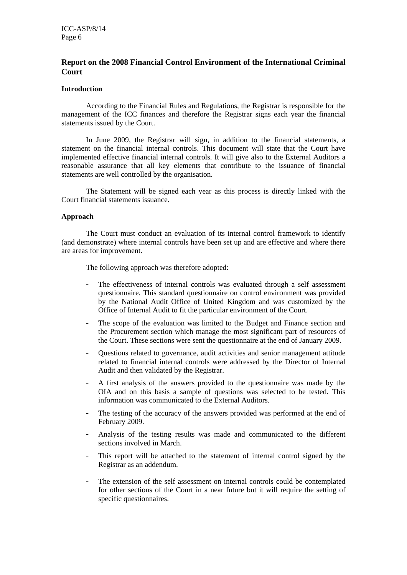## **Report on the 2008 Financial Control Environment of the International Criminal Court**

## **Introduction**

According to the Financial Rules and Regulations, the Registrar is responsible for the management of the ICC finances and therefore the Registrar signs each year the financial statements issued by the Court.

In June 2009, the Registrar will sign, in addition to the financial statements, a statement on the financial internal controls. This document will state that the Court have implemented effective financial internal controls. It will give also to the External Auditors a reasonable assurance that all key elements that contribute to the issuance of financial statements are well controlled by the organisation.

The Statement will be signed each year as this process is directly linked with the Court financial statements issuance.

#### **Approach**

The Court must conduct an evaluation of its internal control framework to identify (and demonstrate) where internal controls have been set up and are effective and where there are areas for improvement.

The following approach was therefore adopted:

- The effectiveness of internal controls was evaluated through a self assessment questionnaire. This standard questionnaire on control environment was provided by the National Audit Office of United Kingdom and was customized by the Office of Internal Audit to fit the particular environment of the Court.
- The scope of the evaluation was limited to the Budget and Finance section and the Procurement section which manage the most significant part of resources of the Court. These sections were sent the questionnaire at the end of January 2009.
- Questions related to governance, audit activities and senior management attitude related to financial internal controls were addressed by the Director of Internal Audit and then validated by the Registrar.
- A first analysis of the answers provided to the questionnaire was made by the OIA and on this basis a sample of questions was selected to be tested. This information was communicated to the External Auditors.
- The testing of the accuracy of the answers provided was performed at the end of February 2009.
- Analysis of the testing results was made and communicated to the different sections involved in March.
- This report will be attached to the statement of internal control signed by the Registrar as an addendum.
- The extension of the self assessment on internal controls could be contemplated for other sections of the Court in a near future but it will require the setting of specific questionnaires.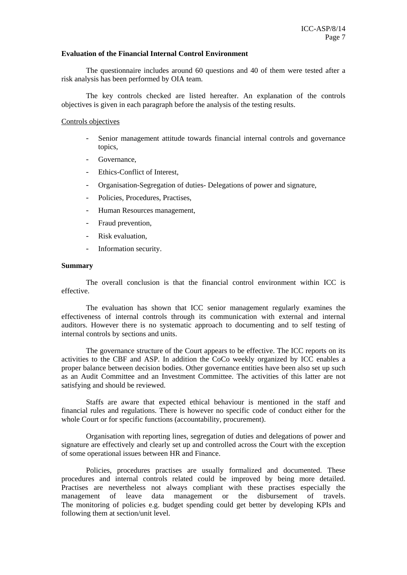#### **Evaluation of the Financial Internal Control Environment**

The questionnaire includes around 60 questions and 40 of them were tested after a risk analysis has been performed by OIA team.

The key controls checked are listed hereafter. An explanation of the controls objectives is given in each paragraph before the analysis of the testing results.

#### Controls objectives

- Senior management attitude towards financial internal controls and governance topics,
- Governance.
- Ethics-Conflict of Interest.
- Organisation-Segregation of duties- Delegations of power and signature,
- Policies, Procedures, Practises,
- Human Resources management,
- Fraud prevention,
- Risk evaluation.
- Information security.

#### **Summary**

The overall conclusion is that the financial control environment within ICC is effective.

The evaluation has shown that ICC senior management regularly examines the effectiveness of internal controls through its communication with external and internal auditors. However there is no systematic approach to documenting and to self testing of internal controls by sections and units.

The governance structure of the Court appears to be effective. The ICC reports on its activities to the CBF and ASP. In addition the CoCo weekly organized by ICC enables a proper balance between decision bodies. Other governance entities have been also set up such as an Audit Committee and an Investment Committee. The activities of this latter are not satisfying and should be reviewed.

Staffs are aware that expected ethical behaviour is mentioned in the staff and financial rules and regulations. There is however no specific code of conduct either for the whole Court or for specific functions (accountability, procurement).

Organisation with reporting lines, segregation of duties and delegations of power and signature are effectively and clearly set up and controlled across the Court with the exception of some operational issues between HR and Finance.

Policies, procedures practises are usually formalized and documented. These procedures and internal controls related could be improved by being more detailed. Practises are nevertheless not always compliant with these practises especially the management of leave data management or the disbursement of travels. The monitoring of policies e.g. budget spending could get better by developing KPIs and following them at section/unit level.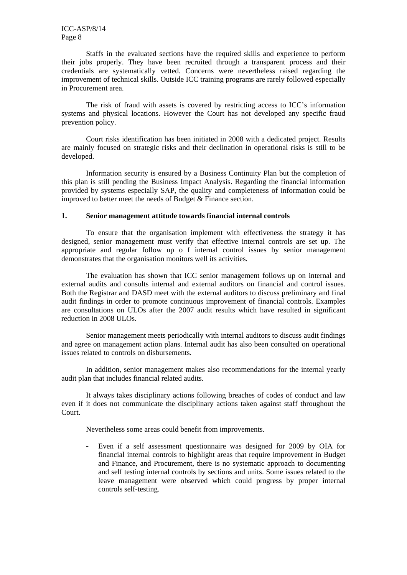Staffs in the evaluated sections have the required skills and experience to perform their jobs properly. They have been recruited through a transparent process and their credentials are systematically vetted. Concerns were nevertheless raised regarding the improvement of technical skills. Outside ICC training programs are rarely followed especially in Procurement area.

The risk of fraud with assets is covered by restricting access to ICC's information systems and physical locations. However the Court has not developed any specific fraud prevention policy.

Court risks identification has been initiated in 2008 with a dedicated project. Results are mainly focused on strategic risks and their declination in operational risks is still to be developed.

Information security is ensured by a Business Continuity Plan but the completion of this plan is still pending the Business Impact Analysis. Regarding the financial information provided by systems especially SAP, the quality and completeness of information could be improved to better meet the needs of Budget & Finance section.

#### **1. Senior management attitude towards financial internal controls**

To ensure that the organisation implement with effectiveness the strategy it has designed, senior management must verify that effective internal controls are set up. The appropriate and regular follow up o f internal control issues by senior management demonstrates that the organisation monitors well its activities.

The evaluation has shown that ICC senior management follows up on internal and external audits and consults internal and external auditors on financial and control issues. Both the Registrar and DASD meet with the external auditors to discuss preliminary and final audit findings in order to promote continuous improvement of financial controls. Examples are consultations on ULOs after the 2007 audit results which have resulted in significant reduction in 2008 ULOs.

Senior management meets periodically with internal auditors to discuss audit findings and agree on management action plans. Internal audit has also been consulted on operational issues related to controls on disbursements.

In addition, senior management makes also recommendations for the internal yearly audit plan that includes financial related audits.

It always takes disciplinary actions following breaches of codes of conduct and law even if it does not communicate the disciplinary actions taken against staff throughout the Court.

Nevertheless some areas could benefit from improvements.

- Even if a self assessment questionnaire was designed for 2009 by OIA for financial internal controls to highlight areas that require improvement in Budget and Finance, and Procurement, there is no systematic approach to documenting and self testing internal controls by sections and units. Some issues related to the leave management were observed which could progress by proper internal controls self-testing.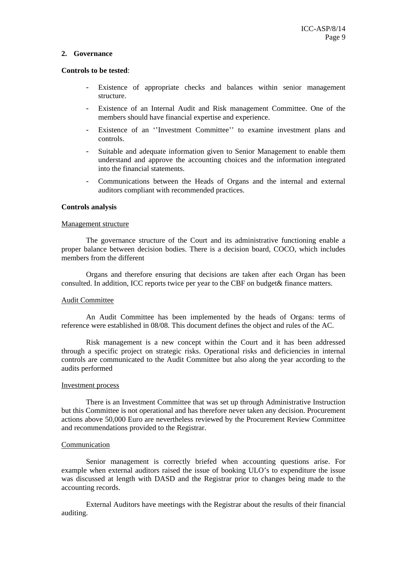#### **2. Governance**

#### **Controls to be tested**:

- Existence of appropriate checks and balances within senior management structure.
- Existence of an Internal Audit and Risk management Committee. One of the members should have financial expertise and experience.
- Existence of an "Investment Committee" to examine investment plans and controls.
- Suitable and adequate information given to Senior Management to enable them understand and approve the accounting choices and the information integrated into the financial statements.
- Communications between the Heads of Organs and the internal and external auditors compliant with recommended practices.

#### **Controls analysis**

#### Management structure

The governance structure of the Court and its administrative functioning enable a proper balance between decision bodies. There is a decision board, COCO, which includes members from the different

Organs and therefore ensuring that decisions are taken after each Organ has been consulted. In addition, ICC reports twice per year to the CBF on budget& finance matters.

#### Audit Committee

An Audit Committee has been implemented by the heads of Organs: terms of reference were established in 08/08. This document defines the object and rules of the AC.

Risk management is a new concept within the Court and it has been addressed through a specific project on strategic risks. Operational risks and deficiencies in internal controls are communicated to the Audit Committee but also along the year according to the audits performed

#### Investment process

There is an Investment Committee that was set up through Administrative Instruction but this Committee is not operational and has therefore never taken any decision. Procurement actions above 50,000 Euro are nevertheless reviewed by the Procurement Review Committee and recommendations provided to the Registrar.

#### Communication

Senior management is correctly briefed when accounting questions arise. For example when external auditors raised the issue of booking ULO's to expenditure the issue was discussed at length with DASD and the Registrar prior to changes being made to the accounting records.

External Auditors have meetings with the Registrar about the results of their financial auditing.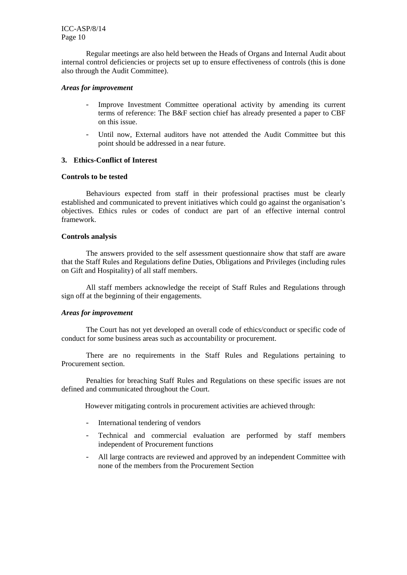Regular meetings are also held between the Heads of Organs and Internal Audit about internal control deficiencies or projects set up to ensure effectiveness of controls (this is done also through the Audit Committee).

#### *Areas for improvement*

- Improve Investment Committee operational activity by amending its current terms of reference: The B&F section chief has already presented a paper to CBF on this issue.
- Until now, External auditors have not attended the Audit Committee but this point should be addressed in a near future.

#### **3. Ethics-Conflict of Interest**

#### **Controls to be tested**

Behaviours expected from staff in their professional practises must be clearly established and communicated to prevent initiatives which could go against the organisation's objectives. Ethics rules or codes of conduct are part of an effective internal control framework.

#### **Controls analysis**

The answers provided to the self assessment questionnaire show that staff are aware that the Staff Rules and Regulations define Duties, Obligations and Privileges (including rules on Gift and Hospitality) of all staff members.

All staff members acknowledge the receipt of Staff Rules and Regulations through sign off at the beginning of their engagements.

#### *Areas for improvement*

The Court has not yet developed an overall code of ethics/conduct or specific code of conduct for some business areas such as accountability or procurement.

There are no requirements in the Staff Rules and Regulations pertaining to Procurement section.

Penalties for breaching Staff Rules and Regulations on these specific issues are not defined and communicated throughout the Court.

However mitigating controls in procurement activities are achieved through:

- International tendering of vendors
- Technical and commercial evaluation are performed by staff members independent of Procurement functions
- All large contracts are reviewed and approved by an independent Committee with none of the members from the Procurement Section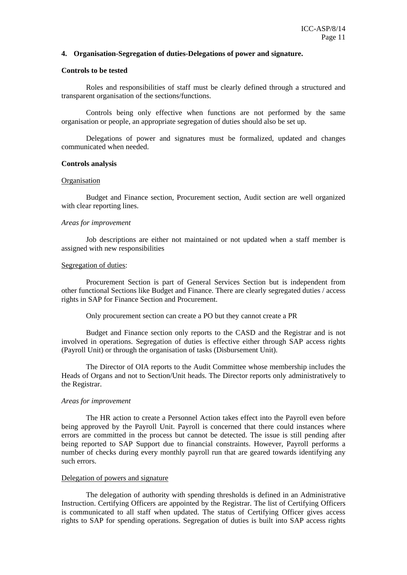#### **4. Organisation-Segregation of duties-Delegations of power and signature.**

#### **Controls to be tested**

Roles and responsibilities of staff must be clearly defined through a structured and transparent organisation of the sections/functions.

Controls being only effective when functions are not performed by the same organisation or people, an appropriate segregation of duties should also be set up.

Delegations of power and signatures must be formalized, updated and changes communicated when needed.

#### **Controls analysis**

#### **Organisation**

Budget and Finance section, Procurement section, Audit section are well organized with clear reporting lines.

#### *Areas for improvement*

Job descriptions are either not maintained or not updated when a staff member is assigned with new responsibilities

#### Segregation of duties:

Procurement Section is part of General Services Section but is independent from other functional Sections like Budget and Finance. There are clearly segregated duties / access rights in SAP for Finance Section and Procurement.

Only procurement section can create a PO but they cannot create a PR

Budget and Finance section only reports to the CASD and the Registrar and is not involved in operations. Segregation of duties is effective either through SAP access rights (Payroll Unit) or through the organisation of tasks (Disbursement Unit).

The Director of OIA reports to the Audit Committee whose membership includes the Heads of Organs and not to Section/Unit heads. The Director reports only administratively to the Registrar.

#### *Areas for improvement*

The HR action to create a Personnel Action takes effect into the Payroll even before being approved by the Payroll Unit. Payroll is concerned that there could instances where errors are committed in the process but cannot be detected. The issue is still pending after being reported to SAP Support due to financial constraints. However, Payroll performs a number of checks during every monthly payroll run that are geared towards identifying any such errors.

#### Delegation of powers and signature

The delegation of authority with spending thresholds is defined in an Administrative Instruction. Certifying Officers are appointed by the Registrar. The list of Certifying Officers is communicated to all staff when updated. The status of Certifying Officer gives access rights to SAP for spending operations. Segregation of duties is built into SAP access rights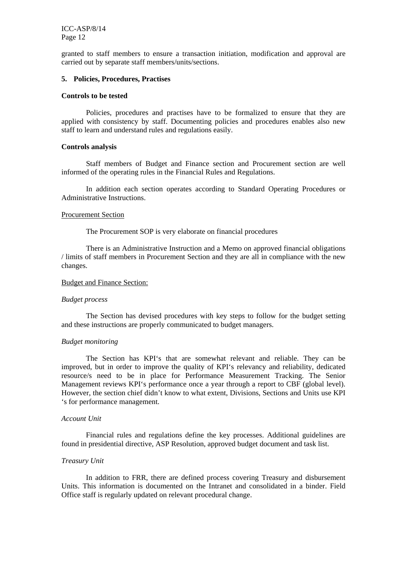granted to staff members to ensure a transaction initiation, modification and approval are carried out by separate staff members/units/sections.

#### **5. Policies, Procedures, Practises**

#### **Controls to be tested**

Policies, procedures and practises have to be formalized to ensure that they are applied with consistency by staff. Documenting policies and procedures enables also new staff to learn and understand rules and regulations easily.

#### **Controls analysis**

Staff members of Budget and Finance section and Procurement section are well informed of the operating rules in the Financial Rules and Regulations.

In addition each section operates according to Standard Operating Procedures or Administrative Instructions.

#### Procurement Section

The Procurement SOP is very elaborate on financial procedures

There is an Administrative Instruction and a Memo on approved financial obligations / limits of staff members in Procurement Section and they are all in compliance with the new changes.

#### Budget and Finance Section:

#### *Budget process*

The Section has devised procedures with key steps to follow for the budget setting and these instructions are properly communicated to budget managers.

#### *Budget monitoring*

The Section has KPI's that are somewhat relevant and reliable. They can be improved, but in order to improve the quality of KPI's relevancy and reliability, dedicated resource/s need to be in place for Performance Measurement Tracking. The Senior Management reviews KPI's performance once a year through a report to CBF (global level). However, the section chief didn't know to what extent, Divisions, Sections and Units use KPI 's for performance management.

#### *Account Unit*

Financial rules and regulations define the key processes. Additional guidelines are found in presidential directive, ASP Resolution, approved budget document and task list.

#### *Treasury Unit*

In addition to FRR, there are defined process covering Treasury and disbursement Units. This information is documented on the Intranet and consolidated in a binder. Field Office staff is regularly updated on relevant procedural change.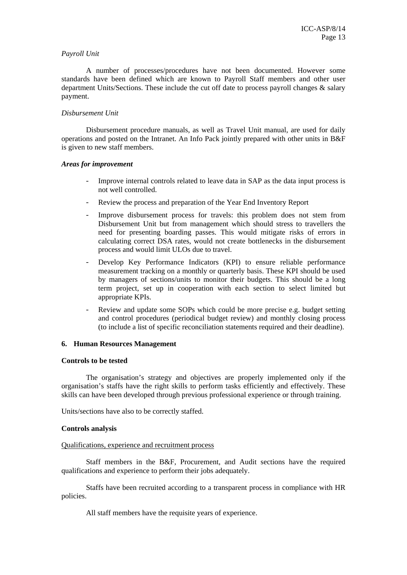#### *Payroll Unit*

A number of processes/procedures have not been documented. However some standards have been defined which are known to Payroll Staff members and other user department Units/Sections. These include the cut off date to process payroll changes & salary payment.

#### *Disbursement Unit*

Disbursement procedure manuals, as well as Travel Unit manual, are used for daily operations and posted on the Intranet. An Info Pack jointly prepared with other units in B&F is given to new staff members.

#### *Areas for improvement*

- Improve internal controls related to leave data in SAP as the data input process is not well controlled.
- Review the process and preparation of the Year End Inventory Report
- Improve disbursement process for travels: this problem does not stem from Disbursement Unit but from management which should stress to travellers the need for presenting boarding passes. This would mitigate risks of errors in calculating correct DSA rates, would not create bottlenecks in the disbursement process and would limit ULOs due to travel.
- Develop Key Performance Indicators (KPI) to ensure reliable performance measurement tracking on a monthly or quarterly basis. These KPI should be used by managers of sections/units to monitor their budgets. This should be a long term project, set up in cooperation with each section to select limited but appropriate KPIs.
- Review and update some SOPs which could be more precise e.g. budget setting and control procedures (periodical budget review) and monthly closing process (to include a list of specific reconciliation statements required and their deadline).

## **6. Human Resources Management**

#### **Controls to be tested**

The organisation's strategy and objectives are properly implemented only if the organisation's staffs have the right skills to perform tasks efficiently and effectively. These skills can have been developed through previous professional experience or through training.

Units/sections have also to be correctly staffed.

#### **Controls analysis**

#### Qualifications, experience and recruitment process

Staff members in the B&F, Procurement, and Audit sections have the required qualifications and experience to perform their jobs adequately.

Staffs have been recruited according to a transparent process in compliance with HR policies.

All staff members have the requisite years of experience.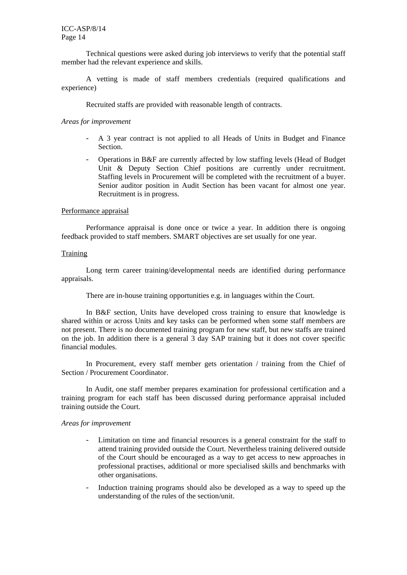Technical questions were asked during job interviews to verify that the potential staff member had the relevant experience and skills.

A vetting is made of staff members credentials (required qualifications and experience)

Recruited staffs are provided with reasonable length of contracts.

#### *Areas for improvement*

- A 3 year contract is not applied to all Heads of Units in Budget and Finance Section.
- Operations in B&F are currently affected by low staffing levels (Head of Budget Unit & Deputy Section Chief positions are currently under recruitment. Staffing levels in Procurement will be completed with the recruitment of a buyer. Senior auditor position in Audit Section has been vacant for almost one year. Recruitment is in progress.

#### Performance appraisal

Performance appraisal is done once or twice a year. In addition there is ongoing feedback provided to staff members. SMART objectives are set usually for one year.

## **Training**

Long term career training/developmental needs are identified during performance appraisals.

There are in-house training opportunities e.g. in languages within the Court.

In B&F section, Units have developed cross training to ensure that knowledge is shared within or across Units and key tasks can be performed when some staff members are not present. There is no documented training program for new staff, but new staffs are trained on the job. In addition there is a general 3 day SAP training but it does not cover specific financial modules.

In Procurement, every staff member gets orientation / training from the Chief of Section / Procurement Coordinator.

In Audit, one staff member prepares examination for professional certification and a training program for each staff has been discussed during performance appraisal included training outside the Court.

#### *Areas for improvement*

- Limitation on time and financial resources is a general constraint for the staff to attend training provided outside the Court. Nevertheless training delivered outside of the Court should be encouraged as a way to get access to new approaches in professional practises, additional or more specialised skills and benchmarks with other organisations.
- Induction training programs should also be developed as a way to speed up the understanding of the rules of the section/unit.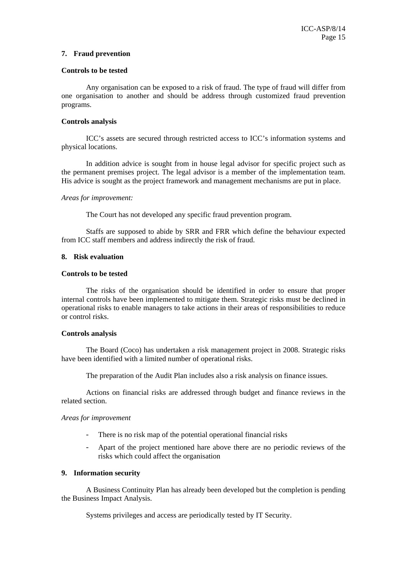#### **7. Fraud prevention**

#### **Controls to be tested**

Any organisation can be exposed to a risk of fraud. The type of fraud will differ from one organisation to another and should be address through customized fraud prevention programs.

#### **Controls analysis**

ICC's assets are secured through restricted access to ICC's information systems and physical locations.

In addition advice is sought from in house legal advisor for specific project such as the permanent premises project. The legal advisor is a member of the implementation team. His advice is sought as the project framework and management mechanisms are put in place.

#### *Areas for improvement:*

The Court has not developed any specific fraud prevention program.

Staffs are supposed to abide by SRR and FRR which define the behaviour expected from ICC staff members and address indirectly the risk of fraud.

#### **8. Risk evaluation**

#### **Controls to be tested**

The risks of the organisation should be identified in order to ensure that proper internal controls have been implemented to mitigate them. Strategic risks must be declined in operational risks to enable managers to take actions in their areas of responsibilities to reduce or control risks.

#### **Controls analysis**

The Board (Coco) has undertaken a risk management project in 2008. Strategic risks have been identified with a limited number of operational risks.

The preparation of the Audit Plan includes also a risk analysis on finance issues.

Actions on financial risks are addressed through budget and finance reviews in the related section.

#### *Areas for improvement*

- There is no risk map of the potential operational financial risks
- Apart of the project mentioned hare above there are no periodic reviews of the risks which could affect the organisation

#### **9. Information security**

A Business Continuity Plan has already been developed but the completion is pending the Business Impact Analysis.

Systems privileges and access are periodically tested by IT Security.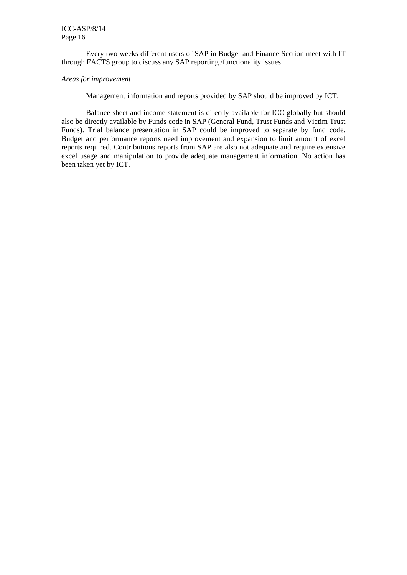Every two weeks different users of SAP in Budget and Finance Section meet with IT through FACTS group to discuss any SAP reporting /functionality issues.

#### *Areas for improvement*

Management information and reports provided by SAP should be improved by ICT:

Balance sheet and income statement is directly available for ICC globally but should also be directly available by Funds code in SAP (General Fund, Trust Funds and Victim Trust Funds). Trial balance presentation in SAP could be improved to separate by fund code. Budget and performance reports need improvement and expansion to limit amount of excel reports required. Contributions reports from SAP are also not adequate and require extensive excel usage and manipulation to provide adequate management information. No action has been taken yet by ICT.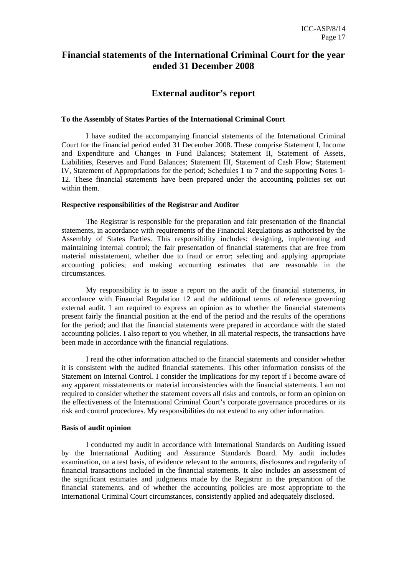## **Financial statements of the International Criminal Court for the year ended 31 December 2008**

## **External auditor's report**

#### **To the Assembly of States Parties of the International Criminal Court**

I have audited the accompanying financial statements of the International Criminal Court for the financial period ended 31 December 2008. These comprise Statement I, Income and Expenditure and Changes in Fund Balances; Statement II, Statement of Assets, Liabilities, Reserves and Fund Balances; Statement III, Statement of Cash Flow; Statement IV, Statement of Appropriations for the period; Schedules 1 to 7 and the supporting Notes 1- 12. These financial statements have been prepared under the accounting policies set out within them.

#### **Respective responsibilities of the Registrar and Auditor**

The Registrar is responsible for the preparation and fair presentation of the financial statements, in accordance with requirements of the Financial Regulations as authorised by the Assembly of States Parties. This responsibility includes: designing, implementing and maintaining internal control; the fair presentation of financial statements that are free from material misstatement, whether due to fraud or error; selecting and applying appropriate accounting policies; and making accounting estimates that are reasonable in the circumstances.

My responsibility is to issue a report on the audit of the financial statements, in accordance with Financial Regulation 12 and the additional terms of reference governing external audit. I am required to express an opinion as to whether the financial statements present fairly the financial position at the end of the period and the results of the operations for the period; and that the financial statements were prepared in accordance with the stated accounting policies. I also report to you whether, in all material respects, the transactions have been made in accordance with the financial regulations.

I read the other information attached to the financial statements and consider whether it is consistent with the audited financial statements. This other information consists of the Statement on Internal Control. I consider the implications for my report if I become aware of any apparent misstatements or material inconsistencies with the financial statements. I am not required to consider whether the statement covers all risks and controls, or form an opinion on the effectiveness of the International Criminal Court's corporate governance procedures or its risk and control procedures. My responsibilities do not extend to any other information.

#### **Basis of audit opinion**

I conducted my audit in accordance with International Standards on Auditing issued by the International Auditing and Assurance Standards Board. My audit includes examination, on a test basis, of evidence relevant to the amounts, disclosures and regularity of financial transactions included in the financial statements. It also includes an assessment of the significant estimates and judgments made by the Registrar in the preparation of the financial statements, and of whether the accounting policies are most appropriate to the International Criminal Court circumstances, consistently applied and adequately disclosed.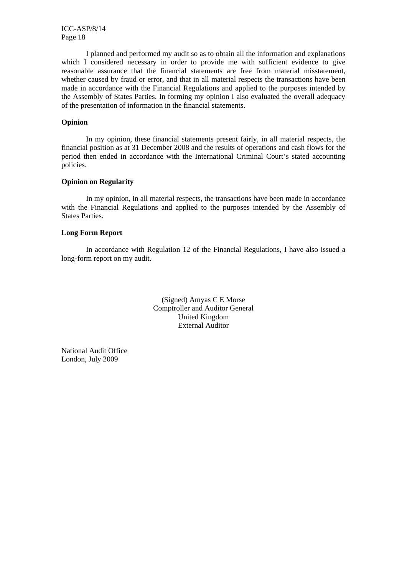I planned and performed my audit so as to obtain all the information and explanations which I considered necessary in order to provide me with sufficient evidence to give reasonable assurance that the financial statements are free from material misstatement, whether caused by fraud or error, and that in all material respects the transactions have been made in accordance with the Financial Regulations and applied to the purposes intended by the Assembly of States Parties. In forming my opinion I also evaluated the overall adequacy of the presentation of information in the financial statements.

#### **Opinion**

In my opinion, these financial statements present fairly, in all material respects, the financial position as at 31 December 2008 and the results of operations and cash flows for the period then ended in accordance with the International Criminal Court's stated accounting policies.

#### **Opinion on Regularity**

In my opinion, in all material respects, the transactions have been made in accordance with the Financial Regulations and applied to the purposes intended by the Assembly of States Parties.

#### **Long Form Report**

In accordance with Regulation 12 of the Financial Regulations, I have also issued a long-form report on my audit.

> (Signed) Amyas C E Morse Comptroller and Auditor General United Kingdom External Auditor

National Audit Office London, July 2009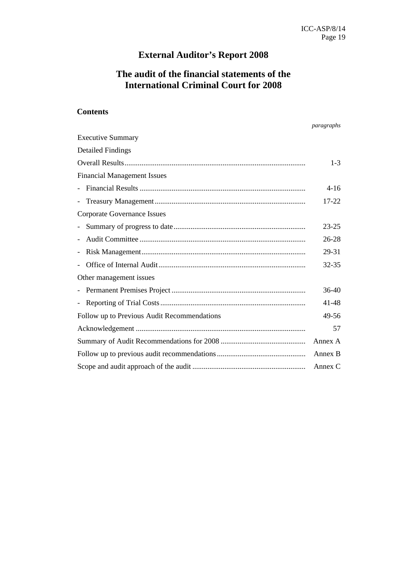## **External Auditor's Report 2008**

## **The audit of the financial statements of the International Criminal Court for 2008**

## **Contents**

*paragraphs* 

| <b>Executive Summary</b>                    |           |  |  |
|---------------------------------------------|-----------|--|--|
| <b>Detailed Findings</b>                    |           |  |  |
|                                             | $1 - 3$   |  |  |
| <b>Financial Management Issues</b>          |           |  |  |
|                                             | $4 - 16$  |  |  |
|                                             | 17-22     |  |  |
| Corporate Governance Issues                 |           |  |  |
|                                             | $23 - 25$ |  |  |
|                                             | 26-28     |  |  |
|                                             | 29-31     |  |  |
|                                             | $32 - 35$ |  |  |
| Other management issues                     |           |  |  |
|                                             | $36-40$   |  |  |
| $\overline{\phantom{a}}$                    | 41-48     |  |  |
| Follow up to Previous Audit Recommendations | 49-56     |  |  |
|                                             | 57        |  |  |
|                                             |           |  |  |
|                                             |           |  |  |
|                                             |           |  |  |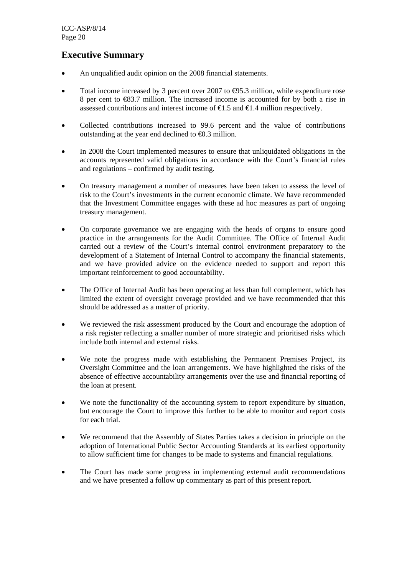## **Executive Summary**

- An unqualified audit opinion on the 2008 financial statements.
- Total income increased by 3 percent over 2007 to  $\Theta$ 5.3 million, while expenditure rose 8 per cent to €83.7 million. The increased income is accounted for by both a rise in assessed contributions and interest income of  $\epsilon$ 1.5 and  $\epsilon$ 1.4 million respectively.
- Collected contributions increased to 99.6 percent and the value of contributions outstanding at the year end declined to  $\Theta$ .3 million.
- In 2008 the Court implemented measures to ensure that unliquidated obligations in the accounts represented valid obligations in accordance with the Court's financial rules and regulations – confirmed by audit testing.
- On treasury management a number of measures have been taken to assess the level of risk to the Court's investments in the current economic climate. We have recommended that the Investment Committee engages with these ad hoc measures as part of ongoing treasury management.
- On corporate governance we are engaging with the heads of organs to ensure good practice in the arrangements for the Audit Committee. The Office of Internal Audit carried out a review of the Court's internal control environment preparatory to the development of a Statement of Internal Control to accompany the financial statements, and we have provided advice on the evidence needed to support and report this important reinforcement to good accountability.
- The Office of Internal Audit has been operating at less than full complement, which has limited the extent of oversight coverage provided and we have recommended that this should be addressed as a matter of priority.
- We reviewed the risk assessment produced by the Court and encourage the adoption of a risk register reflecting a smaller number of more strategic and prioritised risks which include both internal and external risks.
- We note the progress made with establishing the Permanent Premises Project, its Oversight Committee and the loan arrangements. We have highlighted the risks of the absence of effective accountability arrangements over the use and financial reporting of the loan at present.
- We note the functionality of the accounting system to report expenditure by situation, but encourage the Court to improve this further to be able to monitor and report costs for each trial.
- We recommend that the Assembly of States Parties takes a decision in principle on the adoption of International Public Sector Accounting Standards at its earliest opportunity to allow sufficient time for changes to be made to systems and financial regulations.
- The Court has made some progress in implementing external audit recommendations and we have presented a follow up commentary as part of this present report.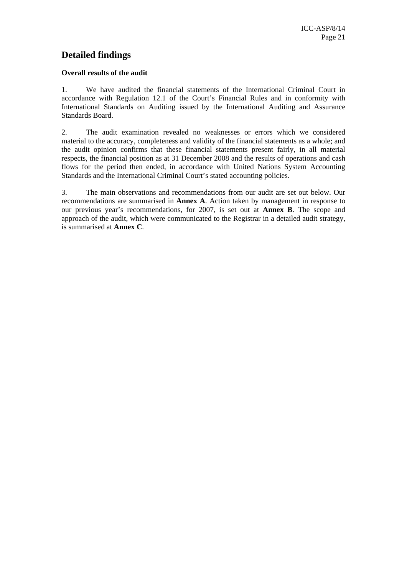## **Detailed findings**

## **Overall results of the audit**

1. We have audited the financial statements of the International Criminal Court in accordance with Regulation 12.1 of the Court's Financial Rules and in conformity with International Standards on Auditing issued by the International Auditing and Assurance Standards Board.

2. The audit examination revealed no weaknesses or errors which we considered material to the accuracy, completeness and validity of the financial statements as a whole; and the audit opinion confirms that these financial statements present fairly, in all material respects, the financial position as at 31 December 2008 and the results of operations and cash flows for the period then ended, in accordance with United Nations System Accounting Standards and the International Criminal Court's stated accounting policies.

3. The main observations and recommendations from our audit are set out below. Our recommendations are summarised in **Annex A**. Action taken by management in response to our previous year's recommendations, for 2007, is set out at **Annex B**. The scope and approach of the audit, which were communicated to the Registrar in a detailed audit strategy, is summarised at **Annex C**.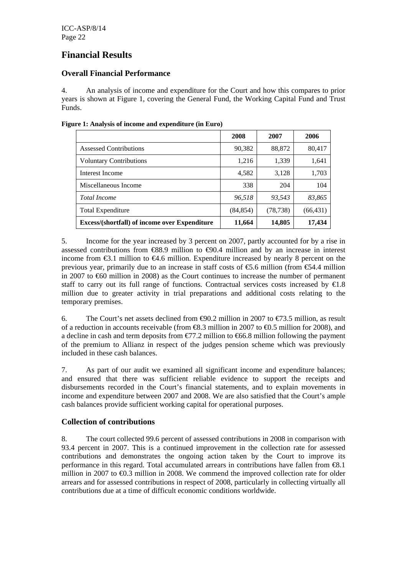## **Financial Results**

## **Overall Financial Performance**

4. An analysis of income and expenditure for the Court and how this compares to prior years is shown at Figure 1, covering the General Fund, the Working Capital Fund and Trust Funds.

|                                                      | 2008      | 2007      | 2006      |
|------------------------------------------------------|-----------|-----------|-----------|
| <b>Assessed Contributions</b>                        | 90,382    | 88,872    | 80,417    |
| <b>Voluntary Contributions</b>                       | 1,216     | 1,339     | 1,641     |
| Interest Income                                      | 4,582     | 3,128     | 1,703     |
| Miscellaneous Income                                 | 338       | 204       | 104       |
| <b>Total Income</b>                                  | 96.518    | 93,543    | 83,865    |
| <b>Total Expenditure</b>                             | (84, 854) | (78, 738) | (66, 431) |
| <b>Excess/(shortfall) of income over Expenditure</b> | 11,664    | 14,805    | 17,434    |

**Figure 1: Analysis of income and expenditure (in Euro)** 

5. Income for the year increased by 3 percent on 2007, partly accounted for by a rise in assessed contributions from €88.9 million to €90.4 million and by an increase in interest income from  $\epsilon 3.1$  million to  $\epsilon 4.6$  million. Expenditure increased by nearly 8 percent on the previous year, primarily due to an increase in staff costs of  $\epsilon$ 5.6 million (from  $\epsilon$ 54.4 million in 2007 to €60 million in 2008) as the Court continues to increase the number of permanent staff to carry out its full range of functions. Contractual services costs increased by  $\epsilon 1.8$ million due to greater activity in trial preparations and additional costs relating to the temporary premises.

6. The Court's net assets declined from  $\Theta$ 0.2 million in 2007 to  $\epsilon$ 73.5 million, as result of a reduction in accounts receivable (from  $\mathcal{R}3.3$  million in 2007 to  $\mathcal{L}0.5$  million for 2008), and a decline in cash and term deposits from  $\epsilon$ 77.2 million to  $\epsilon$ 66.8 million following the payment of the premium to Allianz in respect of the judges pension scheme which was previously included in these cash balances.

7. As part of our audit we examined all significant income and expenditure balances; and ensured that there was sufficient reliable evidence to support the receipts and disbursements recorded in the Court's financial statements, and to explain movements in income and expenditure between 2007 and 2008. We are also satisfied that the Court's ample cash balances provide sufficient working capital for operational purposes.

## **Collection of contributions**

8. The court collected 99.6 percent of assessed contributions in 2008 in comparison with 93.4 percent in 2007. This is a continued improvement in the collection rate for assessed contributions and demonstrates the ongoing action taken by the Court to improve its performance in this regard. Total accumulated arrears in contributions have fallen from €8.1 million in 2007 to  $\bigoplus$ .3 million in 2008. We commend the improved collection rate for older arrears and for assessed contributions in respect of 2008, particularly in collecting virtually all contributions due at a time of difficult economic conditions worldwide.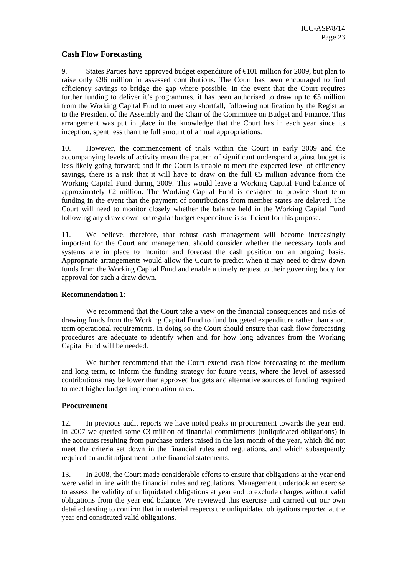## **Cash Flow Forecasting**

9. States Parties have approved budget expenditure of  $\bigoplus$  1 million for 2009, but plan to raise only €96 million in assessed contributions. The Court has been encouraged to find efficiency savings to bridge the gap where possible. In the event that the Court requires further funding to deliver it's programmes, it has been authorised to draw up to  $\epsilon$  million from the Working Capital Fund to meet any shortfall, following notification by the Registrar to the President of the Assembly and the Chair of the Committee on Budget and Finance. This arrangement was put in place in the knowledge that the Court has in each year since its inception, spent less than the full amount of annual appropriations.

10. However, the commencement of trials within the Court in early 2009 and the accompanying levels of activity mean the pattern of significant underspend against budget is less likely going forward; and if the Court is unable to meet the expected level of efficiency savings, there is a risk that it will have to draw on the full  $\epsilon$  million advance from the Working Capital Fund during 2009. This would leave a Working Capital Fund balance of approximately  $\epsilon$  million. The Working Capital Fund is designed to provide short term funding in the event that the payment of contributions from member states are delayed. The Court will need to monitor closely whether the balance held in the Working Capital Fund following any draw down for regular budget expenditure is sufficient for this purpose.

11. We believe, therefore, that robust cash management will become increasingly important for the Court and management should consider whether the necessary tools and systems are in place to monitor and forecast the cash position on an ongoing basis. Appropriate arrangements would allow the Court to predict when it may need to draw down funds from the Working Capital Fund and enable a timely request to their governing body for approval for such a draw down.

#### **Recommendation 1:**

We recommend that the Court take a view on the financial consequences and risks of drawing funds from the Working Capital Fund to fund budgeted expenditure rather than short term operational requirements. In doing so the Court should ensure that cash flow forecasting procedures are adequate to identify when and for how long advances from the Working Capital Fund will be needed.

We further recommend that the Court extend cash flow forecasting to the medium and long term, to inform the funding strategy for future years, where the level of assessed contributions may be lower than approved budgets and alternative sources of funding required to meet higher budget implementation rates.

## **Procurement**

12. In previous audit reports we have noted peaks in procurement towards the year end. In 2007 we queried some  $\bigoplus$  million of financial commitments (unliquidated obligations) in the accounts resulting from purchase orders raised in the last month of the year, which did not meet the criteria set down in the financial rules and regulations, and which subsequently required an audit adjustment to the financial statements.

13. In 2008, the Court made considerable efforts to ensure that obligations at the year end were valid in line with the financial rules and regulations. Management undertook an exercise to assess the validity of unliquidated obligations at year end to exclude charges without valid obligations from the year end balance. We reviewed this exercise and carried out our own detailed testing to confirm that in material respects the unliquidated obligations reported at the year end constituted valid obligations.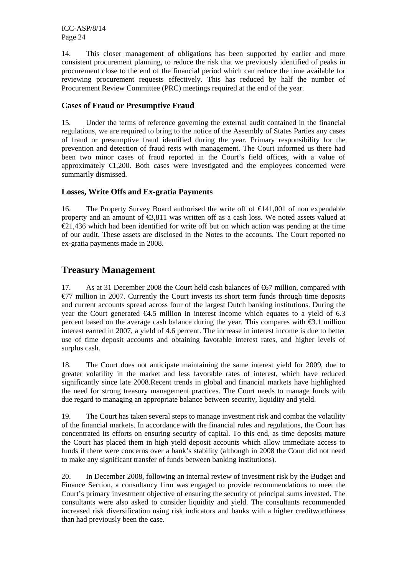14. This closer management of obligations has been supported by earlier and more consistent procurement planning, to reduce the risk that we previously identified of peaks in procurement close to the end of the financial period which can reduce the time available for reviewing procurement requests effectively. This has reduced by half the number of Procurement Review Committee (PRC) meetings required at the end of the year.

## **Cases of Fraud or Presumptive Fraud**

15. Under the terms of reference governing the external audit contained in the financial regulations, we are required to bring to the notice of the Assembly of States Parties any cases of fraud or presumptive fraud identified during the year. Primary responsibility for the prevention and detection of fraud rests with management. The Court informed us there had been two minor cases of fraud reported in the Court's field offices, with a value of approximately  $\bigoplus$ , 200. Both cases were investigated and the employees concerned were summarily dismissed.

## **Losses, Write Offs and Ex-gratia Payments**

16. The Property Survey Board authorised the write off of  $\epsilon$ 41,001 of non expendable property and an amount of €3,811 was written off as a cash loss. We noted assets valued at  $\epsilon$ 21,436 which had been identified for write off but on which action was pending at the time of our audit. These assets are disclosed in the Notes to the accounts. The Court reported no ex-gratia payments made in 2008.

## **Treasury Management**

17. As at 31 December 2008 the Court held cash balances of €67 million, compared with  $E77$  million in 2007. Currently the Court invests its short term funds through time deposits and current accounts spread across four of the largest Dutch banking institutions. During the year the Court generated  $\epsilon 4.5$  million in interest income which equates to a yield of 6.3 percent based on the average cash balance during the year. This compares with  $\epsilon$ 3.1 million interest earned in 2007, a yield of 4.6 percent. The increase in interest income is due to better use of time deposit accounts and obtaining favorable interest rates, and higher levels of surplus cash.

18. The Court does not anticipate maintaining the same interest yield for 2009, due to greater volatility in the market and less favorable rates of interest, which have reduced significantly since late 2008.Recent trends in global and financial markets have highlighted the need for strong treasury management practices. The Court needs to manage funds with due regard to managing an appropriate balance between security, liquidity and yield.

19. The Court has taken several steps to manage investment risk and combat the volatility of the financial markets. In accordance with the financial rules and regulations, the Court has concentrated its efforts on ensuring security of capital. To this end, as time deposits mature the Court has placed them in high yield deposit accounts which allow immediate access to funds if there were concerns over a bank's stability (although in 2008 the Court did not need to make any significant transfer of funds between banking institutions).

20. In December 2008, following an internal review of investment risk by the Budget and Finance Section, a consultancy firm was engaged to provide recommendations to meet the Court's primary investment objective of ensuring the security of principal sums invested. The consultants were also asked to consider liquidity and yield. The consultants recommended increased risk diversification using risk indicators and banks with a higher creditworthiness than had previously been the case.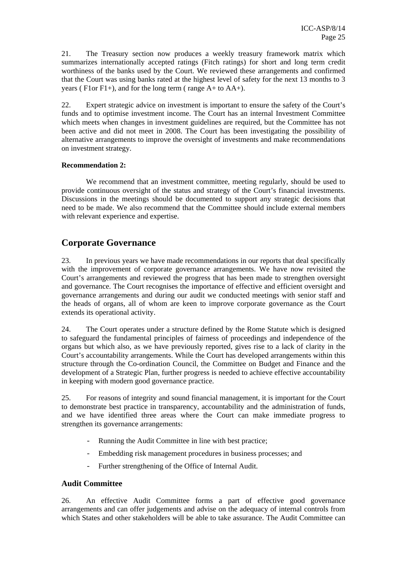21. The Treasury section now produces a weekly treasury framework matrix which summarizes internationally accepted ratings (Fitch ratings) for short and long term credit worthiness of the banks used by the Court. We reviewed these arrangements and confirmed that the Court was using banks rated at the highest level of safety for the next 13 months to 3 years ( $F1$ or  $F1+$ ), and for the long term ( $r = A+$  to  $AA+$ ).

22. Expert strategic advice on investment is important to ensure the safety of the Court's funds and to optimise investment income. The Court has an internal Investment Committee which meets when changes in investment guidelines are required, but the Committee has not been active and did not meet in 2008. The Court has been investigating the possibility of alternative arrangements to improve the oversight of investments and make recommendations on investment strategy.

#### **Recommendation 2:**

We recommend that an investment committee, meeting regularly, should be used to provide continuous oversight of the status and strategy of the Court's financial investments. Discussions in the meetings should be documented to support any strategic decisions that need to be made. We also recommend that the Committee should include external members with relevant experience and expertise.

## **Corporate Governance**

23. In previous years we have made recommendations in our reports that deal specifically with the improvement of corporate governance arrangements. We have now revisited the Court's arrangements and reviewed the progress that has been made to strengthen oversight and governance. The Court recognises the importance of effective and efficient oversight and governance arrangements and during our audit we conducted meetings with senior staff and the heads of organs, all of whom are keen to improve corporate governance as the Court extends its operational activity.

24. The Court operates under a structure defined by the Rome Statute which is designed to safeguard the fundamental principles of fairness of proceedings and independence of the organs but which also, as we have previously reported, gives rise to a lack of clarity in the Court's accountability arrangements. While the Court has developed arrangements within this structure through the Co-ordination Council, the Committee on Budget and Finance and the development of a Strategic Plan, further progress is needed to achieve effective accountability in keeping with modern good governance practice.

25. For reasons of integrity and sound financial management, it is important for the Court to demonstrate best practice in transparency, accountability and the administration of funds, and we have identified three areas where the Court can make immediate progress to strengthen its governance arrangements:

- Running the Audit Committee in line with best practice;
- Embedding risk management procedures in business processes; and
- Further strengthening of the Office of Internal Audit.

## **Audit Committee**

26. An effective Audit Committee forms a part of effective good governance arrangements and can offer judgements and advise on the adequacy of internal controls from which States and other stakeholders will be able to take assurance. The Audit Committee can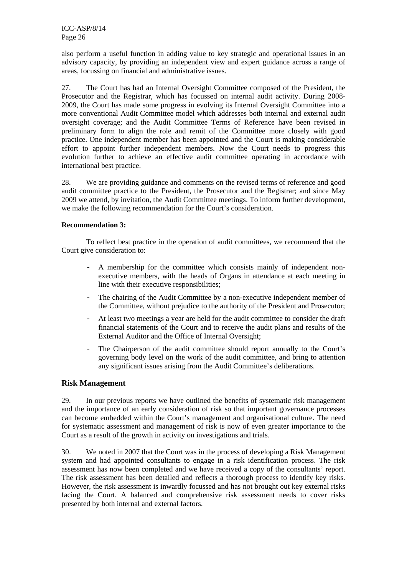also perform a useful function in adding value to key strategic and operational issues in an advisory capacity, by providing an independent view and expert guidance across a range of areas, focussing on financial and administrative issues.

27. The Court has had an Internal Oversight Committee composed of the President, the Prosecutor and the Registrar, which has focussed on internal audit activity. During 2008- 2009, the Court has made some progress in evolving its Internal Oversight Committee into a more conventional Audit Committee model which addresses both internal and external audit oversight coverage; and the Audit Committee Terms of Reference have been revised in preliminary form to align the role and remit of the Committee more closely with good practice. One independent member has been appointed and the Court is making considerable effort to appoint further independent members. Now the Court needs to progress this evolution further to achieve an effective audit committee operating in accordance with international best practice.

28. We are providing guidance and comments on the revised terms of reference and good audit committee practice to the President, the Prosecutor and the Registrar; and since May 2009 we attend, by invitation, the Audit Committee meetings. To inform further development, we make the following recommendation for the Court's consideration.

## **Recommendation 3:**

To reflect best practice in the operation of audit committees, we recommend that the Court give consideration to:

- A membership for the committee which consists mainly of independent nonexecutive members, with the heads of Organs in attendance at each meeting in line with their executive responsibilities;
- The chairing of the Audit Committee by a non-executive independent member of the Committee, without prejudice to the authority of the President and Prosecutor;
- At least two meetings a year are held for the audit committee to consider the draft financial statements of the Court and to receive the audit plans and results of the External Auditor and the Office of Internal Oversight;
- The Chairperson of the audit committee should report annually to the Court's governing body level on the work of the audit committee, and bring to attention any significant issues arising from the Audit Committee's deliberations.

## **Risk Management**

29. In our previous reports we have outlined the benefits of systematic risk management and the importance of an early consideration of risk so that important governance processes can become embedded within the Court's management and organisational culture. The need for systematic assessment and management of risk is now of even greater importance to the Court as a result of the growth in activity on investigations and trials.

30. We noted in 2007 that the Court was in the process of developing a Risk Management system and had appointed consultants to engage in a risk identification process. The risk assessment has now been completed and we have received a copy of the consultants' report. The risk assessment has been detailed and reflects a thorough process to identify key risks. However, the risk assessment is inwardly focussed and has not brought out key external risks facing the Court. A balanced and comprehensive risk assessment needs to cover risks presented by both internal and external factors.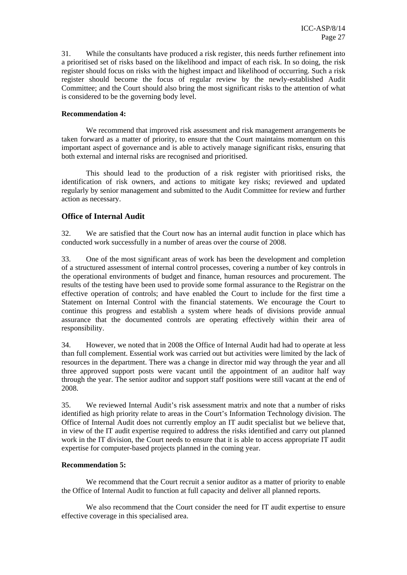31. While the consultants have produced a risk register, this needs further refinement into a prioritised set of risks based on the likelihood and impact of each risk. In so doing, the risk register should focus on risks with the highest impact and likelihood of occurring. Such a risk register should become the focus of regular review by the newly-established Audit Committee; and the Court should also bring the most significant risks to the attention of what is considered to be the governing body level.

#### **Recommendation 4:**

We recommend that improved risk assessment and risk management arrangements be taken forward as a matter of priority, to ensure that the Court maintains momentum on this important aspect of governance and is able to actively manage significant risks, ensuring that both external and internal risks are recognised and prioritised.

This should lead to the production of a risk register with prioritised risks, the identification of risk owners, and actions to mitigate key risks; reviewed and updated regularly by senior management and submitted to the Audit Committee for review and further action as necessary.

## **Office of Internal Audit**

32. We are satisfied that the Court now has an internal audit function in place which has conducted work successfully in a number of areas over the course of 2008.

33. One of the most significant areas of work has been the development and completion of a structured assessment of internal control processes, covering a number of key controls in the operational environments of budget and finance, human resources and procurement. The results of the testing have been used to provide some formal assurance to the Registrar on the effective operation of controls; and have enabled the Court to include for the first time a Statement on Internal Control with the financial statements. We encourage the Court to continue this progress and establish a system where heads of divisions provide annual assurance that the documented controls are operating effectively within their area of responsibility.

34. However, we noted that in 2008 the Office of Internal Audit had had to operate at less than full complement. Essential work was carried out but activities were limited by the lack of resources in the department. There was a change in director mid way through the year and all three approved support posts were vacant until the appointment of an auditor half way through the year. The senior auditor and support staff positions were still vacant at the end of 2008.

35. We reviewed Internal Audit's risk assessment matrix and note that a number of risks identified as high priority relate to areas in the Court's Information Technology division. The Office of Internal Audit does not currently employ an IT audit specialist but we believe that, in view of the IT audit expertise required to address the risks identified and carry out planned work in the IT division, the Court needs to ensure that it is able to access appropriate IT audit expertise for computer-based projects planned in the coming year.

#### **Recommendation 5:**

We recommend that the Court recruit a senior auditor as a matter of priority to enable the Office of Internal Audit to function at full capacity and deliver all planned reports.

We also recommend that the Court consider the need for IT audit expertise to ensure effective coverage in this specialised area.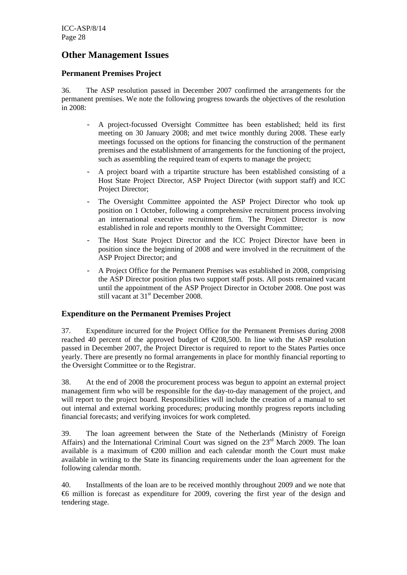## **Other Management Issues**

## **Permanent Premises Project**

36. The ASP resolution passed in December 2007 confirmed the arrangements for the permanent premises. We note the following progress towards the objectives of the resolution in 2008:

- A project-focussed Oversight Committee has been established; held its first meeting on 30 January 2008; and met twice monthly during 2008. These early meetings focussed on the options for financing the construction of the permanent premises and the establishment of arrangements for the functioning of the project, such as assembling the required team of experts to manage the project;
- A project board with a tripartite structure has been established consisting of a Host State Project Director, ASP Project Director (with support staff) and ICC Project Director;
- The Oversight Committee appointed the ASP Project Director who took up position on 1 October, following a comprehensive recruitment process involving an international executive recruitment firm. The Project Director is now established in role and reports monthly to the Oversight Committee;
- The Host State Project Director and the ICC Project Director have been in position since the beginning of 2008 and were involved in the recruitment of the ASP Project Director; and
- A Project Office for the Permanent Premises was established in 2008, comprising the ASP Director position plus two support staff posts. All posts remained vacant until the appointment of the ASP Project Director in October 2008. One post was still vacant at 31<sup>st</sup> December 2008.

## **Expenditure on the Permanent Premises Project**

37. Expenditure incurred for the Project Office for the Permanent Premises during 2008 reached 40 percent of the approved budget of  $\epsilon$ 208,500. In line with the ASP resolution passed in December 2007, the Project Director is required to report to the States Parties once yearly. There are presently no formal arrangements in place for monthly financial reporting to the Oversight Committee or to the Registrar.

38. At the end of 2008 the procurement process was begun to appoint an external project management firm who will be responsible for the day-to-day management of the project, and will report to the project board. Responsibilities will include the creation of a manual to set out internal and external working procedures; producing monthly progress reports including financial forecasts; and verifying invoices for work completed.

39. The loan agreement between the State of the Netherlands (Ministry of Foreign Affairs) and the International Criminal Court was signed on the  $23<sup>rd</sup>$  March 2009. The loan available is a maximum of  $\epsilon$ 200 million and each calendar month the Court must make available in writing to the State its financing requirements under the loan agreement for the following calendar month.

40. Installments of the loan are to be received monthly throughout 2009 and we note that €6 million is forecast as expenditure for 2009, covering the first year of the design and tendering stage.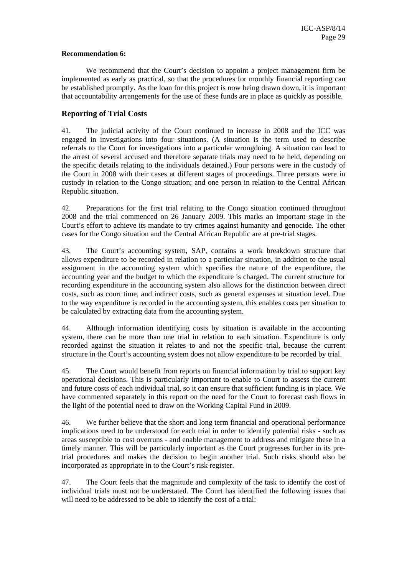#### **Recommendation 6:**

We recommend that the Court's decision to appoint a project management firm be implemented as early as practical, so that the procedures for monthly financial reporting can be established promptly. As the loan for this project is now being drawn down, it is important that accountability arrangements for the use of these funds are in place as quickly as possible.

## **Reporting of Trial Costs**

41. The judicial activity of the Court continued to increase in 2008 and the ICC was engaged in investigations into four situations. (A situation is the term used to describe referrals to the Court for investigations into a particular wrongdoing. A situation can lead to the arrest of several accused and therefore separate trials may need to be held, depending on the specific details relating to the individuals detained.) Four persons were in the custody of the Court in 2008 with their cases at different stages of proceedings. Three persons were in custody in relation to the Congo situation; and one person in relation to the Central African Republic situation.

42. Preparations for the first trial relating to the Congo situation continued throughout 2008 and the trial commenced on 26 January 2009. This marks an important stage in the Court's effort to achieve its mandate to try crimes against humanity and genocide. The other cases for the Congo situation and the Central African Republic are at pre-trial stages.

43. The Court's accounting system, SAP, contains a work breakdown structure that allows expenditure to be recorded in relation to a particular situation, in addition to the usual assignment in the accounting system which specifies the nature of the expenditure, the accounting year and the budget to which the expenditure is charged. The current structure for recording expenditure in the accounting system also allows for the distinction between direct costs, such as court time, and indirect costs, such as general expenses at situation level. Due to the way expenditure is recorded in the accounting system, this enables costs per situation to be calculated by extracting data from the accounting system.

44. Although information identifying costs by situation is available in the accounting system, there can be more than one trial in relation to each situation. Expenditure is only recorded against the situation it relates to and not the specific trial, because the current structure in the Court's accounting system does not allow expenditure to be recorded by trial.

45. The Court would benefit from reports on financial information by trial to support key operational decisions. This is particularly important to enable to Court to assess the current and future costs of each individual trial, so it can ensure that sufficient funding is in place. We have commented separately in this report on the need for the Court to forecast cash flows in the light of the potential need to draw on the Working Capital Fund in 2009.

46. We further believe that the short and long term financial and operational performance implications need to be understood for each trial in order to identify potential risks - such as areas susceptible to cost overruns - and enable management to address and mitigate these in a timely manner. This will be particularly important as the Court progresses further in its pretrial procedures and makes the decision to begin another trial. Such risks should also be incorporated as appropriate in to the Court's risk register.

47. The Court feels that the magnitude and complexity of the task to identify the cost of individual trials must not be understated. The Court has identified the following issues that will need to be addressed to be able to identify the cost of a trial: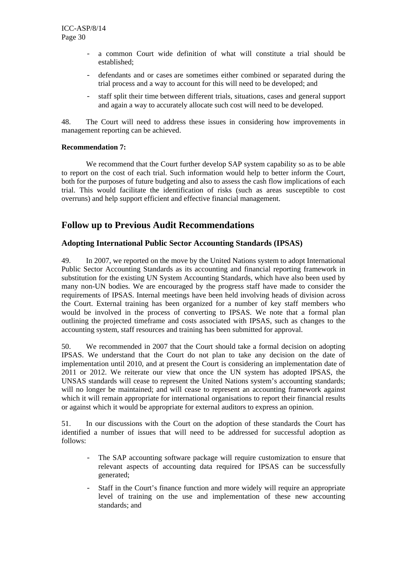- a common Court wide definition of what will constitute a trial should be established;
- defendants and or cases are sometimes either combined or separated during the trial process and a way to account for this will need to be developed; and
- staff split their time between different trials, situations, cases and general support and again a way to accurately allocate such cost will need to be developed.

48. The Court will need to address these issues in considering how improvements in management reporting can be achieved.

### **Recommendation 7:**

We recommend that the Court further develop SAP system capability so as to be able to report on the cost of each trial. Such information would help to better inform the Court, both for the purposes of future budgeting and also to assess the cash flow implications of each trial. This would facilitate the identification of risks (such as areas susceptible to cost overruns) and help support efficient and effective financial management.

## **Follow up to Previous Audit Recommendations**

## **Adopting International Public Sector Accounting Standards (IPSAS)**

49. In 2007, we reported on the move by the United Nations system to adopt International Public Sector Accounting Standards as its accounting and financial reporting framework in substitution for the existing UN System Accounting Standards, which have also been used by many non-UN bodies. We are encouraged by the progress staff have made to consider the requirements of IPSAS. Internal meetings have been held involving heads of division across the Court. External training has been organized for a number of key staff members who would be involved in the process of converting to IPSAS. We note that a formal plan outlining the projected timeframe and costs associated with IPSAS, such as changes to the accounting system, staff resources and training has been submitted for approval.

50. We recommended in 2007 that the Court should take a formal decision on adopting IPSAS. We understand that the Court do not plan to take any decision on the date of implementation until 2010, and at present the Court is considering an implementation date of 2011 or 2012. We reiterate our view that once the UN system has adopted IPSAS, the UNSAS standards will cease to represent the United Nations system's accounting standards; will no longer be maintained; and will cease to represent an accounting framework against which it will remain appropriate for international organisations to report their financial results or against which it would be appropriate for external auditors to express an opinion.

51. In our discussions with the Court on the adoption of these standards the Court has identified a number of issues that will need to be addressed for successful adoption as follows:

- The SAP accounting software package will require customization to ensure that relevant aspects of accounting data required for IPSAS can be successfully generated;
- Staff in the Court's finance function and more widely will require an appropriate level of training on the use and implementation of these new accounting standards; and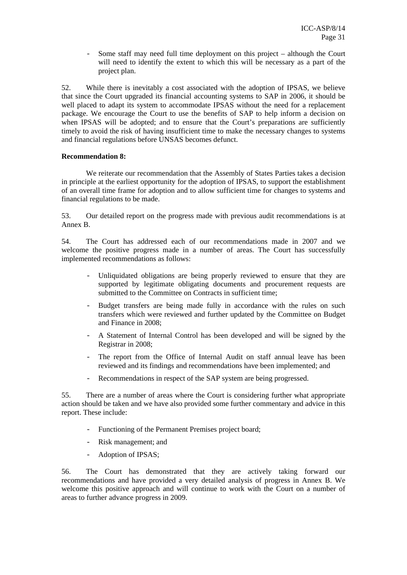- Some staff may need full time deployment on this project – although the Court will need to identify the extent to which this will be necessary as a part of the project plan.

52. While there is inevitably a cost associated with the adoption of IPSAS, we believe that since the Court upgraded its financial accounting systems to SAP in 2006, it should be well placed to adapt its system to accommodate IPSAS without the need for a replacement package. We encourage the Court to use the benefits of SAP to help inform a decision on when IPSAS will be adopted; and to ensure that the Court's preparations are sufficiently timely to avoid the risk of having insufficient time to make the necessary changes to systems and financial regulations before UNSAS becomes defunct.

#### **Recommendation 8:**

We reiterate our recommendation that the Assembly of States Parties takes a decision in principle at the earliest opportunity for the adoption of IPSAS, to support the establishment of an overall time frame for adoption and to allow sufficient time for changes to systems and financial regulations to be made.

53. Our detailed report on the progress made with previous audit recommendations is at Annex B.

54. The Court has addressed each of our recommendations made in 2007 and we welcome the positive progress made in a number of areas. The Court has successfully implemented recommendations as follows:

- Unliquidated obligations are being properly reviewed to ensure that they are supported by legitimate obligating documents and procurement requests are submitted to the Committee on Contracts in sufficient time;
- Budget transfers are being made fully in accordance with the rules on such transfers which were reviewed and further updated by the Committee on Budget and Finance in 2008;
- A Statement of Internal Control has been developed and will be signed by the Registrar in 2008;
- The report from the Office of Internal Audit on staff annual leave has been reviewed and its findings and recommendations have been implemented; and
- Recommendations in respect of the SAP system are being progressed.

55. There are a number of areas where the Court is considering further what appropriate action should be taken and we have also provided some further commentary and advice in this report. These include:

- Functioning of the Permanent Premises project board;
- Risk management; and
- Adoption of IPSAS;

56. The Court has demonstrated that they are actively taking forward our recommendations and have provided a very detailed analysis of progress in Annex B. We welcome this positive approach and will continue to work with the Court on a number of areas to further advance progress in 2009.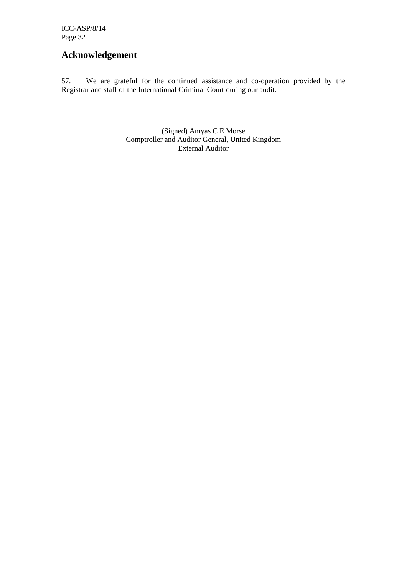## **Acknowledgement**

57. We are grateful for the continued assistance and co-operation provided by the Registrar and staff of the International Criminal Court during our audit.

> (Signed) Amyas C E Morse Comptroller and Auditor General, United Kingdom External Auditor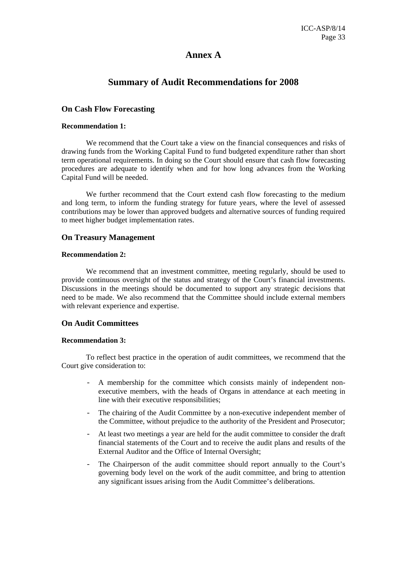## **Annex A**

## **Summary of Audit Recommendations for 2008**

### **On Cash Flow Forecasting**

#### **Recommendation 1:**

We recommend that the Court take a view on the financial consequences and risks of drawing funds from the Working Capital Fund to fund budgeted expenditure rather than short term operational requirements. In doing so the Court should ensure that cash flow forecasting procedures are adequate to identify when and for how long advances from the Working Capital Fund will be needed.

We further recommend that the Court extend cash flow forecasting to the medium and long term, to inform the funding strategy for future years, where the level of assessed contributions may be lower than approved budgets and alternative sources of funding required to meet higher budget implementation rates.

## **On Treasury Management**

#### **Recommendation 2:**

We recommend that an investment committee, meeting regularly, should be used to provide continuous oversight of the status and strategy of the Court's financial investments. Discussions in the meetings should be documented to support any strategic decisions that need to be made. We also recommend that the Committee should include external members with relevant experience and expertise.

#### **On Audit Committees**

#### **Recommendation 3:**

To reflect best practice in the operation of audit committees, we recommend that the Court give consideration to:

- A membership for the committee which consists mainly of independent nonexecutive members, with the heads of Organs in attendance at each meeting in line with their executive responsibilities;
- The chairing of the Audit Committee by a non-executive independent member of the Committee, without prejudice to the authority of the President and Prosecutor;
- At least two meetings a year are held for the audit committee to consider the draft financial statements of the Court and to receive the audit plans and results of the External Auditor and the Office of Internal Oversight;
- The Chairperson of the audit committee should report annually to the Court's governing body level on the work of the audit committee, and bring to attention any significant issues arising from the Audit Committee's deliberations.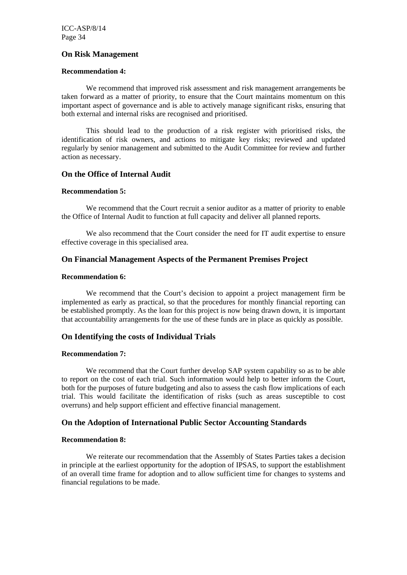## **On Risk Management**

#### **Recommendation 4:**

We recommend that improved risk assessment and risk management arrangements be taken forward as a matter of priority, to ensure that the Court maintains momentum on this important aspect of governance and is able to actively manage significant risks, ensuring that both external and internal risks are recognised and prioritised.

This should lead to the production of a risk register with prioritised risks, the identification of risk owners, and actions to mitigate key risks; reviewed and updated regularly by senior management and submitted to the Audit Committee for review and further action as necessary.

## **On the Office of Internal Audit**

#### **Recommendation 5:**

We recommend that the Court recruit a senior auditor as a matter of priority to enable the Office of Internal Audit to function at full capacity and deliver all planned reports.

We also recommend that the Court consider the need for IT audit expertise to ensure effective coverage in this specialised area.

## **On Financial Management Aspects of the Permanent Premises Project**

#### **Recommendation 6:**

We recommend that the Court's decision to appoint a project management firm be implemented as early as practical, so that the procedures for monthly financial reporting can be established promptly. As the loan for this project is now being drawn down, it is important that accountability arrangements for the use of these funds are in place as quickly as possible.

#### **On Identifying the costs of Individual Trials**

#### **Recommendation 7:**

We recommend that the Court further develop SAP system capability so as to be able to report on the cost of each trial. Such information would help to better inform the Court, both for the purposes of future budgeting and also to assess the cash flow implications of each trial. This would facilitate the identification of risks (such as areas susceptible to cost overruns) and help support efficient and effective financial management.

## **On the Adoption of International Public Sector Accounting Standards**

#### **Recommendation 8:**

We reiterate our recommendation that the Assembly of States Parties takes a decision in principle at the earliest opportunity for the adoption of IPSAS, to support the establishment of an overall time frame for adoption and to allow sufficient time for changes to systems and financial regulations to be made.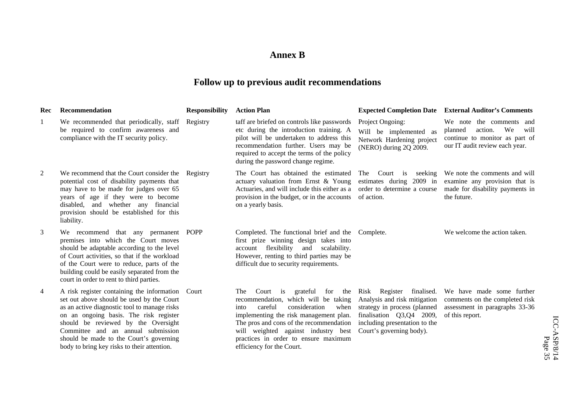## **Annex B**

# **Follow up to previous audit recommendations**

| Rec            | <b>Recommendation</b>                                                                                                                                                                                                                                                                                                                                          | <b>Responsibility</b> | <b>Action Plan</b>                                                                                                                                                                                                                                                                                                       |                                                                                                                                                                                   | <b>Expected Completion Date</b> External Auditor's Comments                                                                      |                         |
|----------------|----------------------------------------------------------------------------------------------------------------------------------------------------------------------------------------------------------------------------------------------------------------------------------------------------------------------------------------------------------------|-----------------------|--------------------------------------------------------------------------------------------------------------------------------------------------------------------------------------------------------------------------------------------------------------------------------------------------------------------------|-----------------------------------------------------------------------------------------------------------------------------------------------------------------------------------|----------------------------------------------------------------------------------------------------------------------------------|-------------------------|
| 1              | We recommended that periodically, staff Registry<br>be required to confirm awareness and<br>compliance with the IT security policy.                                                                                                                                                                                                                            |                       | taff are briefed on controls like passwords<br>etc during the introduction training. A<br>pilot will be undertaken to address this<br>recommendation further. Users may be<br>required to accept the terms of the policy<br>during the password change regime.                                                           | Project Ongoing:<br>Will be implemented as<br>Network Hardening project<br>(NERO) during 2Q 2009.                                                                                 | We note the comments and<br>We<br>action.<br>will<br>planned<br>continue to monitor as part of<br>our IT audit review each year. |                         |
| 2              | We recommend that the Court consider the Registry<br>potential cost of disability payments that<br>may have to be made for judges over 65<br>years of age if they were to become<br>disabled, and whether any financial<br>provision should be established for this<br>liability.                                                                              |                       | The Court has obtained the estimated<br>actuary valuation from Ernst & Young<br>Actuaries, and will include this either as a<br>provision in the budget, or in the accounts<br>on a yearly basis.                                                                                                                        | The Court is<br>seeking<br>estimates during 2009 in<br>order to determine a course<br>of action.                                                                                  | We note the comments and will<br>examine any provision that is<br>made for disability payments in<br>the future.                 |                         |
| 3              | We recommend that any permanent POPP<br>premises into which the Court moves<br>should be adaptable according to the level<br>of Court activities, so that if the workload<br>of the Court were to reduce, parts of the<br>building could be easily separated from the<br>court in order to rent to third parties.                                              |                       | Completed. The functional brief and the<br>first prize winning design takes into<br>flexibility<br>and scalability.<br>account<br>However, renting to third parties may be<br>difficult due to security requirements.                                                                                                    | Complete.                                                                                                                                                                         | We welcome the action taken.                                                                                                     |                         |
| $\overline{4}$ | A risk register containing the information Court<br>set out above should be used by the Court<br>as an active diagnostic tool to manage risks<br>on an ongoing basis. The risk register<br>should be reviewed by the Oversight<br>Committee and an annual submission<br>should be made to the Court's governing<br>body to bring key risks to their attention. |                       | grateful for the<br>Court is<br>The<br>recommendation, which will be taking<br>consideration<br>careful<br>when<br>into<br>implementing the risk management plan.<br>The pros and cons of the recommendation<br>will weighted against industry best<br>practices in order to ensure maximum<br>efficiency for the Court. | Risk Register finalised.<br>Analysis and risk mitigation<br>strategy in process (planned<br>finalisation Q3,Q4 2009,<br>including presentation to the<br>Court's governing body). | We have made some further<br>comments on the completed risk<br>assessment in paragraphs 33-36<br>of this report.                 | ICC-ASP/8/14<br>Page 35 |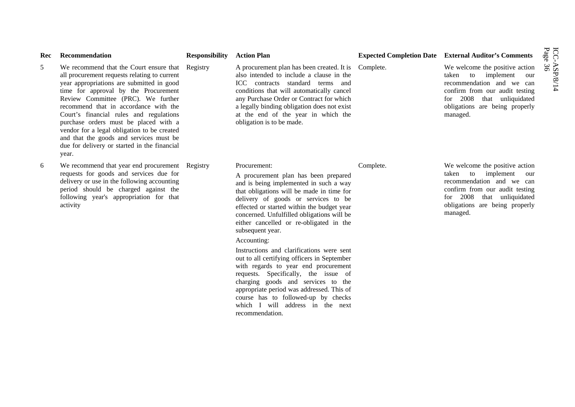| Rec | Recommendation                                                                                                                                                                                                                                                                                                                                                                                                                                                                                              | <b>Responsibility</b> | <b>Action Plan</b>                                                                                                                                                                                                                                                                                                                                                                                                                                                                                                                                                                                                                                                                                                        |           | <b>Expected Completion Date External Auditor's Comments</b>                                                                                                                                         |                         |
|-----|-------------------------------------------------------------------------------------------------------------------------------------------------------------------------------------------------------------------------------------------------------------------------------------------------------------------------------------------------------------------------------------------------------------------------------------------------------------------------------------------------------------|-----------------------|---------------------------------------------------------------------------------------------------------------------------------------------------------------------------------------------------------------------------------------------------------------------------------------------------------------------------------------------------------------------------------------------------------------------------------------------------------------------------------------------------------------------------------------------------------------------------------------------------------------------------------------------------------------------------------------------------------------------------|-----------|-----------------------------------------------------------------------------------------------------------------------------------------------------------------------------------------------------|-------------------------|
| 5   | We recommend that the Court ensure that Registry<br>all procurement requests relating to current<br>year appropriations are submitted in good<br>time for approval by the Procurement<br>Review Committee (PRC). We further<br>recommend that in accordance with the<br>Court's financial rules and regulations<br>purchase orders must be placed with a<br>vendor for a legal obligation to be created<br>and that the goods and services must be<br>due for delivery or started in the financial<br>year. |                       | A procurement plan has been created. It is<br>also intended to include a clause in the<br>ICC contracts standard terms and<br>conditions that will automatically cancel<br>any Purchase Order or Contract for which<br>a legally binding obligation does not exist<br>at the end of the year in which the<br>obligation is to be made.                                                                                                                                                                                                                                                                                                                                                                                    | Complete. | We welcome the positive action<br>taken to implement our<br>recommendation and we can<br>confirm from our audit testing<br>for 2008 that unliquidated<br>obligations are being properly<br>managed. | ICC-ASP/8/14<br>Page 36 |
| 6   | We recommend that year end procurement Registry<br>requests for goods and services due for<br>delivery or use in the following accounting<br>period should be charged against the<br>following year's appropriation for that<br>activity                                                                                                                                                                                                                                                                    |                       | Procurement:<br>A procurement plan has been prepared<br>and is being implemented in such a way<br>that obligations will be made in time for<br>delivery of goods or services to be<br>effected or started within the budget year<br>concerned. Unfulfilled obligations will be<br>either cancelled or re-obligated in the<br>subsequent year.<br>Accounting:<br>Instructions and clarifications were sent<br>out to all certifying officers in September<br>with regards to year end procurement<br>requests. Specifically, the issue of<br>charging goods and services to the<br>appropriate period was addressed. This of<br>course has to followed-up by checks<br>which I will address in the next<br>recommendation. | Complete. | We welcome the positive action<br>taken to implement our<br>recommendation and we can<br>confirm from our audit testing<br>for 2008 that unliquidated<br>obligations are being properly<br>managed. |                         |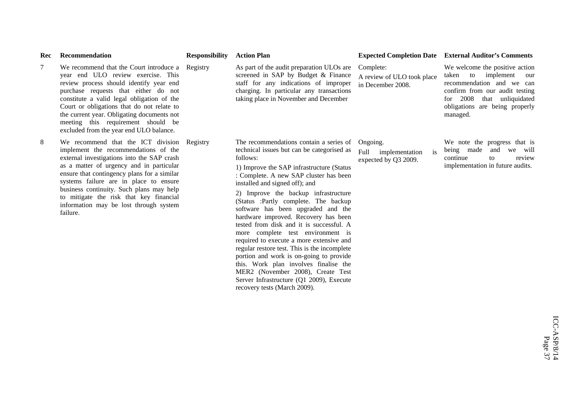| Rec    | Recommendation                                                                                                                                                                                                                                                                                                                                                                                                      | <b>Responsibility</b> | <b>Action Plan</b>                                                                                                                                                                                                                                                                                                                                                                                                                                                                                                                                                                                                                                                                                                                                                         |                                                                  | <b>Expected Completion Date External Auditor's Comments</b>                                                                                                                                                     |
|--------|---------------------------------------------------------------------------------------------------------------------------------------------------------------------------------------------------------------------------------------------------------------------------------------------------------------------------------------------------------------------------------------------------------------------|-----------------------|----------------------------------------------------------------------------------------------------------------------------------------------------------------------------------------------------------------------------------------------------------------------------------------------------------------------------------------------------------------------------------------------------------------------------------------------------------------------------------------------------------------------------------------------------------------------------------------------------------------------------------------------------------------------------------------------------------------------------------------------------------------------------|------------------------------------------------------------------|-----------------------------------------------------------------------------------------------------------------------------------------------------------------------------------------------------------------|
| $\tau$ | We recommend that the Court introduce a Registry<br>year end ULO review exercise. This<br>review process should identify year end<br>purchase requests that either do not<br>constitute a valid legal obligation of the<br>Court or obligations that do not relate to<br>the current year. Obligating documents not<br>meeting this requirement should be<br>excluded from the year end ULO balance.                |                       | As part of the audit preparation ULOs are<br>screened in SAP by Budget & Finance<br>staff for any indications of improper<br>charging. In particular any transactions<br>taking place in November and December                                                                                                                                                                                                                                                                                                                                                                                                                                                                                                                                                             | Complete:<br>A review of ULO took place<br>in December 2008.     | We welcome the positive action<br>implement<br>taken<br>to<br>our<br>recommendation and we can<br>confirm from our audit testing<br>for 2008<br>that unliquidated<br>obligations are being properly<br>managed. |
| 8      | We recommend that the ICT division Registry<br>implement the recommendations of the<br>external investigations into the SAP crash<br>as a matter of urgency and in particular<br>ensure that contingency plans for a similar<br>systems failure are in place to ensure<br>business continuity. Such plans may help<br>to mitigate the risk that key financial<br>information may be lost through system<br>failure. |                       | The recommendations contain a series of<br>technical issues but can be categorised as<br>follows:<br>1) Improve the SAP infrastructure (Status<br>: Complete. A new SAP cluster has been<br>installed and signed off); and<br>2) Improve the backup infrastructure<br>(Status :Partly complete. The backup<br>software has been upgraded and the<br>hardware improved. Recovery has been<br>tested from disk and it is successful. A<br>more complete test environment is<br>required to execute a more extensive and<br>regular restore test. This is the incomplete<br>portion and work is on-going to provide<br>this. Work plan involves finalise the<br>MER2 (November 2008), Create Test<br>Server Infrastructure (Q1 2009), Execute<br>recovery tests (March 2009). | Ongoing.<br>Full<br>is<br>implementation<br>expected by Q3 2009. | We note the progress that is<br>being made<br>and<br>we will<br>continue<br>review<br>tο<br>implementation in future audits.                                                                                    |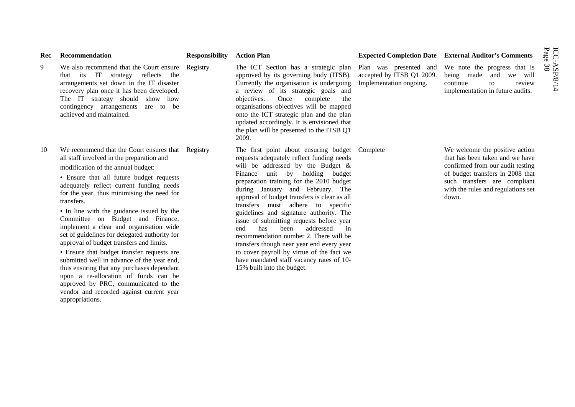| Rec | Recommendation                                                                                                                                                                                                                                                                                                                                                                                                                                                                                                                                                                                                | <b>Responsibility</b> | <b>Action Plan</b>                                                                                                                                                                                                                                                                                                                                                                                                                                                                                                                                                                                                                                         |                                                      | <b>Expected Completion Date External Auditor's Comments</b>                                                                                                                                                              |
|-----|---------------------------------------------------------------------------------------------------------------------------------------------------------------------------------------------------------------------------------------------------------------------------------------------------------------------------------------------------------------------------------------------------------------------------------------------------------------------------------------------------------------------------------------------------------------------------------------------------------------|-----------------------|------------------------------------------------------------------------------------------------------------------------------------------------------------------------------------------------------------------------------------------------------------------------------------------------------------------------------------------------------------------------------------------------------------------------------------------------------------------------------------------------------------------------------------------------------------------------------------------------------------------------------------------------------------|------------------------------------------------------|--------------------------------------------------------------------------------------------------------------------------------------------------------------------------------------------------------------------------|
| 9   | We also recommend that the Court ensure Registry<br>that its IT<br>reflects the<br>strategy<br>arrangements set down in the IT disaster<br>recovery plan once it has been developed.<br>The IT strategy should show how<br>contingency arrangements are to be<br>achieved and maintained.                                                                                                                                                                                                                                                                                                                     |                       | The ICT Section has a strategic plan<br>approved by its governing body (ITSB).<br>Currently the organisation is undergoing<br>a review of its strategic goals and<br>objectives.<br>Once<br>complete<br>the<br>organisations objectives will be mapped<br>onto the ICT strategic plan and the plan<br>updated accordingly. It is envisioned that<br>the plan will be presented to the ITSB Q1<br>2009.                                                                                                                                                                                                                                                     | accepted by ITSB Q1 2009.<br>Implementation ongoing. | Plan was presented and We note the progress that is<br>being made<br>and<br>we will<br>continue<br>to<br>review<br>implementation in future audits.                                                                      |
| 10  | We recommend that the Court ensures that Registry<br>all staff involved in the preparation and<br>modification of the annual budget:<br>• Ensure that all future budget requests<br>adequately reflect current funding needs<br>for the year, thus minimising the need for<br>transfers.<br>• In line with the guidance issued by the<br>Committee on Budget and Finance,<br>implement a clear and organisation wide<br>set of guidelines for delegated authority for<br>approval of budget transfers and limits.<br>• Ensure that budget transfer requests are<br>submitted well in advance of the year end, |                       | The first point about ensuring budget Complete<br>requests adequately reflect funding needs<br>will be addressed by the Budget &<br>unit by holding budget<br>Finance<br>preparation training for the 2010 budget<br>during January and February. The<br>approval of budget transfers is clear as all<br>transfers must adhere to specific<br>guidelines and signature authority. The<br>issue of submitting requests before year<br>addressed<br>has<br>been<br>end<br>in<br>recommendation number 2. There will be<br>transfers though near year end every year<br>to cover payroll by virtue of the fact we<br>have mandated staff vacancy rates of 10- |                                                      | We welcome the positive action<br>that has been taken and we have<br>confirmed from our audit testing<br>of budget transfers in 2008 that<br>such transfers are compliant<br>with the rules and regulations set<br>down. |
|     | thus ensuring that any purchases dependant<br>upon a re-allocation of funds can be<br>approved by PRC, communicated to the<br>vendor and recorded against current year<br>appropriations.                                                                                                                                                                                                                                                                                                                                                                                                                     |                       | 15% built into the budget.                                                                                                                                                                                                                                                                                                                                                                                                                                                                                                                                                                                                                                 |                                                      |                                                                                                                                                                                                                          |

 $\text{ICC-ASP/8/14} \ \text{Page 38}$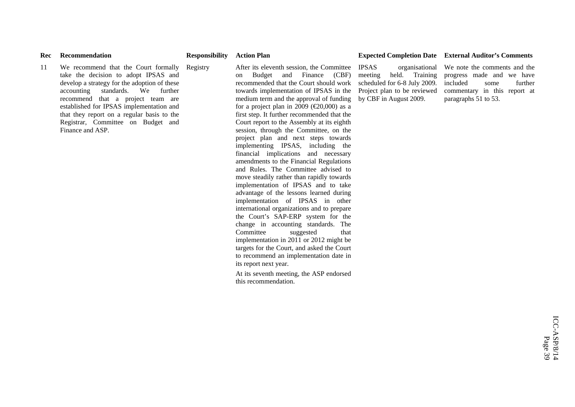11 We recommend that the Court formally take the decision to adopt IPSAS and develop a strategy for the adoption of these accounting standards. We further recommend that a project team are established for IPSAS implementation and that they report on a regular basis to the Registrar, Committee on Budget and Finance and ASP.

Registry After its eleventh session, the Committee on Budget and Finance (CBF) recommended that the Court should work towards implementation of IPSAS in the medium term and the approval of funding for a project plan in 2009 ( $\in \{20,000\}$ ) as a first step. It further recommended that the Court report to the Assembly at its eighth session, through the Committee, on the project plan and next steps towards implementing IPSAS, including the financial implications and necessary amendments to the Financial Regulations and Rules. The Committee advised to move steadily rather than rapidly towards implementation of IPSAS and to take advantage of the lessons learned during implementation of IPSAS in other international organizations and to prepare the Court's SAP-ERP system for the change in accounting standards. The Committee suggested that implementation in 2011 or 2012 might be targets for the Court, and asked the Court to recommend an implementation date in its report next year.

At its seventh meeting, the ASP endorsed this recommendation.

#### Rec Recommendation **Responsibility Action Plan Expected Completion Date External Auditor's Comments**

IPSAS organisational meeting held. Training scheduled for 6-8 July 2009. Project plan to be reviewed by CBF in August 2009.

We note the comments and the progress made and we have included some further commentary in this report at paragraphs 51 to 53.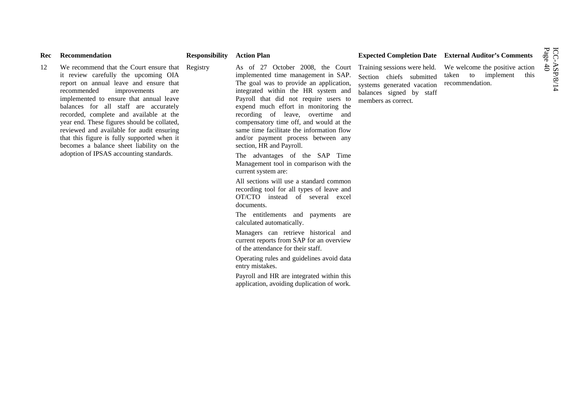| Rec | Recommendation                                                                                                                                                                                                                                                                                                                                                                                                                                                                                                                            | <b>Responsibility</b> | <b>Action Plan</b>                                                                                                                                                                                                                                                                                                                                                                                                                                                                                                                                                                                                                                                                                                                                                                                                                                                                                                                                                                                                                          |                                                                                                                                           | <b>Expected Completion Date External Auditor's Comments</b>                        | ICC-ASI<br>Page 40 |
|-----|-------------------------------------------------------------------------------------------------------------------------------------------------------------------------------------------------------------------------------------------------------------------------------------------------------------------------------------------------------------------------------------------------------------------------------------------------------------------------------------------------------------------------------------------|-----------------------|---------------------------------------------------------------------------------------------------------------------------------------------------------------------------------------------------------------------------------------------------------------------------------------------------------------------------------------------------------------------------------------------------------------------------------------------------------------------------------------------------------------------------------------------------------------------------------------------------------------------------------------------------------------------------------------------------------------------------------------------------------------------------------------------------------------------------------------------------------------------------------------------------------------------------------------------------------------------------------------------------------------------------------------------|-------------------------------------------------------------------------------------------------------------------------------------------|------------------------------------------------------------------------------------|--------------------|
| 12  | We recommend that the Court ensure that Registry<br>it review carefully the upcoming OIA<br>report on annual leave and ensure that<br>recommended<br>improvements<br>are<br>implemented to ensure that annual leave<br>balances for all staff are accurately<br>recorded, complete and available at the<br>year end. These figures should be collated,<br>reviewed and available for audit ensuring<br>that this figure is fully supported when it<br>becomes a balance sheet liability on the<br>adoption of IPSAS accounting standards. |                       | As of 27 October 2008, the Court<br>implemented time management in SAP.<br>The goal was to provide an application,<br>integrated within the HR system and<br>Payroll that did not require users to<br>expend much effort in monitoring the<br>recording of leave, overtime and<br>compensatory time off, and would at the<br>same time facilitate the information flow<br>and/or payment process between any<br>section, HR and Payroll.<br>The advantages of the SAP Time<br>Management tool in comparison with the<br>current system are:<br>All sections will use a standard common<br>recording tool for all types of leave and<br>OT/CTO instead of several excel<br>documents.<br>The entitlements and payments are<br>calculated automatically.<br>Managers can retrieve historical and<br>current reports from SAP for an overview<br>of the attendance for their staff.<br>Operating rules and guidelines avoid data<br>entry mistakes.<br>Payroll and HR are integrated within this<br>application, avoiding duplication of work. | Training sessions were held.<br>Section chiefs submitted<br>systems generated vacation<br>balances signed by staff<br>members as correct. | We welcome the positive action<br>to implement<br>this<br>taken<br>recommendation. |                    |
|     |                                                                                                                                                                                                                                                                                                                                                                                                                                                                                                                                           |                       |                                                                                                                                                                                                                                                                                                                                                                                                                                                                                                                                                                                                                                                                                                                                                                                                                                                                                                                                                                                                                                             |                                                                                                                                           |                                                                                    |                    |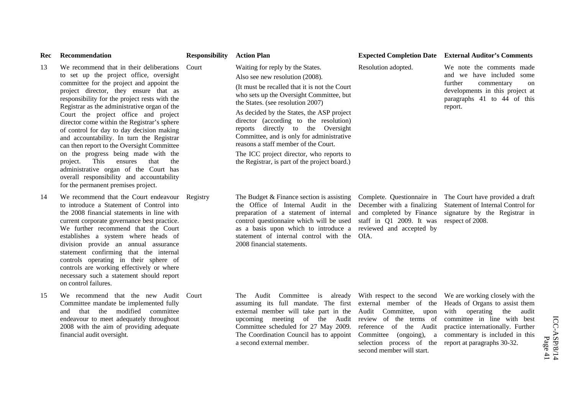| Rec | Recommendation                                                                                                                                                                                                                                                                                                                                                                                                                                                                                                                                                                                                                                                                                                                 | <b>Responsibility</b> Action Plan |                                                                                                                                                                                                                                                                                                                                                                                                                                                                                                                     |                                                                                                                                                      | <b>Expected Completion Date External Auditor's Comments</b>                                                                                                                                         |                         |
|-----|--------------------------------------------------------------------------------------------------------------------------------------------------------------------------------------------------------------------------------------------------------------------------------------------------------------------------------------------------------------------------------------------------------------------------------------------------------------------------------------------------------------------------------------------------------------------------------------------------------------------------------------------------------------------------------------------------------------------------------|-----------------------------------|---------------------------------------------------------------------------------------------------------------------------------------------------------------------------------------------------------------------------------------------------------------------------------------------------------------------------------------------------------------------------------------------------------------------------------------------------------------------------------------------------------------------|------------------------------------------------------------------------------------------------------------------------------------------------------|-----------------------------------------------------------------------------------------------------------------------------------------------------------------------------------------------------|-------------------------|
| 13  | We recommend that in their deliberations Court<br>to set up the project office, oversight<br>committee for the project and appoint the<br>project director, they ensure that as<br>responsibility for the project rests with the<br>Registrar as the administrative organ of the<br>Court the project office and project<br>director come within the Registrar's sphere<br>of control for day to day decision making<br>and accountability. In turn the Registrar<br>can then report to the Oversight Committee<br>on the progress being made with the<br>This ensures<br>project.<br>that<br>the<br>administrative organ of the Court has<br>overall responsibility and accountability<br>for the permanent premises project. |                                   | Waiting for reply by the States.<br>Also see new resolution (2008).<br>(It must be recalled that it is not the Court<br>who sets up the Oversight Committee, but<br>the States. (see resolution 2007)<br>As decided by the States, the ASP project<br>director (according to the resolution)<br>reports directly to the Oversight<br>Committee, and is only for administrative<br>reasons a staff member of the Court.<br>The ICC project director, who reports to<br>the Registrar, is part of the project board.) | Resolution adopted.                                                                                                                                  | We note the comments made<br>and we have included some<br>further<br>commentary<br>on<br>developments in this project at<br>paragraphs 41 to 44 of this<br>report.                                  |                         |
| 14  | We recommend that the Court endeavour Registry<br>to introduce a Statement of Control into<br>the 2008 financial statements in line with<br>current corporate governance best practice.<br>We further recommend that the Court<br>establishes a system where heads of<br>division provide an annual assurance<br>statement confirming that the internal<br>controls operating in their sphere of<br>controls are working effectively or where<br>necessary such a statement should report<br>on control failures.                                                                                                                                                                                                              |                                   | The Budget $&$ Finance section is assisting<br>the Office of Internal Audit in the<br>preparation of a statement of internal<br>control questionnaire which will be used<br>as a basis upon which to introduce a<br>statement of internal control with the<br>2008 financial statements.                                                                                                                                                                                                                            | Complete. Questionnaire in<br>December with a finalizing<br>and completed by Finance<br>staff in Q1 2009. It was<br>reviewed and accepted by<br>OIA. | The Court have provided a draft<br>Statement of Internal Control for<br>signature by the Registrar in<br>respect of 2008.                                                                           |                         |
| 15  | We recommend that the new Audit Court<br>Committee mandate be implemented fully<br>and that the modified committee<br>endeavour to meet adequately throughout<br>2008 with the aim of providing adequate<br>financial audit oversight.                                                                                                                                                                                                                                                                                                                                                                                                                                                                                         |                                   | The Audit Committee is already With respect to the second<br>assuming its full mandate. The first external member of the<br>external member will take part in the Audit Committee, upon<br>upcoming meeting of the Audit review of the terms of<br>Committee scheduled for 27 May 2009.<br>The Coordination Council has to appoint<br>a second external member.                                                                                                                                                     | reference of the Audit<br>Committee (ongoing), a<br>selection process of the report at paragraphs 30-32.<br>second member will start.                | We are working closely with the<br>Heads of Organs to assist them<br>with operating the audit<br>committee in line with best<br>practice internationally. Further<br>commentary is included in this | ICC-ASP/8/14<br>Page 41 |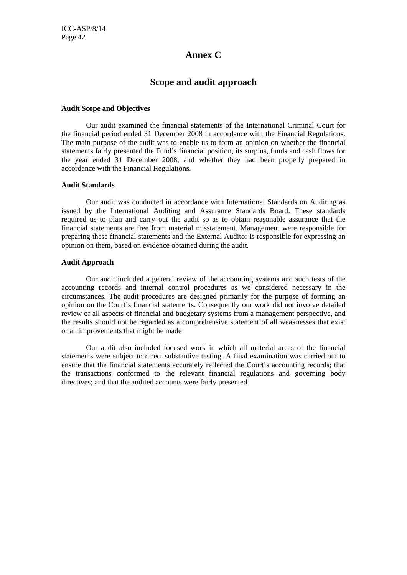#### **Annex C**

#### **Scope and audit approach**

#### **Audit Scope and Objectives**

Our audit examined the financial statements of the International Criminal Court for the financial period ended 31 December 2008 in accordance with the Financial Regulations. The main purpose of the audit was to enable us to form an opinion on whether the financial statements fairly presented the Fund's financial position, its surplus, funds and cash flows for the year ended 31 December 2008; and whether they had been properly prepared in accordance with the Financial Regulations.

#### **Audit Standards**

Our audit was conducted in accordance with International Standards on Auditing as issued by the International Auditing and Assurance Standards Board. These standards required us to plan and carry out the audit so as to obtain reasonable assurance that the financial statements are free from material misstatement. Management were responsible for preparing these financial statements and the External Auditor is responsible for expressing an opinion on them, based on evidence obtained during the audit.

#### **Audit Approach**

Our audit included a general review of the accounting systems and such tests of the accounting records and internal control procedures as we considered necessary in the circumstances. The audit procedures are designed primarily for the purpose of forming an opinion on the Court's financial statements. Consequently our work did not involve detailed review of all aspects of financial and budgetary systems from a management perspective, and the results should not be regarded as a comprehensive statement of all weaknesses that exist or all improvements that might be made

Our audit also included focused work in which all material areas of the financial statements were subject to direct substantive testing. A final examination was carried out to ensure that the financial statements accurately reflected the Court's accounting records; that the transactions conformed to the relevant financial regulations and governing body directives; and that the audited accounts were fairly presented.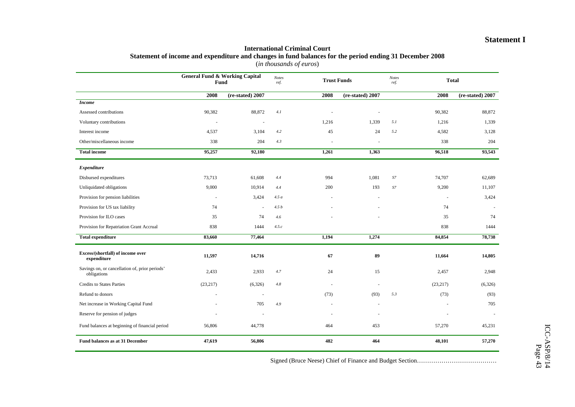#### **Statement I**

#### **International Criminal Court Statement of income and expenditure and changes in fund balances for the period ending 31 December 2008**

(*in thousands of euros*)

|                                                               |           | <b>General Fund &amp; Working Capital</b><br><b>Notes</b><br>Fund<br>ref. |       |                          | <b>Trust Funds</b> |                | <b>Notes</b><br><b>Total</b><br>ref. |                  |
|---------------------------------------------------------------|-----------|---------------------------------------------------------------------------|-------|--------------------------|--------------------|----------------|--------------------------------------|------------------|
|                                                               | 2008      | (re-stated) 2007                                                          |       | 2008                     | (re-stated) 2007   |                | 2008                                 | (re-stated) 2007 |
| <b>Income</b>                                                 |           |                                                                           |       |                          |                    |                |                                      |                  |
| Assessed contributions                                        | 90,382    | 88,872                                                                    | 4.1   |                          |                    |                | 90,382                               | 88,872           |
| Voluntary contributions                                       | ÷.        | $\overline{\phantom{a}}$                                                  |       | 1,216                    | 1,339              | 5.1            | 1,216                                | 1,339            |
| Interest income                                               | 4,537     | 3,104                                                                     | 4.2   | 45                       | 24                 | 5.2            | 4,582                                | 3,128            |
| Other/miscellaneous income                                    | 338       | 204                                                                       | 4.3   | $\sim$                   | $\sim$             |                | 338                                  | 204              |
| <b>Total income</b>                                           | 95,257    | 92,180                                                                    |       | 1,261                    | 1,363              |                | 96,518                               | 93,543           |
| <b>Expenditure</b>                                            |           |                                                                           |       |                          |                    |                |                                      |                  |
| Disbursed expenditures                                        | 73,713    | 61,608                                                                    | 4.4   | 994                      | 1,081              | S7             | 74,707                               | 62,689           |
| Unliquidated obligations                                      | 9,000     | 10,914                                                                    | 4.4   | 200                      | 193                | $S\mathcal{I}$ | 9,200                                | 11,107           |
| Provision for pension liabilities                             |           | 3,424                                                                     | 4.5a  |                          |                    |                |                                      | 3,424            |
| Provision for US tax liability                                | 74        | $\sim$                                                                    | 4.5b  |                          |                    |                | 74                                   |                  |
| Provision for ILO cases                                       | 35        | 74                                                                        | 4.6   |                          |                    |                | 35                                   | 74               |
| Provision for Repatriation Grant Accrual                      | 838       | 1444                                                                      | 4.5.c |                          |                    |                | 838                                  | 1444             |
| <b>Total expenditure</b>                                      | 83,660    | 77,464                                                                    |       | 1,194                    | 1,274              |                | 84,854                               | 78,738           |
| Excess/(shortfall) of income over<br>expenditure              | 11,597    | 14,716                                                                    |       | 67                       | 89                 |                | 11,664                               | 14,805           |
| Savings on, or cancellation of, prior periods'<br>obligations | 2,433     | 2,933                                                                     | 4.7   | 24                       | 15                 |                | 2,457                                | 2,948            |
| <b>Credits to States Parties</b>                              | (23, 217) | (6,326)                                                                   | 4.8   | ÷,                       |                    |                | (23,217)                             | (6,326)          |
| Refund to donors                                              |           | $\overline{\phantom{a}}$                                                  |       | (73)                     | (93)               | 5.3            | (73)                                 | (93)             |
| Net increase in Working Capital Fund                          |           | 705                                                                       | 4.9   | $\ddot{\phantom{1}}$     | $\sim$             |                | $\overline{\phantom{a}}$             | 705              |
| Reserve for pension of judges                                 |           | ÷.                                                                        |       | $\overline{\phantom{a}}$ |                    |                |                                      |                  |
| Fund balances at beginning of financial period                | 56,806    | 44,778                                                                    |       | 464                      | 453                |                | 57,270                               | 45,231           |
| Fund balances as at 31 December                               | 47,619    | 56,806                                                                    |       | 482                      | 464                |                | 48,101                               | 57,270           |

Signed (Bruce Neese) Chief of Finance and Budget Section…………………………………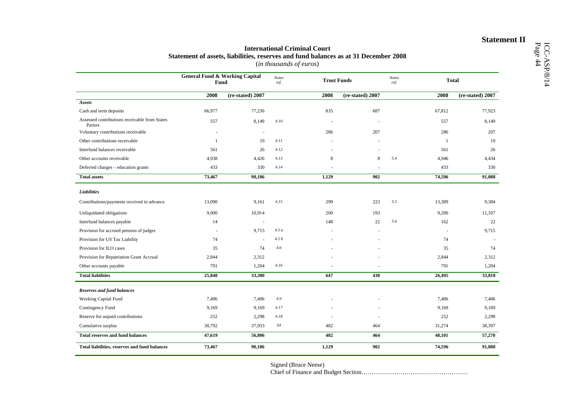## **Statement of assets, liabilities, reserves and fund balances as at 31 December 2008**<br>(*in thousands of euros*)

|                                                          | <b>General Fund &amp; Working Capital</b><br>Fund |                          | <b>Notes</b><br>ref. | <b>Trust Funds</b> |                  | <b>Notes</b><br>ref. | <b>Total</b> |                  |
|----------------------------------------------------------|---------------------------------------------------|--------------------------|----------------------|--------------------|------------------|----------------------|--------------|------------------|
|                                                          | 2008                                              | (re-stated) 2007         |                      | 2008               | (re-stated) 2007 |                      | 2008         | (re-stated) 2007 |
| Assets                                                   |                                                   |                          |                      |                    |                  |                      |              |                  |
| Cash and term deposits                                   | 66,977                                            | 77,236                   |                      | 835                | 687              |                      | 67,812       | 77,923           |
| Assessed contributions receivable from States<br>Parties | 557                                               | 8,149                    | 4.10                 |                    |                  |                      | 557          | 8,149            |
| Voluntary contributions receivable                       | ٠                                                 | $\overline{\phantom{a}}$ |                      | 286                | 207              |                      | 286          | 207              |
| Other contributions receivable                           | $\mathbf{1}$                                      | 19                       | 4.11                 |                    |                  |                      | 1            | 19               |
| Interfund balances receivable                            | 561                                               | 26                       | 4.12                 |                    |                  |                      | 561          | 26               |
| Other accounts receivable                                | 4,938                                             | 4,426                    | 4.13                 | 8                  | 8                | 5.4                  | 4,946        | 4,434            |
| Deferred charges - education grants                      | 433                                               | 330                      | 4.14                 |                    |                  |                      | 433          | 330              |
| <b>Total assets</b>                                      | 73,467                                            | 90,186                   |                      | 1,129              | 902              |                      | 74,596       | 91,088           |
| Liabilities                                              |                                                   |                          |                      |                    |                  |                      |              |                  |
| Contributions/payments received in advance               | 13,090                                            | 9,161                    | 4.15                 | 299                | 223              | 5.5                  | 13,389       | 9,384            |
| Unliquidated obligations                                 | 9,000                                             | 10,914                   |                      | 200                | 193              |                      | 9,200        | 11,107           |
| Interfund balances payable                               | 14                                                | ä,                       |                      | 148                | 22               | 5.6                  | 162          | 22               |
| Provision for accrued pension of judges                  | $\overline{a}$                                    | 9,715                    | 4.5a                 |                    |                  |                      | $\sim$       | 9,715            |
| Provision for US Tax Liability                           | 74                                                | ä,                       | 4.5b                 |                    |                  |                      | 74           |                  |
| Provision for ILO cases                                  | 35                                                | 74                       | 4.6                  |                    |                  |                      | 35           | 74               |
| Provision for Repatriation Grant Accrual                 | 2,844                                             | 2,312                    |                      |                    |                  |                      | 2,844        | 2,312            |
| Other accounts payable                                   | 791                                               | 1,204                    | 4.16                 |                    |                  |                      | 791          | 1,204            |
| <b>Total liabilities</b>                                 | 25,848                                            | 33,380                   |                      | 647                | 438              |                      | 26,495       | 33,818           |
| <b>Reserves and fund balances</b>                        |                                                   |                          |                      |                    |                  |                      |              |                  |
| Working Capital Fund                                     | 7,406                                             | 7,406                    | 4.9                  |                    |                  |                      | 7,406        | 7,406            |
| Contingency Fund                                         | 9,169                                             | 9,169                    | 4.17                 |                    |                  |                      | 9,169        | 9,169            |
| Reserve for unpaid contributions                         | 252                                               | 2,298                    | 4.18                 |                    |                  |                      | 252          | 2,298            |
| Cumulative surplus                                       | 30,792                                            | 37,933                   | S4                   | 482                | 464              |                      | 31,274       | 38,397           |
| <b>Total reserves and fund balances</b>                  | 47,619                                            | 56,806                   |                      | 482                | 464              |                      | 48,101       | 57,270           |
| Total liabilities, reserves and fund balances            | 73,467                                            | 90,186                   |                      | 1,129              | 902              |                      | 74,596       | 91,088           |

Signed (Bruce Neese)

Chief of Finance and Budget Section…………………………………………….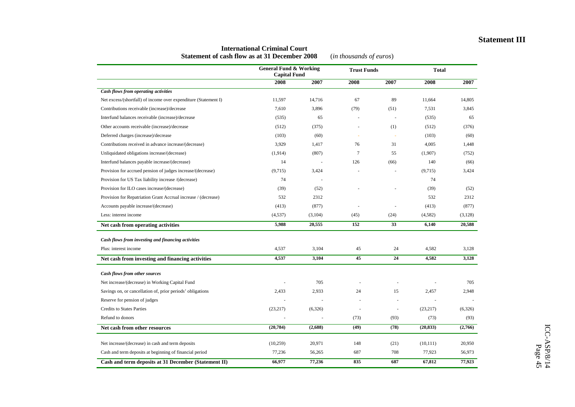#### **Statement III**

|                                                                 | <b>General Fund &amp; Working</b><br><b>Capital Fund</b> |         | <b>Trust Funds</b> |                          | <b>Total</b> |         |
|-----------------------------------------------------------------|----------------------------------------------------------|---------|--------------------|--------------------------|--------------|---------|
|                                                                 | 2008                                                     | 2007    | 2008               | 2007                     | 2008         | 2007    |
| <b>Cash flows from operating activities</b>                     |                                                          |         |                    |                          |              |         |
| Net excess/(shortfall) of income over expenditure (Statement I) | 11,597                                                   | 14,716  | 67                 | 89                       | 11,664       | 14,805  |
| Contributions receivable (increase)/decrease                    | 7,610                                                    | 3,896   | (79)               | (51)                     | 7,531        | 3,845   |
| Interfund balances receivable (increase)/decrease               | (535)                                                    | 65      | ÷,                 | $\overline{a}$           | (535)        | 65      |
| Other accounts receivable (increase)/decrease                   | (512)                                                    | (375)   |                    | (1)                      | (512)        | (376)   |
| Deferred charges (increase)/decrease                            | (103)                                                    | (60)    | ä,                 |                          | (103)        | (60)    |
| Contributions received in advance increase/(decrease)           | 3,929                                                    | 1,417   | 76                 | 31                       | 4,005        | 1,448   |
| Unliquidated obligations increase/(decrease)                    | (1,914)                                                  | (807)   | 7                  | 55                       | (1,907)      | (752)   |
| Interfund balances payable increase/(decrease)                  | 14                                                       |         | 126                | (66)                     | 140          | (66)    |
| Provision for accrued pension of judges increase/(decrease)     | (9,715)                                                  | 3,424   |                    |                          | (9,715)      | 3,424   |
| Provision for US Tax liability increase /(decrease)             | 74                                                       |         |                    |                          | 74           |         |
| Provision for ILO cases increase/(decrease)                     | (39)                                                     | (52)    |                    |                          | (39)         | (52)    |
| Provision for Repatriation Grant Accrual increase / (decrease)  | 532                                                      | 2312    |                    |                          | 532          | 2312    |
| Accounts payable increase/(decrease)                            | (413)                                                    | (877)   | L.                 | ÷.                       | (413)        | (877)   |
| Less: interest income                                           | (4,537)                                                  | (3,104) | (45)               | (24)                     | (4, 582)     | (3,128) |
| Net cash from operating activities                              | 5,988                                                    | 20,555  | 152                | 33                       | 6,140        | 20,588  |
| Cash flows from investing and financing activities              |                                                          |         |                    |                          |              |         |
| Plus: interest income                                           | 4,537                                                    | 3,104   | 45                 | 24                       | 4,582        | 3,128   |
| Net cash from investing and financing activities                | 4,537                                                    | 3,104   | 45                 | 24                       | 4,582        | 3,128   |
| <b>Cash flows from other sources</b>                            |                                                          |         |                    |                          |              |         |
| Net increase/(decrease) in Working Capital Fund                 |                                                          | 705     |                    |                          |              | 705     |
| Savings on, or cancellation of, prior periods' obligations      | 2,433                                                    | 2,933   | 24                 | 15                       | 2,457        | 2,948   |
| Reserve for pension of judges                                   | ÷,                                                       |         |                    | $\sim$                   |              |         |
| <b>Credits to States Parties</b>                                | (23, 217)                                                | (6,326) | $\overline{a}$     | $\overline{\phantom{a}}$ | (23,217)     | (6,326) |
| Refund to donors                                                |                                                          |         | (73)               | (93)                     | (73)         | (93)    |
| Net cash from other resources                                   | (20, 784)                                                | (2,688) | (49)               | (78)                     | (20, 833)    | (2,766) |
| Net increase/(decrease) in cash and term deposits               | (10,259)                                                 | 20,971  | 148                | (21)                     | (10, 111)    | 20,950  |
| Cash and term deposits at beginning of financial period         | 77,236                                                   | 56,265  | 687                | 708                      | 77,923       | 56,973  |
| Cash and term deposits at 31 December (Statement II)            | 66,977                                                   | 77,236  | 835                | 687                      | 67,812       | 77,923  |

#### **International Criminal Court Statement of cash flow as at 31 December 2008** (*in thousands of euros*)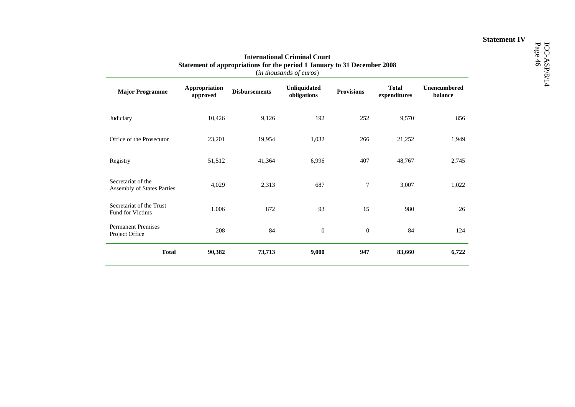## **Statement IV**

| <b>Major Programme</b>                              | Appropriation<br>approved | <b>Disbursements</b> | Unliquidated<br>obligations | <b>Provisions</b> | <b>Total</b><br>expenditures | Unencumbered<br>balance |
|-----------------------------------------------------|---------------------------|----------------------|-----------------------------|-------------------|------------------------------|-------------------------|
| Judiciary                                           | 10,426                    | 9,126                | 192                         | 252               | 9,570                        | 856                     |
| Office of the Prosecutor                            | 23,201                    | 19,954               | 1,032                       | 266               | 21,252                       | 1,949                   |
| Registry                                            | 51,512                    | 41,364               | 6,996                       | 407               | 48,767                       | 2,745                   |
| Secretariat of the<br>Assembly of States Parties    | 4,029                     | 2,313                | 687                         | 7                 | 3,007                        | 1,022                   |
| Secretariat of the Trust<br><b>Fund for Victims</b> | 1.006                     | 872                  | 93                          | 15                | 980                          | 26                      |
| <b>Permanent Premises</b><br>Project Office         | 208                       | 84                   | $\boldsymbol{0}$            | $\mathbf{0}$      | 84                           | 124                     |
| <b>Total</b>                                        | 90,382                    | 73,713               | 9,000                       | 947               | 83,660                       | 6,722                   |

# International Criminal Court<br>Statement of appropriations for the period 1 January to 31 December 2008<br>(*in thousands of euros*)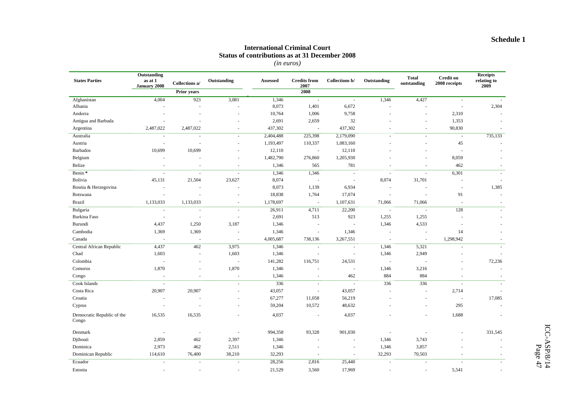#### **International Criminal Court Status of contributions as at 31 December 2008**

*(in euros)* 

| <b>States Parties</b>               | Outstanding<br>as at 1   |                          | Outstanding              | Assessed               | <b>Credits</b> from | Collections b/           | Outstanding   | <b>Total</b>            | <b>Credit on</b>                   | Receipts<br>relating to |
|-------------------------------------|--------------------------|--------------------------|--------------------------|------------------------|---------------------|--------------------------|---------------|-------------------------|------------------------------------|-------------------------|
|                                     | <b>January 2008</b>      | Collections a/           |                          |                        | 2007<br>2008        |                          |               | outstanding             | 2008 receipts                      | 2009                    |
|                                     |                          | <b>Prior years</b>       |                          |                        |                     |                          |               |                         |                                    |                         |
| Afghanistan<br>Albania              | 4,004                    | 923                      | 3,081                    | 1,346<br>8,073         | $\sim$<br>1,401     | $\sim$<br>6,672          | 1,346         | 4,427<br>$\overline{a}$ | $\sim$<br>$\overline{\phantom{a}}$ | 2,304                   |
| Andorra                             |                          |                          |                          | 10,764                 | 1,006               | 9,758                    |               | ä,                      | 2,310                              |                         |
| Antigua and Barbuda                 |                          |                          |                          | 2,691                  | 2,659               | 32                       |               | ä,                      |                                    |                         |
| Argentina                           | 2,487,022                | 2,487,022                | ÷.                       | 437,302                | $\sim$              | 437,302                  |               | ÷.                      | 1,353<br>90,830                    |                         |
|                                     |                          |                          |                          |                        |                     |                          |               |                         |                                    |                         |
| Australia<br>Austria                | $\sim$                   | $\overline{\phantom{a}}$ | $\sim$                   | 2,404,488<br>1,193,497 | 225,398<br>110,337  | 2,179,090<br>1,083,160   |               | $\sim$                  | $\sim$<br>45                       | 735,133                 |
| <b>Barbados</b>                     |                          |                          | $\sim$                   | 12,110                 | $\sim$              | 12,110                   |               | $\overline{a}$          | $\overline{a}$                     |                         |
|                                     | 10,699                   | 10,699                   |                          |                        |                     |                          |               |                         |                                    |                         |
| Belgium                             |                          |                          | $\sim$                   | 1,482,790              | 276,860             | 1,205,930                |               |                         | 8,059                              | $\sim$                  |
| Belize                              | ÷.                       | ÷,                       | ÷.                       | 1,346                  | 565                 | 781                      |               | ÷,                      | 462                                |                         |
| Benin *                             | ÷.                       | $\sim$                   | ÷.                       | 1,346                  | 1,346               | $\sim$                   | ÷.            | ÷.                      | 6,301                              | $\sim$                  |
| Bolivia                             | 45,131                   | 21,504                   | 23,627                   | 8,074                  | $\sim$              | $\overline{\phantom{a}}$ | 8,074         | 31,701                  |                                    |                         |
| Bosnia & Herzegovina                |                          | ÷,                       | ÷,                       | 8,073                  | 1,139               | 6,934                    | $\sim$        | ä,                      | ÷.                                 | 1,385                   |
| Botswana                            | $\sim$                   | ÷.                       |                          | 18,838                 | 1,764               | 17,074                   | $\sim$        | $\sim$                  | 91                                 | $\sim$                  |
| <b>Brazil</b>                       | 1,133,033                | 1,133,033                | $\sim$                   | 1,178,697              | $\sim$              | 1,107,631                | 71,066        | 71,066                  | $\sim$                             | $\sim$                  |
| Bulgaria                            | $\sim$                   | $\sim$                   | $\sim$                   | 26,911                 | 4,711               | 22,200                   | $\mathcal{L}$ | $\sim$                  | 128                                |                         |
| Burkina Faso                        | $\overline{\phantom{a}}$ | $\overline{\phantom{a}}$ | $\overline{\phantom{a}}$ | 2,691                  | 513                 | 923                      | 1,255         | 1,255                   |                                    |                         |
| Burundi                             | 4,437                    | 1,250                    | 3,187                    | 1,346                  | ÷.                  | $\sim$                   | 1,346         | 4,533                   |                                    |                         |
| Cambodia                            | 1,369                    | 1,369                    | ÷.                       | 1,346                  | ÷.                  | 1,346                    | $\sim$        | $\sim$                  | 14                                 |                         |
| Canada                              | $\sim$                   | $\overline{\phantom{a}}$ | $\sim$                   | 4,005,687              | 738,136             | 3,267,551                | $\sim$        | $\sim$                  | 1,298,942                          |                         |
| Central African Republic            | 4,437                    | 462                      | 3,975                    | 1,346                  | $\sim$              | $\sim$                   | 1,346         | 5,321                   | ÷.                                 | $\sim$                  |
| Chad                                | 1,603                    | $\overline{\phantom{a}}$ | 1,603                    | 1,346                  | $\sim$              | $\sim$                   | 1,346         | 2,949                   |                                    |                         |
| Colombia                            |                          | ä,                       | $\sim$                   | 141,282                | 116,751             | 24,531                   | $\sim$        | $\sim$                  |                                    | 72,236                  |
| Comoros                             | 1,870                    |                          | 1,870                    | 1,346                  |                     | $\overline{\phantom{a}}$ | 1,346         | 3,216                   |                                    |                         |
| Congo                               | $\overline{\phantom{a}}$ | $\sim$                   | $\sim$                   | 1,346                  | $\sim$              | 462                      | 884           | 884                     |                                    |                         |
| Cook Islands                        | $\sim$                   |                          | ÷.                       | 336                    | $\sim$              | $\sim$                   | 336           | 336                     | $\sim$                             |                         |
| Costa Rica                          | 20,907                   | 20,907                   |                          | 43,057                 | $\sim$              | 43,057                   |               | ä,                      | 2,714                              |                         |
| Croatia                             | $\sim$                   |                          | ÷                        | 67,277                 | 11,058              | 56,219                   |               | ÷,                      | $\sim$                             | 17,085                  |
| Cyprus                              |                          |                          |                          | 59,204                 | 10,572              | 48,632                   |               | $\sim$                  | 295                                |                         |
| Democratic Republic of the<br>Congo | 16,535                   | 16,535                   |                          | 4,037                  | $\sim$              | 4,037                    |               |                         | 1,688                              |                         |
| Denmark                             |                          | $\overline{\phantom{a}}$ | $\overline{\phantom{a}}$ | 994,358                | 93,328              | 901,030                  | $\sim$        |                         |                                    | 331,545                 |
| Djibouti                            | 2,859                    | 462                      | 2,397                    | 1,346                  | $\sim$              | $\sim$                   | 1,346         | 3,743                   |                                    |                         |
| Dominica                            | 2,973                    | 462                      | 2,511                    | 1,346                  | $\sim$              | $\sim$                   | 1,346         | 3,857                   |                                    |                         |
| Dominican Republic                  | 114,610                  | 76,400                   | 38,210                   | 32,293                 | ÷.                  | $\sim$                   | 32,293        | 70,503                  |                                    |                         |
| Ecuador                             |                          | $\sim$                   | $\sim$                   | 28,256                 | 2,816               | 25,440                   | ÷.            | $\sim$                  | $\sim$                             |                         |
| Estonia                             | $\sim$                   |                          |                          | 21,529                 | 3,560               | 17,969                   |               |                         | 5,541                              |                         |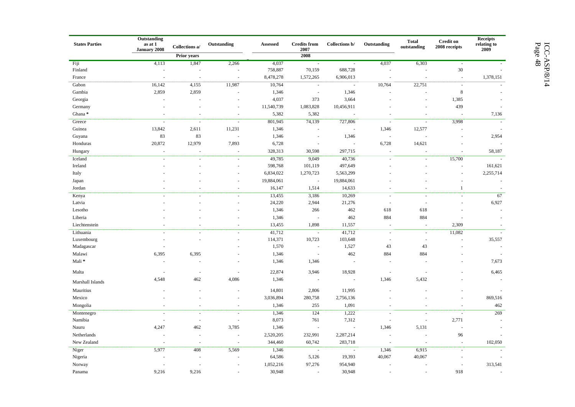| <b>States Parties</b> | Outstanding<br>as at 1<br><b>January 2008</b> | Collections a/                 | Outstanding              | Assessed   | <b>Credits</b> from<br>2007 | Collections b/     | Outstanding              | <b>Total</b><br>outstanding | <b>Credit on</b><br>2008 receipts | Receipts<br>$% \left\vert \left( \mathbf{r}_{1},\mathbf{r}_{2}\right) \right\vert$ relating to<br>2009 |
|-----------------------|-----------------------------------------------|--------------------------------|--------------------------|------------|-----------------------------|--------------------|--------------------------|-----------------------------|-----------------------------------|--------------------------------------------------------------------------------------------------------|
|                       |                                               | Prior years                    |                          |            | 2008                        |                    |                          |                             |                                   |                                                                                                        |
| Fiji                  | 4,113                                         | 1,847                          | 2,266                    | 4,037      | $\sim$                      | $\sim$             | 4,037                    | 6,303                       | $\blacksquare$                    |                                                                                                        |
| Finland               |                                               |                                |                          | 758,887    | 70,159                      | 688,728            |                          |                             | $30\,$                            | ÷.                                                                                                     |
| France                |                                               | $\sim$                         | ÷.                       | 8,478,278  | 1,572,265                   | 6,906,013          |                          | J.                          | $\sim$                            | 1,378,151                                                                                              |
| Gabon                 | 16,142                                        | 4,155                          | 11,987                   | 10,764     | $\overline{\phantom{a}}$    | $\sim$             | 10,764                   | 22,751                      | $\sim$                            |                                                                                                        |
| Gambia                | 2,859                                         | 2,859                          |                          | 1,346      | $\sim$                      | 1,346              |                          |                             | $\,8\,$                           |                                                                                                        |
| Georgia               |                                               |                                |                          | 4,037      | 373                         | 3,664              |                          | L.                          | 1,385                             |                                                                                                        |
| Germany               |                                               |                                |                          | 11,540,739 | 1,083,828                   | 10,456,911         |                          |                             | 439                               |                                                                                                        |
| Ghana*                |                                               | $\sim$                         | $\sim$                   | 5,382      | 5,382                       |                    |                          | ÷,                          |                                   | 7,136                                                                                                  |
| Greece                | $\sim$                                        | $\sim$                         | $\sim$                   | 801,945    | 74,139                      | 727,806            | J.                       | ÷,                          | 3,998                             | $\sim$                                                                                                 |
| Guinea                | 13,842                                        | 2,611                          | 11,231                   | 1,346      |                             |                    | 1,346                    | 12,577                      |                                   | $\sim$                                                                                                 |
| Guyana                | 83                                            | 83                             |                          | 1,346      | $\sim$                      | 1,346              | $\overline{\phantom{a}}$ | ÷,                          |                                   | 2,954                                                                                                  |
| Honduras              | 20,872                                        | 12,979                         | 7,893                    | 6,728      |                             |                    | 6,728                    | 14,621                      |                                   |                                                                                                        |
| Hungary               | $\sim$                                        | $\sim$                         | $\sim$                   | 328,313    | 30,598                      | 297,715            | $\bar{a}$                | $\overline{\phantom{a}}$    |                                   | 58,187                                                                                                 |
| Iceland               |                                               | $\overline{\phantom{a}}$       | $\sim$                   | 49,785     | 9,049                       | 40,736             | $\sim$                   | $\sim$                      | 15,700                            | $\sim$                                                                                                 |
| Ireland               |                                               |                                | $\sim$                   | 598,768    | 101,119                     | 497,649            |                          |                             |                                   | 161,621                                                                                                |
| Italy                 |                                               |                                | $\sim$                   | 6,834,022  | 1,270,723                   | 5,563,299          |                          |                             |                                   | 2,255,714                                                                                              |
| Japan                 |                                               |                                |                          | 19,884,061 | $\sim$                      | 19,884,061         |                          |                             |                                   | $\overline{\phantom{a}}$                                                                               |
| Jordan                |                                               |                                | $\sim$                   | 16,147     | 1,514                       | 14,633             |                          |                             | $\mathbf{1}$                      | $\overline{\phantom{a}}$                                                                               |
| Kenya                 |                                               |                                | $\sim$                   | 13,455     | 3,186                       | 10,269             | $\sim$                   | $\overline{\phantom{a}}$    |                                   | 67                                                                                                     |
| Latvia                |                                               |                                | ÷.                       | 24,220     | 2,944                       | 21,276             | $\sim$                   | ÷.                          |                                   | 6,927                                                                                                  |
| Lesotho               |                                               |                                |                          | 1,346      | 266                         | 462                | 618                      | 618                         |                                   |                                                                                                        |
| Liberia               |                                               |                                |                          | 1,346      | $\overline{\phantom{a}}$    | 462                | 884                      | 884                         |                                   |                                                                                                        |
| Liechtenstein         |                                               |                                |                          | 13,455     | 1,898                       | 11,557             |                          | $\overline{\phantom{a}}$    | 2,309                             |                                                                                                        |
| Lithuania             |                                               | ä,                             | $\overline{\phantom{a}}$ | 41,712     | $\sim$                      | 41,712             | $\sim$                   | $\sim$                      | 11,082                            |                                                                                                        |
| Luxembourg            |                                               | $\sim$                         | $\overline{\phantom{a}}$ | 114,371    | 10,723                      | 103,648            | ł,                       | J.                          |                                   | 35,557                                                                                                 |
| Madagascar            |                                               |                                |                          | 1,570      | $\sim$                      | 1,527              | 43                       | 43                          |                                   | $\sim$                                                                                                 |
| Malawi                | 6,395                                         | 6,395                          |                          | 1,346      | $\sim$                      | 462                | 884                      | 884                         |                                   | $\sim$                                                                                                 |
| Mali*                 |                                               |                                |                          | 1,346      | 1,346                       |                    |                          |                             |                                   | 7,673                                                                                                  |
| Malta                 |                                               | $\overline{\phantom{a}}$       | ÷.                       | 22,874     | 3,946                       | 18,928             | $\overline{\phantom{a}}$ |                             |                                   | 6,465                                                                                                  |
| Marshall Islands      | 4,548                                         | 462                            | 4,086                    | 1,346      |                             |                    | 1,346                    | 5,432                       |                                   |                                                                                                        |
| Mauritius             |                                               |                                |                          | 14,801     | 2,806                       | 11,995             |                          |                             |                                   |                                                                                                        |
|                       |                                               |                                |                          |            |                             |                    |                          |                             |                                   | $\sim$                                                                                                 |
| Mexico                |                                               |                                | $\sim$                   | 3,036,894  | 280,758<br>255              | 2,756,136<br>1,091 |                          |                             |                                   | 869,516<br>462                                                                                         |
| Mongolia              |                                               | $\overline{\phantom{a}}$<br>÷, | $\overline{\phantom{a}}$ | 1,346      |                             |                    | ÷,                       | ÷,                          | $\overline{a}$                    |                                                                                                        |
| Montenegro            |                                               |                                | $\sim$                   | 1,346      | 124                         | 1,222              | $\ddot{\phantom{1}}$     | ÷,                          |                                   | 269                                                                                                    |
| Namibia               |                                               | $\sim$                         | ÷.                       | 8,073      | 761                         | 7,312              | $\sim$                   | $\sim$                      | 2,771                             |                                                                                                        |
| Nauru                 | 4,247                                         | 462                            | 3,785                    | 1,346      | $\sim$                      | $\sim$             | 1,346                    | 5,131                       | $\sim$                            | ÷.                                                                                                     |
| Netherlands           |                                               | $\overline{\phantom{a}}$       | $\sim$                   | 2,520,205  | 232,991                     | 2,287,214          | $\overline{\phantom{a}}$ | $\overline{\phantom{a}}$    | 96                                |                                                                                                        |
| New Zealand           |                                               | $\sim$                         | $\sim$                   | 344,460    | 60,742                      | 283,718            | ÷,                       | $\sim$                      |                                   | 102,050                                                                                                |
| Niger                 | 5,977                                         | 408                            | 5,569                    | 1,346      | $\sim$                      |                    | 1,346                    | 6,915                       |                                   |                                                                                                        |
| Nigeria               |                                               |                                |                          | 64,586     | 5,126                       | 19,393             | 40,067                   | 40,067                      |                                   |                                                                                                        |
| Norway                |                                               | ÷.                             |                          | 1,052,216  | 97,276                      | 954,940            | ä,                       | ÷,                          | $\overline{\phantom{a}}$          | 313,541                                                                                                |
| Panama                | 9.216                                         | 9.216                          |                          | 30.948     |                             | 30.948             |                          |                             | 918                               |                                                                                                        |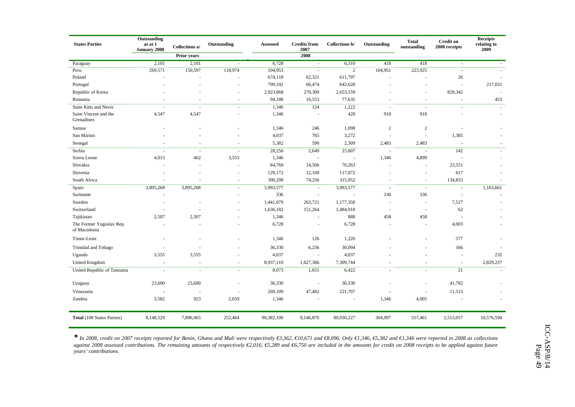| <b>States Parties</b>                    | Outstanding<br>as at 1<br>January 2008 | Collections a/     | Outstanding              | Assessed   | <b>Credits from</b><br>2007 | Collections b/ | Outstanding    | <b>Total</b><br>outstanding | <b>Credit on</b><br>2008 receipts | <b>Receipts</b><br>relating to<br>2009 |
|------------------------------------------|----------------------------------------|--------------------|--------------------------|------------|-----------------------------|----------------|----------------|-----------------------------|-----------------------------------|----------------------------------------|
|                                          |                                        | <b>Prior</b> years |                          |            | 2008                        |                |                |                             |                                   |                                        |
| Paraguay                                 | 2,101                                  | 2,101              |                          | 6,728      | $\sim$                      | 6,310          | 418            | 418                         | $\omega$                          |                                        |
| Peru                                     | 269,571                                | 150,597            | 118,974                  | 104,953    | $\sim$                      | $\overline{2}$ | 104,951        | 223,925                     | $\sim$                            |                                        |
| Poland                                   |                                        |                    |                          | 674,118    | 62,321                      | 611,797        |                |                             | 26                                |                                        |
| Portugal                                 |                                        |                    |                          | 709,102    | 66,474                      | 642,628        |                |                             | ä,                                | 217,031                                |
| Republic of Korea                        |                                        |                    |                          | 2,923,868  | 270,309                     | 2,653,559      |                |                             | 829,342                           |                                        |
| Romania                                  |                                        |                    |                          | 94,188     | 16,553                      | 77,635         |                |                             | ä,                                | 453                                    |
| Saint Kitts and Nevis                    |                                        |                    |                          | 1,346      | 124                         | 1,222          | ÷.             | $\sim$                      | ÷.                                |                                        |
| Saint Vincent and the<br>Grenadines      | 4,547                                  | 4,547              |                          | 1,346      | $\sim$                      | 428            | 918            | 918                         |                                   |                                        |
| Samoa                                    |                                        |                    |                          | 1,346      | 246                         | 1,098          | 2              | $\overline{c}$              | ÷,                                |                                        |
| San Marino                               |                                        |                    |                          | 4,037      | 765                         | 3,272          |                | $\sim$                      | 1,385                             |                                        |
| Senegal                                  |                                        |                    |                          | 5,382      | 590                         | 2,309          | 2,483          | 2,483                       | J.                                |                                        |
| Serbia                                   | ÷.                                     | $\sim$             | $\sim$                   | 28,256     | 2,649                       | 25,607         | $\sim$         | $\sim$                      | 142                               |                                        |
| Sierra Leone                             | 4,015                                  | 462                | 3,553                    | 1,346      | $\sim$                      | $\sim$         | 1,346          | 4,899                       | $\sim$                            |                                        |
| Slovakia                                 |                                        |                    |                          | 84,769     | 14,506                      | 70,263         | ÷,             | $\sim$                      | 23,551                            |                                        |
| Slovenia                                 |                                        |                    |                          | 129,172    | 12,100                      | 117,072        |                | $\sim$                      | 617                               |                                        |
| South Africa                             |                                        |                    |                          | 390,208    | 74,256                      | 315,952        | ÷              | $\sim$                      | 134,833                           |                                        |
| Spain                                    | 3,895,268                              | 3,895,268          | $\sim$                   | 3,993,577  | $\blacksquare$              | 3,993,577      | $\overline{a}$ | $\sim$                      | $\sim$                            | 1,163,661                              |
| Suriname                                 |                                        |                    |                          | 336        | $\sim$                      |                | 336            | 336                         | $\sim$                            |                                        |
| Sweden                                   |                                        |                    |                          | 1,441,079  | 263,721                     | 1,177,358      |                | $\sim$                      | 7,527                             |                                        |
| Switzerland                              |                                        |                    |                          | 1,636,182  | 151,264                     | 1,484,918      | ä,             | $\sim$                      | 62                                |                                        |
| Tajikistan                               | 2,507                                  | 2,507              |                          | 1,346      | $\sim$                      | 888            | 458            | 458                         | $\overline{a}$                    |                                        |
| The Former Yugoslav Rep.<br>of Macedonia |                                        |                    |                          | 6,728      |                             | 6,728          |                |                             | 4,003                             |                                        |
| Timor-Leste                              |                                        |                    |                          | 1,346      | 126                         | 1,220          |                |                             | 577                               |                                        |
| Trinidad and Tobago                      |                                        |                    |                          | 36,330     | 6,236                       | 30,094         |                |                             | 166                               |                                        |
| Uganda                                   | 3,555                                  | 3,555              |                          | 4,037      | $\sim$                      | 4,037          |                |                             | $\overline{\phantom{a}}$          | 232                                    |
| <b>United Kingdom</b>                    |                                        |                    |                          | 8,937,110  | 1,627,366                   | 7,309,744      |                |                             | ÷.                                | 2,829,237                              |
| United Republic of Tanzania              | $\sim$                                 | ÷,                 | $\overline{\phantom{a}}$ | 8,073      | 1,651                       | 6,422          |                | $\bar{a}$                   | 21                                | ÷.                                     |
| Uruguay                                  | 23,600                                 | 23,600             |                          | 36,330     | ÷,                          | 36,330         |                |                             | 41,782                            |                                        |
| Venezuela                                |                                        |                    |                          | 269,109    | 47,402                      | 221,707        |                | $\sim$                      | 11,515                            |                                        |
| Zambia                                   | 3,582                                  | 923                | 2,659                    | 1,346      |                             |                | 1,346          | 4,005                       |                                   |                                        |
| <b>Total</b> (108 States Parties)        | 8,148,529                              | 7,896,065          | 252,464                  | 90,382,100 | 9,146,876                   | 80,930,227     | 304,997        | 557,461                     | 2,513,057                         | 10,576,594                             |

*\* In 2008, credit on 2007 receipts reported for Benin, Ghana and Mali were respectively €3,362, €10,671 and €8,096. Only €1,346, €5,382 and €1,346 were reported in 2008 as collections*  against 2008 assessed contributions. The remaining amounts of respectively €2,016, €5,289 and €6,750 are included in the amounts for credit on 2008 receipts to be applied against future *years' contributions.*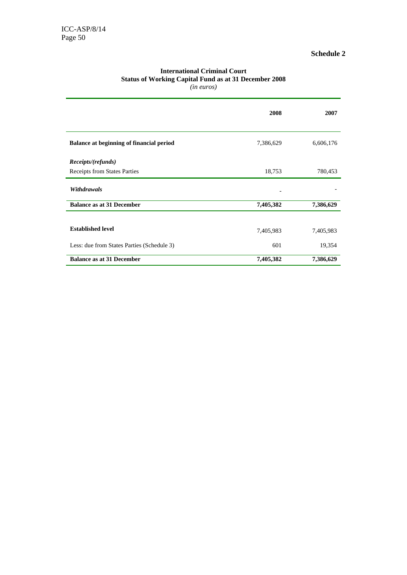| (in euros)                                      |           |           |
|-------------------------------------------------|-----------|-----------|
|                                                 | 2008      | 2007      |
| <b>Balance at beginning of financial period</b> | 7,386,629 | 6,606,176 |
| Receipts/(refunds)                              |           |           |
| Receipts from States Parties                    | 18,753    | 780,453   |
| Withdrawals                                     |           |           |
| <b>Balance as at 31 December</b>                | 7,405,382 | 7,386,629 |
|                                                 |           |           |
| <b>Established level</b>                        | 7,405,983 | 7,405,983 |
| Less: due from States Parties (Schedule 3)      | 601       | 19,354    |
| <b>Balance as at 31 December</b>                | 7,405,382 | 7,386,629 |

#### **International Criminal Court Status of Working Capital Fund as at 31 December 2008** *(in euros)*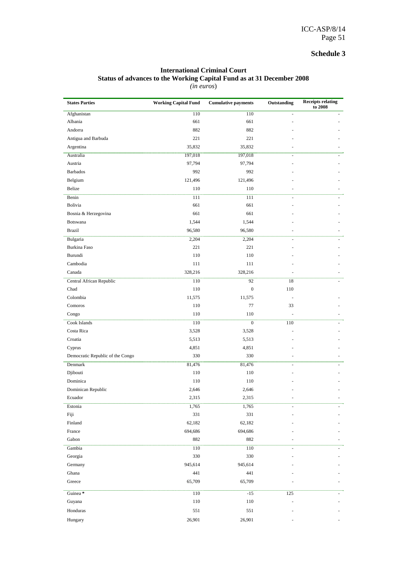#### **International Criminal Court Status of advances to the Working Capital Fund as at 31 December 2008**  *(in euros*)

| 110<br>Afghanistan<br>110<br>$\overline{\phantom{a}}$<br>661<br>661<br>Albania<br>882<br>882<br>Andorra<br>221<br>221<br>Antigua and Barbuda<br>Argentina<br>35,832<br>35,832<br>Australia<br>197,018<br>197,018<br>$\blacksquare$<br>97,794<br>97,794<br>Austria<br><b>Barbados</b><br>992<br>992<br>Belgium<br>121,496<br>121,496<br>Belize<br>110<br>110<br>111<br>111<br>Benin<br>÷,<br>Bolivia<br>661<br>661<br>661<br>661<br>Bosnia & Herzegovina<br>Botswana<br>1,544<br>1,544<br>96,580<br>96,580<br><b>Brazil</b><br>2,204<br>Bulgaria<br>2,204<br>$\overline{\phantom{a}}$<br>Burkina Faso<br>221<br>221<br>Burundi<br>110<br>110<br>Cambodia<br>111<br>111<br>328,216<br>Canada<br>328,216<br>Central African Republic<br>110<br>92<br>18<br>Chad<br>110<br>$\boldsymbol{0}$<br>110<br>Colombia<br>11,575<br>11,575<br>77<br>Comoros<br>110<br>33<br>Congo<br>110<br>110<br>Cook Islands<br>110<br>$\mathbf{0}$<br>110<br>Costa Rica<br>3,528<br>3,528<br>5,513<br>Croatia<br>5,513<br>4,851<br>4,851<br>Cyprus<br>Democratic Republic of the Congo<br>330<br>330<br>٠<br>Denmark<br>81,476<br>81,476<br>Djibouti<br>110<br>110<br>Dominica<br>110<br>110<br>Dominican Republic<br>2,646<br>2,646<br>2,315<br>2,315<br>Ecuador<br>Estonia<br>1,765<br>1,765<br>Fiji<br>331<br>331<br>Finland<br>62,182<br>62,182<br>France<br>694,686<br>694,686<br>Gabon<br>882<br>882<br>Gambia<br>110<br>110<br>$\overline{a}$<br>Georgia<br>330<br>330<br>945,614<br>945,614<br>Germany<br>Ghana<br>441<br>441<br>65,709<br>65,709<br>Greece<br>Guinea <sup>*</sup><br>110<br>$-15$<br>125<br>110<br>Guyana<br>110<br>Honduras<br>551<br>551<br>26,901<br>26,901<br>Hungary | <b>States Parties</b> | <b>Working Capital Fund</b> | <b>Cumulative payments</b> | Outstanding | <b>Receipts relating</b><br>to 2008 |
|----------------------------------------------------------------------------------------------------------------------------------------------------------------------------------------------------------------------------------------------------------------------------------------------------------------------------------------------------------------------------------------------------------------------------------------------------------------------------------------------------------------------------------------------------------------------------------------------------------------------------------------------------------------------------------------------------------------------------------------------------------------------------------------------------------------------------------------------------------------------------------------------------------------------------------------------------------------------------------------------------------------------------------------------------------------------------------------------------------------------------------------------------------------------------------------------------------------------------------------------------------------------------------------------------------------------------------------------------------------------------------------------------------------------------------------------------------------------------------------------------------------------------------------------------------------------------------------------------------------------------------------------------------------------------|-----------------------|-----------------------------|----------------------------|-------------|-------------------------------------|
|                                                                                                                                                                                                                                                                                                                                                                                                                                                                                                                                                                                                                                                                                                                                                                                                                                                                                                                                                                                                                                                                                                                                                                                                                                                                                                                                                                                                                                                                                                                                                                                                                                                                            |                       |                             |                            |             |                                     |
|                                                                                                                                                                                                                                                                                                                                                                                                                                                                                                                                                                                                                                                                                                                                                                                                                                                                                                                                                                                                                                                                                                                                                                                                                                                                                                                                                                                                                                                                                                                                                                                                                                                                            |                       |                             |                            |             |                                     |
|                                                                                                                                                                                                                                                                                                                                                                                                                                                                                                                                                                                                                                                                                                                                                                                                                                                                                                                                                                                                                                                                                                                                                                                                                                                                                                                                                                                                                                                                                                                                                                                                                                                                            |                       |                             |                            |             |                                     |
|                                                                                                                                                                                                                                                                                                                                                                                                                                                                                                                                                                                                                                                                                                                                                                                                                                                                                                                                                                                                                                                                                                                                                                                                                                                                                                                                                                                                                                                                                                                                                                                                                                                                            |                       |                             |                            |             |                                     |
|                                                                                                                                                                                                                                                                                                                                                                                                                                                                                                                                                                                                                                                                                                                                                                                                                                                                                                                                                                                                                                                                                                                                                                                                                                                                                                                                                                                                                                                                                                                                                                                                                                                                            |                       |                             |                            |             |                                     |
|                                                                                                                                                                                                                                                                                                                                                                                                                                                                                                                                                                                                                                                                                                                                                                                                                                                                                                                                                                                                                                                                                                                                                                                                                                                                                                                                                                                                                                                                                                                                                                                                                                                                            |                       |                             |                            |             |                                     |
|                                                                                                                                                                                                                                                                                                                                                                                                                                                                                                                                                                                                                                                                                                                                                                                                                                                                                                                                                                                                                                                                                                                                                                                                                                                                                                                                                                                                                                                                                                                                                                                                                                                                            |                       |                             |                            |             |                                     |
|                                                                                                                                                                                                                                                                                                                                                                                                                                                                                                                                                                                                                                                                                                                                                                                                                                                                                                                                                                                                                                                                                                                                                                                                                                                                                                                                                                                                                                                                                                                                                                                                                                                                            |                       |                             |                            |             |                                     |
|                                                                                                                                                                                                                                                                                                                                                                                                                                                                                                                                                                                                                                                                                                                                                                                                                                                                                                                                                                                                                                                                                                                                                                                                                                                                                                                                                                                                                                                                                                                                                                                                                                                                            |                       |                             |                            |             |                                     |
|                                                                                                                                                                                                                                                                                                                                                                                                                                                                                                                                                                                                                                                                                                                                                                                                                                                                                                                                                                                                                                                                                                                                                                                                                                                                                                                                                                                                                                                                                                                                                                                                                                                                            |                       |                             |                            |             |                                     |
|                                                                                                                                                                                                                                                                                                                                                                                                                                                                                                                                                                                                                                                                                                                                                                                                                                                                                                                                                                                                                                                                                                                                                                                                                                                                                                                                                                                                                                                                                                                                                                                                                                                                            |                       |                             |                            |             |                                     |
|                                                                                                                                                                                                                                                                                                                                                                                                                                                                                                                                                                                                                                                                                                                                                                                                                                                                                                                                                                                                                                                                                                                                                                                                                                                                                                                                                                                                                                                                                                                                                                                                                                                                            |                       |                             |                            |             |                                     |
|                                                                                                                                                                                                                                                                                                                                                                                                                                                                                                                                                                                                                                                                                                                                                                                                                                                                                                                                                                                                                                                                                                                                                                                                                                                                                                                                                                                                                                                                                                                                                                                                                                                                            |                       |                             |                            |             |                                     |
|                                                                                                                                                                                                                                                                                                                                                                                                                                                                                                                                                                                                                                                                                                                                                                                                                                                                                                                                                                                                                                                                                                                                                                                                                                                                                                                                                                                                                                                                                                                                                                                                                                                                            |                       |                             |                            |             |                                     |
|                                                                                                                                                                                                                                                                                                                                                                                                                                                                                                                                                                                                                                                                                                                                                                                                                                                                                                                                                                                                                                                                                                                                                                                                                                                                                                                                                                                                                                                                                                                                                                                                                                                                            |                       |                             |                            |             |                                     |
|                                                                                                                                                                                                                                                                                                                                                                                                                                                                                                                                                                                                                                                                                                                                                                                                                                                                                                                                                                                                                                                                                                                                                                                                                                                                                                                                                                                                                                                                                                                                                                                                                                                                            |                       |                             |                            |             |                                     |
|                                                                                                                                                                                                                                                                                                                                                                                                                                                                                                                                                                                                                                                                                                                                                                                                                                                                                                                                                                                                                                                                                                                                                                                                                                                                                                                                                                                                                                                                                                                                                                                                                                                                            |                       |                             |                            |             |                                     |
|                                                                                                                                                                                                                                                                                                                                                                                                                                                                                                                                                                                                                                                                                                                                                                                                                                                                                                                                                                                                                                                                                                                                                                                                                                                                                                                                                                                                                                                                                                                                                                                                                                                                            |                       |                             |                            |             |                                     |
|                                                                                                                                                                                                                                                                                                                                                                                                                                                                                                                                                                                                                                                                                                                                                                                                                                                                                                                                                                                                                                                                                                                                                                                                                                                                                                                                                                                                                                                                                                                                                                                                                                                                            |                       |                             |                            |             |                                     |
|                                                                                                                                                                                                                                                                                                                                                                                                                                                                                                                                                                                                                                                                                                                                                                                                                                                                                                                                                                                                                                                                                                                                                                                                                                                                                                                                                                                                                                                                                                                                                                                                                                                                            |                       |                             |                            |             |                                     |
|                                                                                                                                                                                                                                                                                                                                                                                                                                                                                                                                                                                                                                                                                                                                                                                                                                                                                                                                                                                                                                                                                                                                                                                                                                                                                                                                                                                                                                                                                                                                                                                                                                                                            |                       |                             |                            |             |                                     |
|                                                                                                                                                                                                                                                                                                                                                                                                                                                                                                                                                                                                                                                                                                                                                                                                                                                                                                                                                                                                                                                                                                                                                                                                                                                                                                                                                                                                                                                                                                                                                                                                                                                                            |                       |                             |                            |             |                                     |
|                                                                                                                                                                                                                                                                                                                                                                                                                                                                                                                                                                                                                                                                                                                                                                                                                                                                                                                                                                                                                                                                                                                                                                                                                                                                                                                                                                                                                                                                                                                                                                                                                                                                            |                       |                             |                            |             |                                     |
|                                                                                                                                                                                                                                                                                                                                                                                                                                                                                                                                                                                                                                                                                                                                                                                                                                                                                                                                                                                                                                                                                                                                                                                                                                                                                                                                                                                                                                                                                                                                                                                                                                                                            |                       |                             |                            |             |                                     |
|                                                                                                                                                                                                                                                                                                                                                                                                                                                                                                                                                                                                                                                                                                                                                                                                                                                                                                                                                                                                                                                                                                                                                                                                                                                                                                                                                                                                                                                                                                                                                                                                                                                                            |                       |                             |                            |             |                                     |
|                                                                                                                                                                                                                                                                                                                                                                                                                                                                                                                                                                                                                                                                                                                                                                                                                                                                                                                                                                                                                                                                                                                                                                                                                                                                                                                                                                                                                                                                                                                                                                                                                                                                            |                       |                             |                            |             |                                     |
|                                                                                                                                                                                                                                                                                                                                                                                                                                                                                                                                                                                                                                                                                                                                                                                                                                                                                                                                                                                                                                                                                                                                                                                                                                                                                                                                                                                                                                                                                                                                                                                                                                                                            |                       |                             |                            |             |                                     |
|                                                                                                                                                                                                                                                                                                                                                                                                                                                                                                                                                                                                                                                                                                                                                                                                                                                                                                                                                                                                                                                                                                                                                                                                                                                                                                                                                                                                                                                                                                                                                                                                                                                                            |                       |                             |                            |             |                                     |
|                                                                                                                                                                                                                                                                                                                                                                                                                                                                                                                                                                                                                                                                                                                                                                                                                                                                                                                                                                                                                                                                                                                                                                                                                                                                                                                                                                                                                                                                                                                                                                                                                                                                            |                       |                             |                            |             |                                     |
|                                                                                                                                                                                                                                                                                                                                                                                                                                                                                                                                                                                                                                                                                                                                                                                                                                                                                                                                                                                                                                                                                                                                                                                                                                                                                                                                                                                                                                                                                                                                                                                                                                                                            |                       |                             |                            |             |                                     |
|                                                                                                                                                                                                                                                                                                                                                                                                                                                                                                                                                                                                                                                                                                                                                                                                                                                                                                                                                                                                                                                                                                                                                                                                                                                                                                                                                                                                                                                                                                                                                                                                                                                                            |                       |                             |                            |             |                                     |
|                                                                                                                                                                                                                                                                                                                                                                                                                                                                                                                                                                                                                                                                                                                                                                                                                                                                                                                                                                                                                                                                                                                                                                                                                                                                                                                                                                                                                                                                                                                                                                                                                                                                            |                       |                             |                            |             |                                     |
|                                                                                                                                                                                                                                                                                                                                                                                                                                                                                                                                                                                                                                                                                                                                                                                                                                                                                                                                                                                                                                                                                                                                                                                                                                                                                                                                                                                                                                                                                                                                                                                                                                                                            |                       |                             |                            |             |                                     |
|                                                                                                                                                                                                                                                                                                                                                                                                                                                                                                                                                                                                                                                                                                                                                                                                                                                                                                                                                                                                                                                                                                                                                                                                                                                                                                                                                                                                                                                                                                                                                                                                                                                                            |                       |                             |                            |             |                                     |
|                                                                                                                                                                                                                                                                                                                                                                                                                                                                                                                                                                                                                                                                                                                                                                                                                                                                                                                                                                                                                                                                                                                                                                                                                                                                                                                                                                                                                                                                                                                                                                                                                                                                            |                       |                             |                            |             |                                     |
|                                                                                                                                                                                                                                                                                                                                                                                                                                                                                                                                                                                                                                                                                                                                                                                                                                                                                                                                                                                                                                                                                                                                                                                                                                                                                                                                                                                                                                                                                                                                                                                                                                                                            |                       |                             |                            |             |                                     |
|                                                                                                                                                                                                                                                                                                                                                                                                                                                                                                                                                                                                                                                                                                                                                                                                                                                                                                                                                                                                                                                                                                                                                                                                                                                                                                                                                                                                                                                                                                                                                                                                                                                                            |                       |                             |                            |             |                                     |
|                                                                                                                                                                                                                                                                                                                                                                                                                                                                                                                                                                                                                                                                                                                                                                                                                                                                                                                                                                                                                                                                                                                                                                                                                                                                                                                                                                                                                                                                                                                                                                                                                                                                            |                       |                             |                            |             |                                     |
|                                                                                                                                                                                                                                                                                                                                                                                                                                                                                                                                                                                                                                                                                                                                                                                                                                                                                                                                                                                                                                                                                                                                                                                                                                                                                                                                                                                                                                                                                                                                                                                                                                                                            |                       |                             |                            |             |                                     |
|                                                                                                                                                                                                                                                                                                                                                                                                                                                                                                                                                                                                                                                                                                                                                                                                                                                                                                                                                                                                                                                                                                                                                                                                                                                                                                                                                                                                                                                                                                                                                                                                                                                                            |                       |                             |                            |             |                                     |
|                                                                                                                                                                                                                                                                                                                                                                                                                                                                                                                                                                                                                                                                                                                                                                                                                                                                                                                                                                                                                                                                                                                                                                                                                                                                                                                                                                                                                                                                                                                                                                                                                                                                            |                       |                             |                            |             |                                     |
|                                                                                                                                                                                                                                                                                                                                                                                                                                                                                                                                                                                                                                                                                                                                                                                                                                                                                                                                                                                                                                                                                                                                                                                                                                                                                                                                                                                                                                                                                                                                                                                                                                                                            |                       |                             |                            |             |                                     |
|                                                                                                                                                                                                                                                                                                                                                                                                                                                                                                                                                                                                                                                                                                                                                                                                                                                                                                                                                                                                                                                                                                                                                                                                                                                                                                                                                                                                                                                                                                                                                                                                                                                                            |                       |                             |                            |             |                                     |
|                                                                                                                                                                                                                                                                                                                                                                                                                                                                                                                                                                                                                                                                                                                                                                                                                                                                                                                                                                                                                                                                                                                                                                                                                                                                                                                                                                                                                                                                                                                                                                                                                                                                            |                       |                             |                            |             |                                     |
|                                                                                                                                                                                                                                                                                                                                                                                                                                                                                                                                                                                                                                                                                                                                                                                                                                                                                                                                                                                                                                                                                                                                                                                                                                                                                                                                                                                                                                                                                                                                                                                                                                                                            |                       |                             |                            |             |                                     |
|                                                                                                                                                                                                                                                                                                                                                                                                                                                                                                                                                                                                                                                                                                                                                                                                                                                                                                                                                                                                                                                                                                                                                                                                                                                                                                                                                                                                                                                                                                                                                                                                                                                                            |                       |                             |                            |             |                                     |
|                                                                                                                                                                                                                                                                                                                                                                                                                                                                                                                                                                                                                                                                                                                                                                                                                                                                                                                                                                                                                                                                                                                                                                                                                                                                                                                                                                                                                                                                                                                                                                                                                                                                            |                       |                             |                            |             |                                     |
|                                                                                                                                                                                                                                                                                                                                                                                                                                                                                                                                                                                                                                                                                                                                                                                                                                                                                                                                                                                                                                                                                                                                                                                                                                                                                                                                                                                                                                                                                                                                                                                                                                                                            |                       |                             |                            |             |                                     |
|                                                                                                                                                                                                                                                                                                                                                                                                                                                                                                                                                                                                                                                                                                                                                                                                                                                                                                                                                                                                                                                                                                                                                                                                                                                                                                                                                                                                                                                                                                                                                                                                                                                                            |                       |                             |                            |             |                                     |
|                                                                                                                                                                                                                                                                                                                                                                                                                                                                                                                                                                                                                                                                                                                                                                                                                                                                                                                                                                                                                                                                                                                                                                                                                                                                                                                                                                                                                                                                                                                                                                                                                                                                            |                       |                             |                            |             |                                     |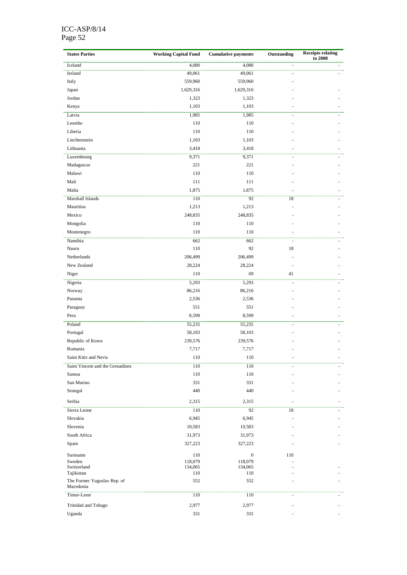#### ICC-ASP/8/14 Page 52

| <b>States Parties</b>            | <b>Working Capital Fund</b> | <b>Cumulative payments</b> | Outstanding              | <b>Receipts relating</b><br>to 2008 |  |
|----------------------------------|-----------------------------|----------------------------|--------------------------|-------------------------------------|--|
| Iceland                          | 4,080                       | 4,080                      |                          |                                     |  |
| Ireland                          | 49,061                      | 49,061                     |                          |                                     |  |
| Italy                            | 559,960                     | 559,960                    |                          |                                     |  |
| Japan                            | 1,629,316                   | 1,629,316                  |                          |                                     |  |
| Jordan                           | 1,323                       | 1,323                      |                          |                                     |  |
| Kenya                            | 1,103                       | 1,103                      |                          |                                     |  |
| Latvia                           | 1,985                       | 1,985                      | ÷,                       |                                     |  |
| Lesotho                          | 110                         | 110                        |                          |                                     |  |
| Liberia                          | 110                         | 110                        |                          |                                     |  |
| Liechtenstein                    | 1,103                       | 1,103                      |                          |                                     |  |
| Lithuania                        | 3,418                       | 3,418                      |                          |                                     |  |
| Luxembourg                       | 9,371                       | 9,371                      | $\overline{\phantom{a}}$ |                                     |  |
| Madagascar                       | 221                         | 221                        |                          |                                     |  |
| Malawi                           | 110                         | 110                        |                          |                                     |  |
| Mali                             | 111                         | 111                        |                          |                                     |  |
| Malta                            | 1,875                       | 1,875                      |                          |                                     |  |
| Marshall Islands                 | 110                         | 92                         | 18                       | $\overline{\phantom{a}}$            |  |
| Mauritius                        | 1,213                       | 1,213                      |                          |                                     |  |
| Mexico                           | 248,835                     | 248,835                    |                          |                                     |  |
| Mongolia                         | 110                         | 110                        |                          |                                     |  |
| Montenegro                       | 110                         | 110                        |                          |                                     |  |
| Namibia                          | 662                         | 662                        | $\blacksquare$           |                                     |  |
| Nauru                            | 110                         | 92                         | 18                       |                                     |  |
| Netherlands                      | 206,499                     | 206,499                    |                          |                                     |  |
| New Zealand                      | 28,224                      | 28,224                     |                          |                                     |  |
| Niger                            | 110                         | 69                         | 41                       |                                     |  |
| Nigeria                          | 5,293                       | 5,293                      |                          |                                     |  |
| Norway                           | 86,216                      | 86,216                     |                          |                                     |  |
| Panama                           | 2,536                       | 2,536                      |                          |                                     |  |
| Paraguay                         | 551                         | 551                        |                          |                                     |  |
| Peru                             | 8,599                       | 8,599                      |                          |                                     |  |
| Poland                           | 55,235                      | 55,235                     |                          |                                     |  |
| Portugal                         | 58,103                      | 58,103                     |                          |                                     |  |
| Republic of Korea                | 239,576                     | 239,576                    |                          |                                     |  |
| Romania                          | 7,717                       | 7,717                      |                          |                                     |  |
| Saint Kitts and Nevis            | 110                         | 110                        |                          |                                     |  |
| Saint Vincent and the Grenadines | 110                         | 110                        |                          |                                     |  |
| Samoa                            | 110                         | 110                        |                          |                                     |  |
| San Marino                       | 331                         | 331                        |                          |                                     |  |
| Senegal                          | 440                         | 440                        |                          |                                     |  |
|                                  |                             |                            |                          |                                     |  |
| Serbia                           | 2,315                       | 2,315                      |                          |                                     |  |
| Sierra Leone                     | 110                         | 92                         | 18                       |                                     |  |
| Slovakia                         | 6,945                       | 6,945                      |                          |                                     |  |
| Slovenia                         | 10,583                      | 10,583                     |                          |                                     |  |
| South Africa                     | 31,973                      | 31,973                     |                          |                                     |  |
| Spain                            | 327,223                     | 327,223                    |                          |                                     |  |
| Suriname                         | 110                         | $\boldsymbol{0}$           | 110                      |                                     |  |
| Sweden                           | 118,079                     | 118,079                    |                          |                                     |  |
| Switzerland<br>Tajikistan        | 134,065<br>110              | 134,065<br>110             |                          |                                     |  |
| The Former Yugoslav Rep. of      | 552                         | 552                        |                          |                                     |  |
| Macedonia                        |                             |                            |                          |                                     |  |
| Timor-Leste                      | 110                         | 110                        |                          |                                     |  |
| Trinidad and Tobago              | 2,977                       | 2,977                      |                          |                                     |  |
| Uganda                           | 331                         | 331                        |                          |                                     |  |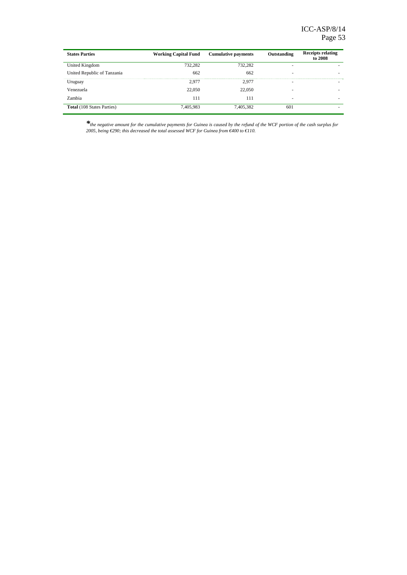| <b>States Parties</b>             | <b>Working Capital Fund</b> | <b>Cumulative payments</b> | Outstanding | <b>Receipts relating</b><br>to 2008 |
|-----------------------------------|-----------------------------|----------------------------|-------------|-------------------------------------|
| United Kingdom                    | 732.282                     | 732.282                    |             |                                     |
| United Republic of Tanzania       | 662                         | 662                        |             |                                     |
| Uruguay                           | 2.977                       | 2.977                      | -           |                                     |
| Venezuela                         | 22,050                      | 22,050                     |             |                                     |
| Zambia                            | 111                         | 111                        | -           | -                                   |
| <b>Total</b> (108 States Parties) | 7,405.983                   | 7.405.382                  | 601         |                                     |

*\*the negative amount for the cumulative payments for Guinea is caused by the refund of the WCF portion of the cash surplus for 2005, being €290; this decreased the total assessed WCF for Guinea from €400 to €110.*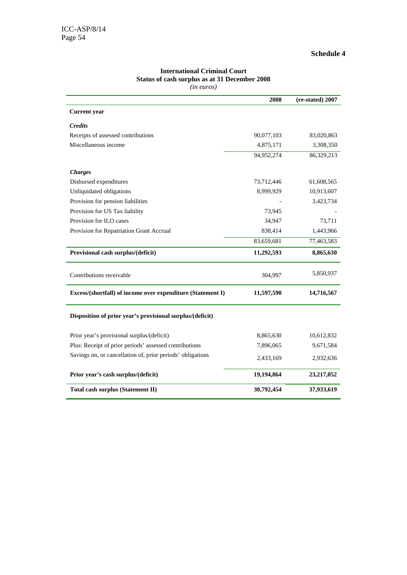|                                                             | 2008       | (re-stated) 2007 |
|-------------------------------------------------------------|------------|------------------|
| <b>Current</b> year                                         |            |                  |
| <b>Credits</b>                                              |            |                  |
| Receipts of assessed contributions                          | 90,077,103 | 83,020,863       |
| Miscellaneous income                                        | 4,875,171  | 3,308,350        |
|                                                             | 94,952,274 | 86,329,213       |
| <b>Charges</b>                                              |            |                  |
| Disbursed expenditures                                      | 73,712,446 | 61,608,565       |
| Unliquidated obligations                                    | 8,999,929  | 10,913,607       |
| Provision for pension liabilities                           |            | 3,423,734        |
| Provision for US Tax liability                              | 73,945     |                  |
| Provision for ILO cases                                     | 34,947     | 73,711           |
| Provision for Repatriation Grant Accrual                    | 838,414    | 1,443,966        |
|                                                             | 83,659,681 | 77,463,583       |
| Provisional cash surplus/(deficit)                          | 11,292,593 | 8,865,630        |
| Contributions receivable                                    | 304,997    | 5,850,937        |
| Excess/(shortfall) of income over expenditure (Statement I) | 11,597,590 | 14,716,567       |
| Disposition of prior year's provisional surplus/(deficit)   |            |                  |
| Prior year's provisional surplus/(deficit)                  | 8,865,630  | 10,612,832       |
| Plus: Receipt of prior periods' assessed contributions      | 7,896,065  | 9,671,584        |
| Savings on, or cancellation of, prior periods' obligations  | 2,433,169  | 2,932,636        |
| Prior year's cash surplus/(deficit)                         | 19,194,864 | 23,217,052       |
|                                                             |            |                  |

#### **International Criminal Court Status of cash surplus as at 31 December 2008** *(in euros)*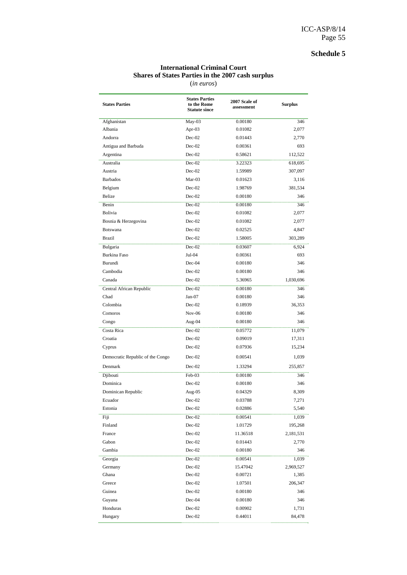#### **International Criminal Court Shares of States Parties in the 2007 cash surplus**  (*in euros*)

| <b>States Parties</b>            | <b>States Parties</b><br>to the Rome<br><b>Statute since</b> | 2007 Scale of<br>assessment | <b>Surplus</b> |
|----------------------------------|--------------------------------------------------------------|-----------------------------|----------------|
| Afghanistan                      | May-03                                                       | 0.00180                     | 346            |
| Albania                          | Apr- $03$                                                    | 0.01082                     | 2,077          |
| Andorra                          | $Dec-02$                                                     | 0.01443                     | 2,770          |
| Antigua and Barbuda              | $Dec-02$                                                     | 0.00361                     | 693            |
| Argentina                        | $Dec-02$                                                     | 0.58621                     | 112,522        |
| Australia                        | Dec-02                                                       | 3.22323                     | 618,695        |
| Austria                          | $Dec-02$                                                     | 1.59989                     | 307,097        |
| <b>Barbados</b>                  | Mar-03                                                       | 0.01623                     | 3,116          |
| Belgium                          | $Dec-02$                                                     | 1.98769                     | 381,534        |
| <b>Belize</b>                    | $Dec-02$                                                     | 0.00180                     | 346            |
| Benin                            | $Dec-02$                                                     | 0.00180                     | 346            |
| Bolivia                          | $Dec-02$                                                     | 0.01082                     | 2,077          |
| Bosnia & Herzegovina             | $Dec-02$                                                     | 0.01082                     | 2,077          |
| Botswana                         | $Dec-02$                                                     | 0.02525                     | 4,847          |
| Brazil                           | $Dec-02$                                                     | 1.58005                     | 303,289        |
| Bulgaria                         | $Dec-02$                                                     | 0.03607                     | 6,924          |
| <b>Burkina Faso</b>              | Jul-04                                                       | 0.00361                     | 693            |
| Burundi                          | Dec-04                                                       | 0.00180                     | 346            |
| Cambodia                         | $Dec-02$                                                     | 0.00180                     | 346            |
| Canada                           | $Dec-02$                                                     | 5.36965                     | 1,030,696      |
| Central African Republic         | $Dec-02$                                                     | 0.00180                     | 346            |
| Chad                             | $Jan-07$                                                     | 0.00180                     | 346            |
| Colombia                         | $Dec-02$                                                     | 0.18939                     | 36,353         |
| Comoros                          | $Nov-06$                                                     | 0.00180                     | 346            |
| Congo                            | Aug-04                                                       | 0.00180                     | 346            |
| Costa Rica                       | $Dec-02$                                                     | 0.05772                     | 11,079         |
| Croatia                          | $Dec-02$                                                     | 0.09019                     | 17,311         |
| Cyprus                           | $Dec-02$                                                     | 0.07936                     | 15,234         |
| Democratic Republic of the Congo | $Dec-02$                                                     | 0.00541                     | 1,039          |
| Denmark                          | $Dec-02$                                                     | 1.33294                     | 255,857        |
| Djibouti                         | Feb-03                                                       | 0.00180                     | 346            |
| Dominica                         | $Dec-02$                                                     | 0.00180                     | 346            |
| Dominican Republic               | Aug-05                                                       | 0.04329                     | 8,309          |
| Ecuador                          | Dec-02                                                       | 0.03788                     | 7,271          |
| Estonia                          | $Dec-02$                                                     | 0.02886                     | 5,540          |
| Fiji                             | $Dec-02$                                                     | 0.00541                     | 1,039          |
| Finland                          | $Dec-02$                                                     | 1.01729                     | 195,268        |
| France                           | $Dec-02$                                                     | 11.36518                    | 2,181,531      |
| Gabon                            | $Dec-02$                                                     | 0.01443                     | 2,770          |
| Gambia                           | $Dec-02$                                                     | 0.00180                     | 346            |
| Georgia                          | $Dec-02$                                                     | 0.00541                     | 1,039          |
| Germany                          | $Dec-02$                                                     | 15.47042                    | 2,969,527      |
| Ghana                            | $Dec-02$                                                     | 0.00721                     | 1,385          |
| Greece                           | $Dec-02$                                                     | 1.07501                     | 206,347        |
| Guinea                           | $Dec-02$                                                     | 0.00180                     | 346            |
| Guyana                           | $Dec-04$                                                     | 0.00180                     | 346            |
| Honduras                         | $Dec-02$                                                     | 0.00902                     | 1,731          |
| Hungary                          | $Dec-02$                                                     | 0.44011                     | 84,478         |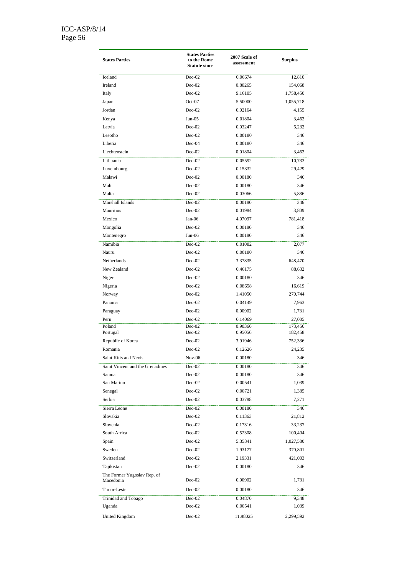| <b>States Parties</b>                    | <b>States Parties</b><br>to the Rome<br><b>Statute since</b> | 2007 Scale of<br>assessment | <b>Surplus</b> |
|------------------------------------------|--------------------------------------------------------------|-----------------------------|----------------|
| Iceland                                  | $Dec-02$                                                     | 0.06674                     | 12,810         |
| Ireland                                  | $Dec-02$                                                     | 0.80265                     | 154,068        |
| Italy                                    | $Dec-02$                                                     | 9.16105                     | 1,758,450      |
| Japan                                    | $Oct-07$                                                     | 5.50000                     | 1,055,718      |
| Jordan                                   | $Dec-02$                                                     | 0.02164                     | 4,155          |
| Kenya                                    | $Jun-05$                                                     | 0.01804                     | 3,462          |
| Latvia                                   | $Dec-02$                                                     | 0.03247                     | 6,232          |
| Lesotho                                  | $Dec-02$                                                     | 0.00180                     | 346            |
| Liberia                                  | $Dec-04$                                                     | 0.00180                     | 346            |
| Liechtenstein                            | $Dec-02$                                                     | 0.01804                     | 3,462          |
| Lithuania                                | $Dec-02$                                                     | 0.05592                     | 10,733         |
| Luxembourg                               | $Dec-02$                                                     | 0.15332                     | 29,429         |
| Malawi                                   | $Dec-02$                                                     | 0.00180                     | 346            |
| Mali                                     | $Dec-02$                                                     | 0.00180                     | 346            |
| Malta                                    | $Dec-02$                                                     | 0.03066                     | 5.886          |
| Marshall Islands                         | $Dec-02$                                                     | 0.00180                     | 346            |
| Mauritius                                | $Dec-02$                                                     | 0.01984                     | 3,809          |
| Mexico                                   | $Jan-06$                                                     | 4.07097                     | 781,418        |
| Mongolia                                 | $Dec-02$                                                     | 0.00180                     | 346            |
| Montenegro                               | $Jun-06$                                                     | 0.00180                     | 346            |
| Namibia                                  | $Dec-02$                                                     | 0.01082                     | 2,077          |
| Nauru                                    | $Dec-02$                                                     | 0.00180                     | 346            |
| Netherlands                              | $Dec-02$                                                     | 3.37835                     | 648,470        |
| New Zealand                              | $Dec-02$                                                     | 0.46175                     | 88,632         |
| Niger                                    | $Dec-02$                                                     | 0.00180                     | 346            |
| Nigeria                                  | $Dec-02$                                                     | 0.08658                     | 16,619         |
| Norway                                   | $Dec-02$                                                     | 1.41050                     | 270,744        |
| Panama                                   | $Dec-02$                                                     | 0.04149                     | 7,963          |
| Paraguay                                 | $Dec-02$                                                     | 0.00902                     | 1,731          |
| Peru                                     | $Dec-02$                                                     | 0.14069                     | 27,005         |
| Poland                                   | $Dec-02$                                                     | 0.90366                     | 173,456        |
| Portugal                                 | $Dec-02$                                                     | 0.95056                     | 182,458        |
| Republic of Korea                        | $Dec-02$                                                     | 3.91946                     | 752,336        |
| Romania                                  | $Dec-02$                                                     | 0.12626                     | 24,235         |
| Saint Kitts and Nevis                    | $Nov-06$                                                     | 0.00180                     | 346            |
| Saint Vincent and the Grenadines         | $Dec-02$                                                     | 0.00180                     | 346            |
| Samoa                                    | $Dec-02$                                                     | 0.00180                     | 346            |
| San Marino                               | $Dec-02$                                                     | 0.00541                     | 1,039          |
| Senegal                                  | $Dec-02$                                                     | 0.00721                     | 1,385          |
| Serbia                                   | $Dec-02$                                                     | 0.03788                     | 7,271          |
| Sierra Leone                             | $Dec-02$                                                     | 0.00180                     | 346            |
| Slovakia                                 | $Dec-02$                                                     | 0.11363                     | 21,812         |
| Slovenia                                 | $Dec-02$                                                     | 0.17316                     | 33,237         |
| South Africa                             | $Dec-02$                                                     | 0.52308                     | 100,404        |
| Spain                                    | $Dec-02$                                                     | 5.35341                     | 1,027,580      |
| Sweden                                   | $Dec-02$                                                     | 1.93177                     | 370,801        |
| Switzerland                              | $Dec-02$                                                     | 2.19331                     | 421,003        |
| Tajikistan                               | $Dec-02$                                                     | 0.00180                     | 346            |
| The Former Yugoslav Rep. of<br>Macedonia | $Dec-02$                                                     | 0.00902                     | 1,731          |
| Timor-Leste                              | $Dec-02$                                                     | 0.00180                     | 346            |
| Trinidad and Tobago                      | $Dec-02$                                                     | 0.04870                     | 9,348          |
| Uganda                                   | $Dec-02$                                                     | 0.00541                     | 1,039          |
| United Kingdom                           | $Dec-02$                                                     | 11.98025                    | 2,299,592      |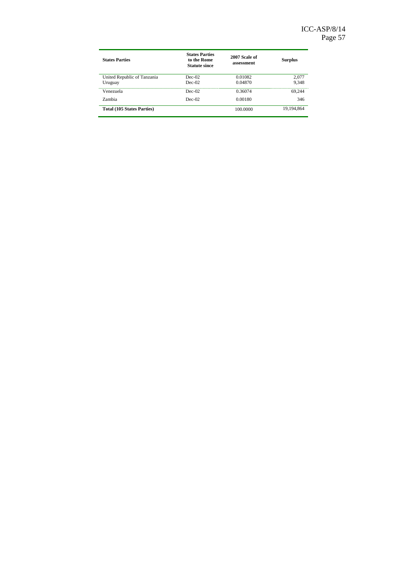| <b>States Parties</b>             | <b>States Parties</b><br>to the Rome<br><b>Statute since</b> | 2007 Scale of<br>assessment | <b>Surplus</b> |
|-----------------------------------|--------------------------------------------------------------|-----------------------------|----------------|
| United Republic of Tanzania       | $Dec-02$                                                     | 0.01082                     | 2,077          |
| Uruguay                           | $Dec-02$                                                     | 0.04870                     | 9,348          |
| Venezuela                         | Dec-02                                                       | 0.36074                     | 69.244         |
| Zambia                            | $Dec-02$                                                     | 0.00180                     | 346            |
| <b>Total (105 States Parties)</b> |                                                              | 100.0000                    | 19,194,864     |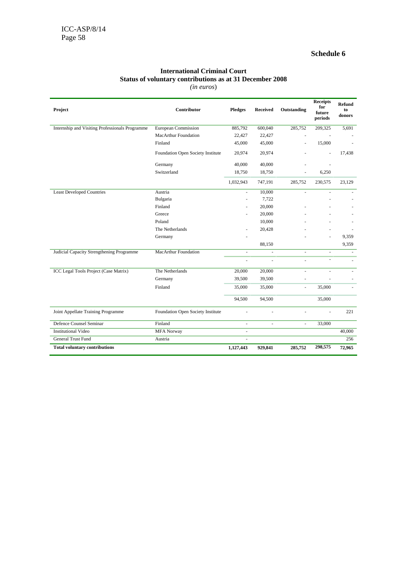#### **International Criminal Court Status of voluntary contributions as at 31 December 2008** *(in euros*)

| Project                                         | Contributor                       | <b>Pledges</b>           | <b>Received</b>          | Outstanding              | <b>Receipts</b><br>for<br>future<br>periods | <b>Refund</b><br>to<br>donors |
|-------------------------------------------------|-----------------------------------|--------------------------|--------------------------|--------------------------|---------------------------------------------|-------------------------------|
| Internship and Visiting Professionals Programme | <b>European Commission</b>        | 885,792                  | 600,040                  | 285,752                  | 209,325                                     | 5,691                         |
|                                                 | MacArthur Foundation              | 22,427                   | 22,427                   |                          |                                             |                               |
|                                                 | Finland                           | 45,000                   | 45,000                   | ä,                       | 15,000                                      |                               |
|                                                 | Foundation Open Society Institute | 20,974                   | 20,974                   |                          | $\overline{\phantom{a}}$                    | 17,438                        |
|                                                 | Germany                           | 40,000                   | 40,000                   |                          |                                             |                               |
|                                                 | Switzerland                       | 18,750                   | 18,750                   | ÷,                       | 6,250                                       |                               |
|                                                 |                                   | 1,032,943                | 747,191                  | 285,752                  | 230,575                                     | 23,129                        |
| <b>Least Developed Countries</b>                | Austria                           |                          | 10,000                   | L.                       |                                             |                               |
|                                                 | Bulgaria                          | $\ddot{\phantom{1}}$     | 7,722                    |                          |                                             |                               |
|                                                 | Finland                           |                          | 20,000                   |                          |                                             |                               |
|                                                 | Greece                            |                          | 20,000                   |                          |                                             |                               |
|                                                 | Poland                            |                          | 10,000                   |                          |                                             |                               |
|                                                 | The Netherlands                   |                          | 20,428                   |                          |                                             |                               |
|                                                 | Germany                           |                          |                          |                          |                                             | 9,359                         |
|                                                 |                                   |                          | 88,150                   |                          |                                             | 9,359                         |
| Judicial Capacity Strengthening Programme       | MacArthur Foundation              | $\overline{\phantom{a}}$ | $\bar{a}$                | $\overline{\phantom{a}}$ | $\overline{\phantom{a}}$                    | $\overline{\phantom{a}}$      |
|                                                 |                                   | L.                       | L.                       | ä,                       | ÷,                                          | ÷.                            |
| ICC Legal Tools Project (Case Matrix)           | The Netherlands                   | 20,000                   | 20,000                   | ä,                       |                                             |                               |
|                                                 | Germany                           | 39,500                   | 39,500                   | ÷,                       |                                             |                               |
|                                                 | Finland                           | 35,000                   | 35,000                   | $\overline{\phantom{a}}$ | 35,000                                      | $\overline{a}$                |
|                                                 |                                   | 94,500                   | 94,500                   |                          | 35,000                                      |                               |
| Joint Appellate Training Programme              | Foundation Open Society Institute | ä,                       | ÷,                       | ä,                       | ä,                                          | 221                           |
| <b>Defence Counsel Seminar</b>                  | Finland                           | $\overline{\phantom{a}}$ | $\overline{\phantom{a}}$ | $\overline{\phantom{a}}$ | 33,000                                      |                               |
| <b>Institutional Video</b>                      | <b>MFA Norway</b>                 | ÷.                       |                          |                          |                                             | 40,000                        |
| <b>General Trust Fund</b>                       | Austria                           | $\overline{\phantom{a}}$ |                          |                          |                                             | 256                           |
| <b>Total voluntary contributions</b>            |                                   | 1,127,443                | 929,841                  | 285,752                  | 298,575                                     | 72,965                        |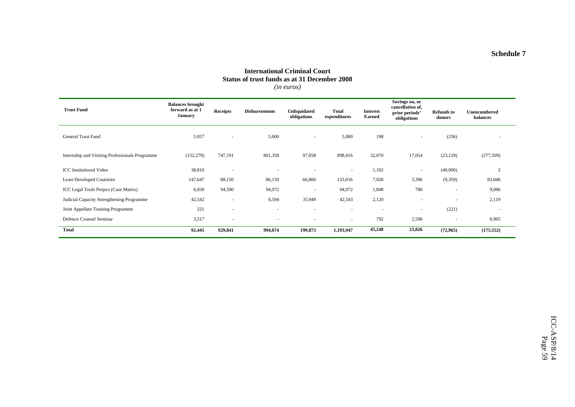#### **International Criminal Court Status of trust funds as at 31 December 2008** *(in euros)*

| <b>Trust Fund</b>                               | <b>Balances brought</b><br>forward as at 1<br><b>January</b> | <b>Receipts</b>          | <b>Disbursements</b>     | <b>Unliquidated</b><br>obligations | <b>Total</b><br>expenditures | <b>Interest</b><br><b>Earned</b> | Savings on, or<br>cancellation of,<br>prior periods'<br>obligations | <b>Refunds to</b><br>donors | <b>Unencumbered</b><br>balances |
|-------------------------------------------------|--------------------------------------------------------------|--------------------------|--------------------------|------------------------------------|------------------------------|----------------------------------|---------------------------------------------------------------------|-----------------------------|---------------------------------|
| <b>General Trust Fund</b>                       | 5.057                                                        | $\sim$                   | 5,000                    | $\sim$                             | 5,000                        | 198                              | $\overline{\phantom{a}}$                                            | (256)                       |                                 |
| Internship and Visiting Professionals Programme | (152, 279)                                                   | 747,191                  | 801,358                  | 97,058                             | 898,416                      | 32,070                           | 17,054                                                              | (23, 129)                   | (277,509)                       |
| <b>ICC</b> Institutional Video                  | 38,810                                                       | $\overline{\phantom{a}}$ |                          |                                    | $\sim$                       | 1,192                            | $\overline{\phantom{a}}$                                            | (40,000)                    | 2                               |
| <b>Least Developed Countries</b>                | 147,647                                                      | 88,150                   | 86,150                   | 66,866                             | 153,016                      | 7,028                            | 3,396                                                               | (9,359)                     | 83,846                          |
| ICC Legal Tools Project (Case Matrix)           | 6,930                                                        | 94,500                   | 94,972                   |                                    | 94,972                       | 1,848                            | 780                                                                 | $\overline{\phantom{a}}$    | 9,086                           |
| Judicial Capacity Strengthening Programme       | 42,542                                                       | ٠                        | 6,594                    | 35,949                             | 42,543                       | 2,120                            | $\overline{\phantom{a}}$                                            | $\overline{\phantom{a}}$    | 2,119                           |
| Joint Appellate Training Programme              | 221                                                          | $\overline{\phantom{a}}$ | $\overline{\phantom{a}}$ | $\sim$                             | $\sim$                       | $\sim$                           | $\overline{\phantom{a}}$                                            | (221)                       | $\sim$                          |
| Defence Counsel Seminar                         | 3,517                                                        | $\overline{\phantom{a}}$ |                          |                                    | $\sim$                       | 792                              | 2,596                                                               | ٠                           | 6,905                           |
| <b>Total</b>                                    | 92,445                                                       | 929,841                  | 994,074                  | 199,873                            | 1,193,947                    | 45,248                           | 23,826                                                              | (72, 965)                   | (175, 552)                      |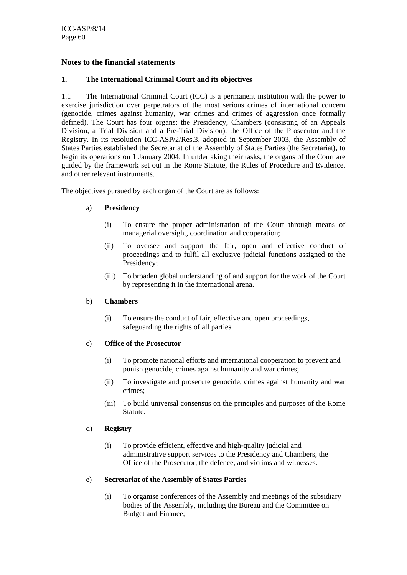#### **Notes to the financial statements**

#### **1. The International Criminal Court and its objectives**

1.1 The International Criminal Court (ICC) is a permanent institution with the power to exercise jurisdiction over perpetrators of the most serious crimes of international concern (genocide, crimes against humanity, war crimes and crimes of aggression once formally defined). The Court has four organs: the Presidency, Chambers (consisting of an Appeals Division, a Trial Division and a Pre-Trial Division), the Office of the Prosecutor and the Registry. In its resolution ICC-ASP/2/Res.3, adopted in September 2003, the Assembly of States Parties established the Secretariat of the Assembly of States Parties (the Secretariat), to begin its operations on 1 January 2004. In undertaking their tasks, the organs of the Court are guided by the framework set out in the Rome Statute, the Rules of Procedure and Evidence, and other relevant instruments.

The objectives pursued by each organ of the Court are as follows:

#### a) **Presidency**

- (i) To ensure the proper administration of the Court through means of managerial oversight, coordination and cooperation;
- (ii) To oversee and support the fair, open and effective conduct of proceedings and to fulfil all exclusive judicial functions assigned to the Presidency;
- (iii) To broaden global understanding of and support for the work of the Court by representing it in the international arena.

#### b) **Chambers**

(i) To ensure the conduct of fair, effective and open proceedings, safeguarding the rights of all parties.

#### c) **Office of the Prosecutor**

- (i) To promote national efforts and international cooperation to prevent and punish genocide, crimes against humanity and war crimes;
- (ii) To investigate and prosecute genocide, crimes against humanity and war crimes;
- (iii) To build universal consensus on the principles and purposes of the Rome Statute.

#### d) **Registry**

(i) To provide efficient, effective and high-quality judicial and administrative support services to the Presidency and Chambers, the Office of the Prosecutor, the defence, and victims and witnesses.

#### e) **Secretariat of the Assembly of States Parties**

(i) To organise conferences of the Assembly and meetings of the subsidiary bodies of the Assembly, including the Bureau and the Committee on Budget and Finance;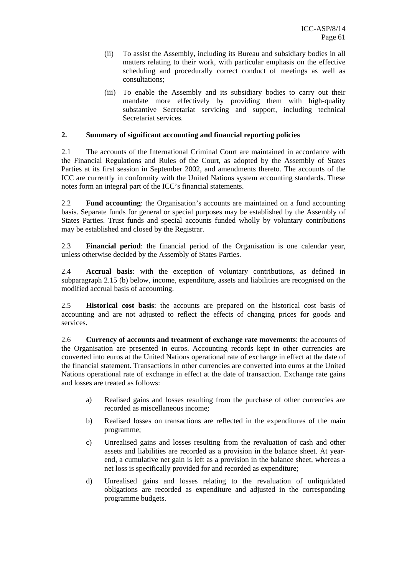- (ii) To assist the Assembly, including its Bureau and subsidiary bodies in all matters relating to their work, with particular emphasis on the effective scheduling and procedurally correct conduct of meetings as well as consultations;
- (iii) To enable the Assembly and its subsidiary bodies to carry out their mandate more effectively by providing them with high-quality substantive Secretariat servicing and support, including technical Secretariat services.

#### **2. Summary of significant accounting and financial reporting policies**

2.1 The accounts of the International Criminal Court are maintained in accordance with the Financial Regulations and Rules of the Court, as adopted by the Assembly of States Parties at its first session in September 2002, and amendments thereto. The accounts of the ICC are currently in conformity with the United Nations system accounting standards. These notes form an integral part of the ICC's financial statements.

2.2 **Fund accounting**: the Organisation's accounts are maintained on a fund accounting basis. Separate funds for general or special purposes may be established by the Assembly of States Parties. Trust funds and special accounts funded wholly by voluntary contributions may be established and closed by the Registrar.

2.3 **Financial period**: the financial period of the Organisation is one calendar year, unless otherwise decided by the Assembly of States Parties.

2.4 **Accrual basis**: with the exception of voluntary contributions, as defined in subparagraph 2.15 (b) below, income, expenditure, assets and liabilities are recognised on the modified accrual basis of accounting.

2.5 **Historical cost basis**: the accounts are prepared on the historical cost basis of accounting and are not adjusted to reflect the effects of changing prices for goods and services.

2.6 **Currency of accounts and treatment of exchange rate movements**: the accounts of the Organisation are presented in euros. Accounting records kept in other currencies are converted into euros at the United Nations operational rate of exchange in effect at the date of the financial statement. Transactions in other currencies are converted into euros at the United Nations operational rate of exchange in effect at the date of transaction. Exchange rate gains and losses are treated as follows:

- a) Realised gains and losses resulting from the purchase of other currencies are recorded as miscellaneous income;
- b) Realised losses on transactions are reflected in the expenditures of the main programme;
- c) Unrealised gains and losses resulting from the revaluation of cash and other assets and liabilities are recorded as a provision in the balance sheet. At yearend, a cumulative net gain is left as a provision in the balance sheet, whereas a net loss is specifically provided for and recorded as expenditure;
- d) Unrealised gains and losses relating to the revaluation of unliquidated obligations are recorded as expenditure and adjusted in the corresponding programme budgets.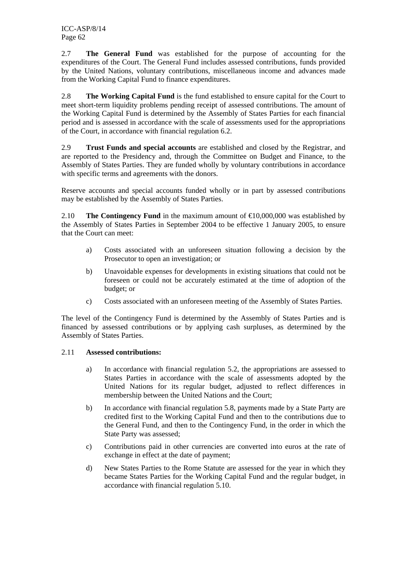2.7 **The General Fund** was established for the purpose of accounting for the expenditures of the Court. The General Fund includes assessed contributions, funds provided by the United Nations, voluntary contributions, miscellaneous income and advances made from the Working Capital Fund to finance expenditures.

2.8 **The Working Capital Fund** is the fund established to ensure capital for the Court to meet short-term liquidity problems pending receipt of assessed contributions. The amount of the Working Capital Fund is determined by the Assembly of States Parties for each financial period and is assessed in accordance with the scale of assessments used for the appropriations of the Court, in accordance with financial regulation 6.2.

2.9 **Trust Funds and special accounts** are established and closed by the Registrar, and are reported to the Presidency and, through the Committee on Budget and Finance, to the Assembly of States Parties. They are funded wholly by voluntary contributions in accordance with specific terms and agreements with the donors.

Reserve accounts and special accounts funded wholly or in part by assessed contributions may be established by the Assembly of States Parties.

2.10 **The Contingency Fund** in the maximum amount of  $\epsilon$ 10,000,000 was established by the Assembly of States Parties in September 2004 to be effective 1 January 2005, to ensure that the Court can meet:

- a) Costs associated with an unforeseen situation following a decision by the Prosecutor to open an investigation; or
- b) Unavoidable expenses for developments in existing situations that could not be foreseen or could not be accurately estimated at the time of adoption of the budget; or
- c) Costs associated with an unforeseen meeting of the Assembly of States Parties.

The level of the Contingency Fund is determined by the Assembly of States Parties and is financed by assessed contributions or by applying cash surpluses, as determined by the Assembly of States Parties.

#### 2.11 **Assessed contributions:**

- a) In accordance with financial regulation 5.2, the appropriations are assessed to States Parties in accordance with the scale of assessments adopted by the United Nations for its regular budget, adjusted to reflect differences in membership between the United Nations and the Court;
- b) In accordance with financial regulation 5.8, payments made by a State Party are credited first to the Working Capital Fund and then to the contributions due to the General Fund, and then to the Contingency Fund, in the order in which the State Party was assessed;
- c) Contributions paid in other currencies are converted into euros at the rate of exchange in effect at the date of payment;
- d) New States Parties to the Rome Statute are assessed for the year in which they became States Parties for the Working Capital Fund and the regular budget, in accordance with financial regulation 5.10.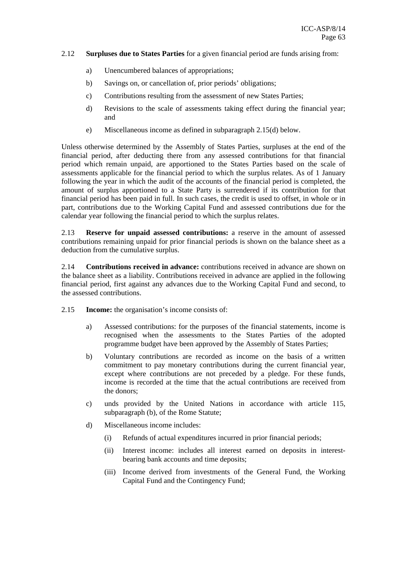#### 2.12 **Surpluses due to States Parties** for a given financial period are funds arising from:

- a) Unencumbered balances of appropriations;
- b) Savings on, or cancellation of, prior periods' obligations;
- c) Contributions resulting from the assessment of new States Parties;
- d) Revisions to the scale of assessments taking effect during the financial year; and
- e) Miscellaneous income as defined in subparagraph 2.15(d) below.

Unless otherwise determined by the Assembly of States Parties, surpluses at the end of the financial period, after deducting there from any assessed contributions for that financial period which remain unpaid, are apportioned to the States Parties based on the scale of assessments applicable for the financial period to which the surplus relates. As of 1 January following the year in which the audit of the accounts of the financial period is completed, the amount of surplus apportioned to a State Party is surrendered if its contribution for that financial period has been paid in full. In such cases, the credit is used to offset, in whole or in part, contributions due to the Working Capital Fund and assessed contributions due for the calendar year following the financial period to which the surplus relates.

2.13 **Reserve for unpaid assessed contributions:** a reserve in the amount of assessed contributions remaining unpaid for prior financial periods is shown on the balance sheet as a deduction from the cumulative surplus.

2.14 **Contributions received in advance:** contributions received in advance are shown on the balance sheet as a liability. Contributions received in advance are applied in the following financial period, first against any advances due to the Working Capital Fund and second, to the assessed contributions.

- 2.15 **Income:** the organisation's income consists of:
	- a) Assessed contributions: for the purposes of the financial statements, income is recognised when the assessments to the States Parties of the adopted programme budget have been approved by the Assembly of States Parties;
	- b) Voluntary contributions are recorded as income on the basis of a written commitment to pay monetary contributions during the current financial year, except where contributions are not preceded by a pledge. For these funds, income is recorded at the time that the actual contributions are received from the donors;
	- c) unds provided by the United Nations in accordance with article 115, subparagraph (b), of the Rome Statute;
	- d) Miscellaneous income includes:
		- (i) Refunds of actual expenditures incurred in prior financial periods;
		- (ii) Interest income: includes all interest earned on deposits in interestbearing bank accounts and time deposits;
		- (iii) Income derived from investments of the General Fund, the Working Capital Fund and the Contingency Fund;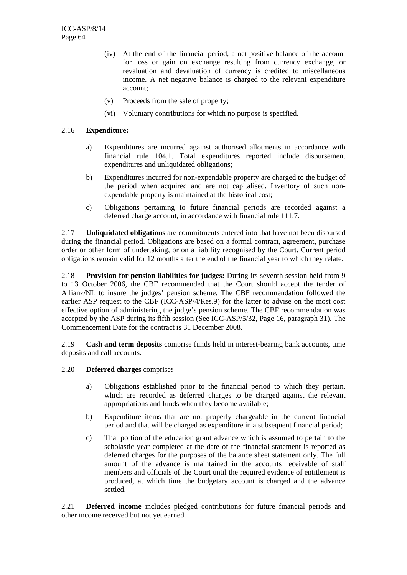- (iv) At the end of the financial period, a net positive balance of the account for loss or gain on exchange resulting from currency exchange, or revaluation and devaluation of currency is credited to miscellaneous income. A net negative balance is charged to the relevant expenditure account;
- (v) Proceeds from the sale of property;
- (vi) Voluntary contributions for which no purpose is specified.

#### 2.16 **Expenditure:**

- a) Expenditures are incurred against authorised allotments in accordance with financial rule 104.1. Total expenditures reported include disbursement expenditures and unliquidated obligations:
- b) Expenditures incurred for non-expendable property are charged to the budget of the period when acquired and are not capitalised. Inventory of such nonexpendable property is maintained at the historical cost;
- c) Obligations pertaining to future financial periods are recorded against a deferred charge account, in accordance with financial rule 111.7.

2.17 **Unliquidated obligations** are commitments entered into that have not been disbursed during the financial period. Obligations are based on a formal contract, agreement, purchase order or other form of undertaking, or on a liability recognised by the Court. Current period obligations remain valid for 12 months after the end of the financial year to which they relate.

2.18 **Provision for pension liabilities for judges:** During its seventh session held from 9 to 13 October 2006, the CBF recommended that the Court should accept the tender of Allianz/NL to insure the judges' pension scheme. The CBF recommendation followed the earlier ASP request to the CBF (ICC-ASP/4/Res.9) for the latter to advise on the most cost effective option of administering the judge's pension scheme. The CBF recommendation was accepted by the ASP during its fifth session (See ICC-ASP/5/32, Page 16, paragraph 31). The Commencement Date for the contract is 31 December 2008.

2.19 **Cash and term deposits** comprise funds held in interest-bearing bank accounts, time deposits and call accounts.

#### 2.20 **Deferred charges** comprise**:**

- a) Obligations established prior to the financial period to which they pertain, which are recorded as deferred charges to be charged against the relevant appropriations and funds when they become available;
- b) Expenditure items that are not properly chargeable in the current financial period and that will be charged as expenditure in a subsequent financial period;
- c) That portion of the education grant advance which is assumed to pertain to the scholastic year completed at the date of the financial statement is reported as deferred charges for the purposes of the balance sheet statement only. The full amount of the advance is maintained in the accounts receivable of staff members and officials of the Court until the required evidence of entitlement is produced, at which time the budgetary account is charged and the advance settled.

2.21 **Deferred income** includes pledged contributions for future financial periods and other income received but not yet earned.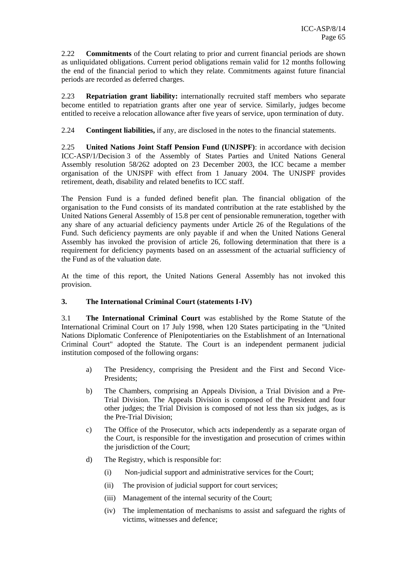2.22 **Commitments** of the Court relating to prior and current financial periods are shown as unliquidated obligations. Current period obligations remain valid for 12 months following the end of the financial period to which they relate. Commitments against future financial periods are recorded as deferred charges.

2.23 **Repatriation grant liability:** internationally recruited staff members who separate become entitled to repatriation grants after one year of service. Similarly, judges become entitled to receive a relocation allowance after five years of service, upon termination of duty.

2.24 **Contingent liabilities,** if any, are disclosed in the notes to the financial statements.

2.25 **United Nations Joint Staff Pension Fund (UNJSPF)**: in accordance with decision ICC-ASP/1/Decision 3 of the Assembly of States Parties and United Nations General Assembly resolution 58/262 adopted on 23 December 2003, the ICC became a member organisation of the UNJSPF with effect from 1 January 2004. The UNJSPF provides retirement, death, disability and related benefits to ICC staff.

The Pension Fund is a funded defined benefit plan. The financial obligation of the organisation to the Fund consists of its mandated contribution at the rate established by the United Nations General Assembly of 15.8 per cent of pensionable remuneration, together with any share of any actuarial deficiency payments under Article 26 of the Regulations of the Fund. Such deficiency payments are only payable if and when the United Nations General Assembly has invoked the provision of article 26, following determination that there is a requirement for deficiency payments based on an assessment of the actuarial sufficiency of the Fund as of the valuation date.

At the time of this report, the United Nations General Assembly has not invoked this provision.

#### **3. The International Criminal Court (statements I-IV)**

3.1 **The International Criminal Court** was established by the Rome Statute of the International Criminal Court on 17 July 1998, when 120 States participating in the "United Nations Diplomatic Conference of Plenipotentiaries on the Establishment of an International Criminal Court" adopted the Statute. The Court is an independent permanent judicial institution composed of the following organs:

- a) The Presidency, comprising the President and the First and Second Vice-Presidents;
- b) The Chambers, comprising an Appeals Division, a Trial Division and a Pre-Trial Division. The Appeals Division is composed of the President and four other judges; the Trial Division is composed of not less than six judges, as is the Pre-Trial Division;
- c) The Office of the Prosecutor, which acts independently as a separate organ of the Court, is responsible for the investigation and prosecution of crimes within the jurisdiction of the Court;
- d) The Registry, which is responsible for:
	- (i) Non-judicial support and administrative services for the Court;
	- (ii) The provision of judicial support for court services;
	- (iii) Management of the internal security of the Court;
	- (iv) The implementation of mechanisms to assist and safeguard the rights of victims, witnesses and defence;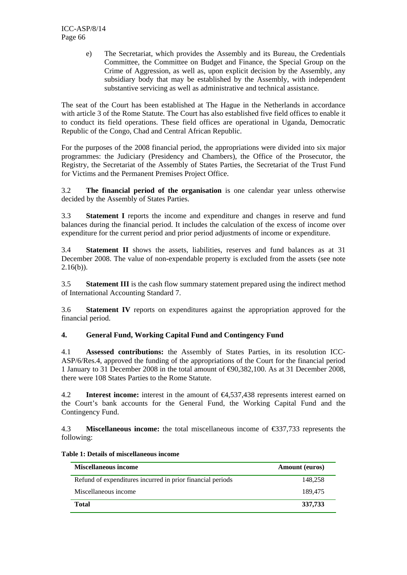e) The Secretariat, which provides the Assembly and its Bureau, the Credentials Committee, the Committee on Budget and Finance, the Special Group on the Crime of Aggression, as well as, upon explicit decision by the Assembly, any subsidiary body that may be established by the Assembly, with independent substantive servicing as well as administrative and technical assistance.

The seat of the Court has been established at The Hague in the Netherlands in accordance with article 3 of the Rome Statute. The Court has also established five field offices to enable it to conduct its field operations. These field offices are operational in Uganda, Democratic Republic of the Congo, Chad and Central African Republic.

For the purposes of the 2008 financial period, the appropriations were divided into six major programmes: the Judiciary (Presidency and Chambers), the Office of the Prosecutor, the Registry, the Secretariat of the Assembly of States Parties, the Secretariat of the Trust Fund for Victims and the Permanent Premises Project Office.

3.2 **The financial period of the organisation** is one calendar year unless otherwise decided by the Assembly of States Parties.

3.3 **Statement I** reports the income and expenditure and changes in reserve and fund balances during the financial period. It includes the calculation of the excess of income over expenditure for the current period and prior period adjustments of income or expenditure.

3.4 **Statement II** shows the assets, liabilities, reserves and fund balances as at 31 December 2008. The value of non-expendable property is excluded from the assets (see note  $2.16(b)$ ).

3.5 **Statement III** is the cash flow summary statement prepared using the indirect method of International Accounting Standard 7.

3.6 **Statement IV** reports on expenditures against the appropriation approved for the financial period.

#### **4. General Fund, Working Capital Fund and Contingency Fund**

4.1 **Assessed contributions:** the Assembly of States Parties, in its resolution ICC-ASP/6/Res.4, approved the funding of the appropriations of the Court for the financial period 1 January to 31 December 2008 in the total amount of €90,382,100. As at 31 December 2008, there were 108 States Parties to the Rome Statute.

4.2 **Interest income:** interest in the amount of €4,537,438 represents interest earned on the Court's bank accounts for the General Fund, the Working Capital Fund and the Contingency Fund.

4.3 **Miscellaneous income:** the total miscellaneous income of €337,733 represents the following:

| <b>Miscellaneous income</b>                                | <b>Amount</b> (euros) |
|------------------------------------------------------------|-----------------------|
| Refund of expenditures incurred in prior financial periods | 148.258               |
| Miscellaneous income                                       | 189.475               |
| <b>Total</b>                                               | 337,733               |

| Table 1: Details of miscellaneous income |  |  |
|------------------------------------------|--|--|
|------------------------------------------|--|--|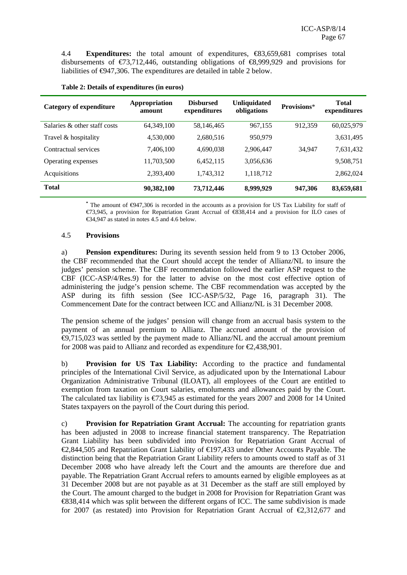4.4 **Expenditures:** the total amount of expenditures, €83,659,681 comprises total disbursements of  $\epsilon$ 73,712,446, outstanding obligations of  $\epsilon$ 8,999,929 and provisions for liabilities of €947,306. The expenditures are detailed in table 2 below.

| <b>Category of expenditure</b> | Appropriation<br>amount | <b>Disbursed</b><br>expenditures | <b>Unliquidated</b><br>obligations | Provisions* | <b>Total</b><br>expenditures |
|--------------------------------|-------------------------|----------------------------------|------------------------------------|-------------|------------------------------|
| Salaries & other staff costs   | 64,349,100              | 58,146,465                       | 967,155                            | 912,359     | 60,025,979                   |
| Travel & hospitality           | 4,530,000               | 2,680,516                        | 950,979                            |             | 3,631,495                    |
| Contractual services           | 7,406,100               | 4,690,038                        | 2,906,447                          | 34,947      | 7,631,432                    |
| Operating expenses             | 11,703,500              | 6,452,115                        | 3,056,636                          |             | 9,508,751                    |
| Acquisitions                   | 2,393,400               | 1,743,312                        | 1,118,712                          |             | 2,862,024                    |
| <b>Total</b>                   | 90,382,100              | 73,712,446                       | 8,999,929                          | 947,306     | 83,659,681                   |

#### **Table 2: Details of expenditures (in euros)**

**\*** The amount of €947,306 is recorded in the accounts as a provision for US Tax Liability for staff of €73,945, a provision for Repatriation Grant Accrual of €838,414 and a provision for ILO cases of  $\bigoplus$ 4.947 as stated in notes 4.5 and 4.6 below.

#### 4.5 **Provisions**

a) **Pension expenditures:** During its seventh session held from 9 to 13 October 2006, the CBF recommended that the Court should accept the tender of Allianz/NL to insure the judges' pension scheme. The CBF recommendation followed the earlier ASP request to the CBF (ICC-ASP/4/Res.9) for the latter to advise on the most cost effective option of administering the judge's pension scheme. The CBF recommendation was accepted by the ASP during its fifth session (See ICC-ASP/5/32, Page 16, paragraph 31). The Commencement Date for the contract between ICC and Allianz/NL is 31 December 2008.

The pension scheme of the judges' pension will change from an accrual basis system to the payment of an annual premium to Allianz. The accrued amount of the provision of €9,715,023 was settled by the payment made to Allianz/NL and the accrual amount premium for 2008 was paid to Allianz and recorded as expenditure for  $\epsilon 2,438,901$ .

b) **Provision for US Tax Liability:** According to the practice and fundamental principles of the International Civil Service, as adjudicated upon by the International Labour Organization Administrative Tribunal (ILOAT), all employees of the Court are entitled to exemption from taxation on Court salaries, emoluments and allowances paid by the Court. The calculated tax liability is €73,945 as estimated for the years 2007 and 2008 for 14 United States taxpayers on the payroll of the Court during this period.

c) **Provision for Repatriation Grant Accrual:** The accounting for repatriation grants has been adjusted in 2008 to increase financial statement transparency. The Repatriation Grant Liability has been subdivided into Provision for Repatriation Grant Accrual of €2,844,505 and Repatriation Grant Liability of €197,433 under Other Accounts Payable. The distinction being that the Repatriation Grant Liability refers to amounts owed to staff as of 31 December 2008 who have already left the Court and the amounts are therefore due and payable. The Repatriation Grant Accrual refers to amounts earned by eligible employees as at 31 December 2008 but are not payable as at 31 December as the staff are still employed by the Court. The amount charged to the budget in 2008 for Provision for Repatriation Grant was €838,414 which was split between the different organs of ICC. The same subdivision is made for 2007 (as restated) into Provision for Repatriation Grant Accrual of  $\epsilon$ 2,312,677 and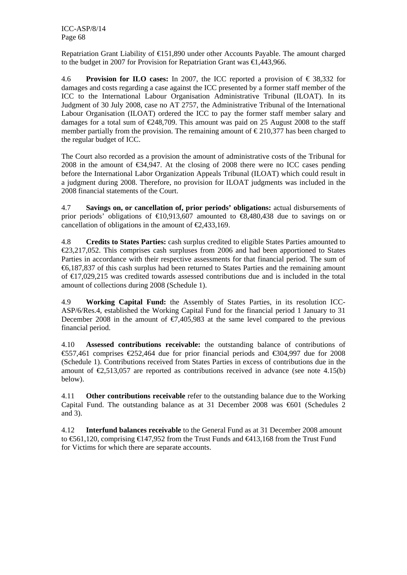Repatriation Grant Liability of  $E$ 151,890 under other Accounts Payable. The amount charged to the budget in 2007 for Provision for Repatriation Grant was €1,443,966.

4.6 **Provision for ILO cases:** In 2007, the ICC reported a provision of € 38,332 for damages and costs regarding a case against the ICC presented by a former staff member of the ICC to the International Labour Organisation Administrative Tribunal (ILOAT). In its Judgment of 30 July 2008, case no AT 2757, the Administrative Tribunal of the International Labour Organisation (ILOAT) ordered the ICC to pay the former staff member salary and damages for a total sum of  $\epsilon$ 248,709. This amount was paid on 25 August 2008 to the staff member partially from the provision. The remaining amount of  $\epsilon$ 210,377 has been charged to the regular budget of ICC.

The Court also recorded as a provision the amount of administrative costs of the Tribunal for 2008 in the amount of  $\epsilon$ 34,947. At the closing of 2008 there were no ICC cases pending before the International Labor Organization Appeals Tribunal (ILOAT) which could result in a judgment during 2008. Therefore, no provision for ILOAT judgments was included in the 2008 financial statements of the Court.

4.7 **Savings on, or cancellation of, prior periods' obligations:** actual disbursements of prior periods' obligations of  $\epsilon 10,913,607$  amounted to  $\epsilon 13,480,438$  due to savings on or cancellation of obligations in the amount of  $\epsilon$ 2,433,169.

4.8 **Credits to States Parties:** cash surplus credited to eligible States Parties amounted to €23,217,052. This comprises cash surpluses from 2006 and had been apportioned to States Parties in accordance with their respective assessments for that financial period. The sum of €6,187,837 of this cash surplus had been returned to States Parties and the remaining amount of €17,029,215 was credited towards assessed contributions due and is included in the total amount of collections during 2008 (Schedule 1).

4.9 **Working Capital Fund:** the Assembly of States Parties, in its resolution ICC-ASP/6/Res.4, established the Working Capital Fund for the financial period 1 January to 31 December 2008 in the amount of  $\epsilon$ 7,405,983 at the same level compared to the previous financial period.

4.10 **Assessed contributions receivable:** the outstanding balance of contributions of €557,461 comprises €252,464 due for prior financial periods and €304,997 due for 2008 (Schedule 1). Contributions received from States Parties in excess of contributions due in the amount of  $\epsilon$ ,513,057 are reported as contributions received in advance (see note 4.15(b) below).

4.11 **Other contributions receivable** refer to the outstanding balance due to the Working Capital Fund. The outstanding balance as at 31 December 2008 was €601 (Schedules 2 and 3).

4.12 **Interfund balances receivable** to the General Fund as at 31 December 2008 amount to €561,120, comprising €147,952 from the Trust Funds and €413,168 from the Trust Fund for Victims for which there are separate accounts.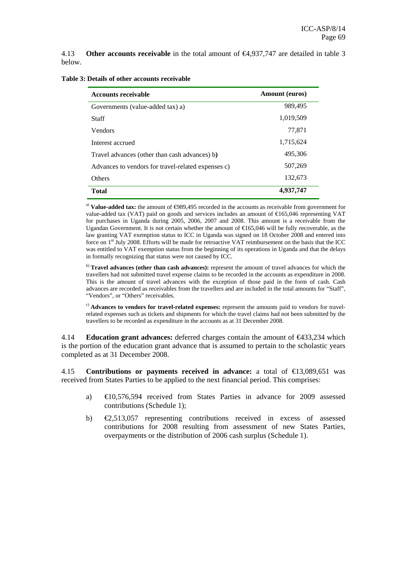4.13 **Other accounts receivable** in the total amount of €4,937,747 are detailed in table 3 below.

| <b>Accounts receivable</b>                         | <b>Amount</b> (euros) |
|----------------------------------------------------|-----------------------|
| Governments (value-added tax) a)                   | 989,495               |
| Staff                                              | 1,019,509             |
| <b>Vendors</b>                                     | 77,871                |
| Interest accrued                                   | 1,715,624             |
| Travel advances (other than cash advances) b)      | 495,306               |
| Advances to vendors for travel-related expenses c) | 507,269               |
| Others                                             | 132,673               |
| Total                                              | 4,937,747             |

**Table 3: Details of other accounts receivable** 

a) Value-added tax: the amount of  $\Theta$ 89,495 recorded in the accounts as receivable from government for value-added tax (VAT) paid on goods and services includes an amount of €165,046 representing VAT for purchases in Uganda during 2005, 2006, 2007 and 2008. This amount is a receivable from the Ugandan Government. It is not certain whether the amount of  $\epsilon$ 65,046 will be fully recoverable, as the law granting VAT exemption status to ICC in Uganda was signed on 18 October 2008 and entered into force on 1<sup>st</sup> July 2008. Efforts will be made for retroactive VAT reimbursement on the basis that the ICC was entitled to VAT exemption status from the beginning of its operations in Uganda and that the delays in formally recognizing that status were not caused by ICC.

b) **Travel advances (other than cash advances):** represent the amount of travel advances for which the travellers had not submitted travel expense claims to be recorded in the accounts as expenditure in 2008. This is the amount of travel advances with the exception of those paid in the form of cash. Cash advances are recorded as receivables from the travellers and are included in the total amounts for "Staff", "Vendors", or "Others" receivables.

c) **Advances to vendors for travel-related expenses:** represent the amounts paid to vendors for travelrelated expenses such as tickets and shipments for which the travel claims had not been submitted by the travellers to be recorded as expenditure in the accounts as at 31 December 2008.

4.14 **Education grant advances:** deferred charges contain the amount of €433,234 which is the portion of the education grant advance that is assumed to pertain to the scholastic years completed as at 31 December 2008.

4.15 **Contributions or payments received in advance:** a total of €13,089,651 was received from States Parties to be applied to the next financial period. This comprises:

- a) €10,576,594 received from States Parties in advance for 2009 assessed contributions (Schedule 1);
- b) €2,513,057 representing contributions received in excess of assessed contributions for 2008 resulting from assessment of new States Parties, overpayments or the distribution of 2006 cash surplus (Schedule 1).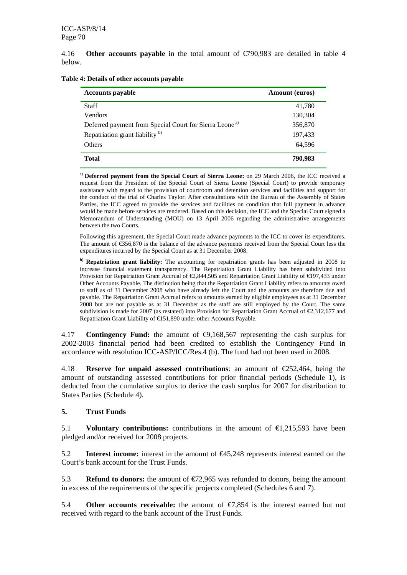4.16 **Other accounts payable** in the total amount of €790,983 are detailed in table 4 below.

| <b>Accounts payable</b>                                            | <b>Amount</b> (euros) |
|--------------------------------------------------------------------|-----------------------|
| <b>Staff</b>                                                       | 41,780                |
| <b>Vendors</b>                                                     | 130,304               |
| Deferred payment from Special Court for Sierra Leone <sup>a)</sup> | 356,870               |
| Repatriation grant liability <sup>b)</sup>                         | 197,433               |
| <b>Others</b>                                                      | 64.596                |
| <b>Total</b>                                                       | 790.983               |

**Table 4: Details of other accounts payable** 

a) **Deferred payment from the Special Court of Sierra Leone:** on 29 March 2006, the ICC received a request from the President of the Special Court of Sierra Leone (Special Court) to provide temporary assistance with regard to the provision of courtroom and detention services and facilities and support for the conduct of the trial of Charles Taylor. After consultations with the Bureau of the Assembly of States Parties, the ICC agreed to provide the services and facilities on condition that full payment in advance would be made before services are rendered. Based on this decision, the ICC and the Special Court signed a Memorandum of Understanding (MOU) on 13 April 2006 regarding the administrative arrangements between the two Courts.

Following this agreement, the Special Court made advance payments to the ICC to cover its expenditures. The amount of €356,870 is the balance of the advance payments received from the Special Court less the expenditures incurred by the Special Court as at 31 December 2008.

**b) Repatriation grant liability:** The accounting for repatriation grants has been adjusted in 2008 to increase financial statement transparency. The Repatriation Grant Liability has been subdivided into Provision for Repatriation Grant Accrual of €2,844,505 and Repatriation Grant Liability of €197,433 under Other Accounts Payable. The distinction being that the Repatriation Grant Liability refers to amounts owed to staff as of 31 December 2008 who have already left the Court and the amounts are therefore due and payable. The Repatriation Grant Accrual refers to amounts earned by eligible employees as at 31 December 2008 but are not payable as at 31 December as the staff are still employed by the Court. The same subdivision is made for 2007 (as restated) into Provision for Repatriation Grant Accrual of  $\epsilon$ 2,312,677 and Repatriation Grant Liability of €151,890 under other Accounts Payable.

4.17 **Contingency Fund:** the amount of €9,168,567 representing the cash surplus for 2002-2003 financial period had been credited to establish the Contingency Fund in accordance with resolution ICC-ASP/ICC/Res.4 (b). The fund had not been used in 2008.

4.18 **Reserve for unpaid assessed contributions**: an amount of €252,464, being the amount of outstanding assessed contributions for prior financial periods (Schedule 1), is deducted from the cumulative surplus to derive the cash surplus for 2007 for distribution to States Parties (Schedule 4).

#### **5. Trust Funds**

5.1 **Voluntary contributions:** contributions in the amount of €1,215,593 have been pledged and/or received for 2008 projects.

5.2 **Interest income:** interest in the amount of €45,248 represents interest earned on the Court's bank account for the Trust Funds.

5.3 **Refund to donors:** the amount of €72,965 was refunded to donors, being the amount in excess of the requirements of the specific projects completed (Schedules 6 and 7).

5.4 **Other accounts receivable:** the amount of €7,854 is the interest earned but not received with regard to the bank account of the Trust Funds.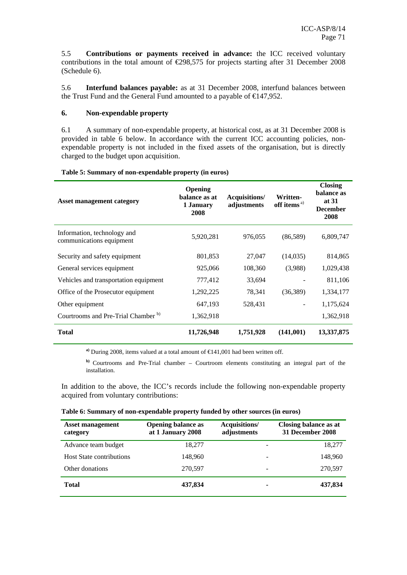5.5 **Contributions or payments received in advance:** the ICC received voluntary contributions in the total amount of  $\epsilon$ 298,575 for projects starting after 31 December 2008 (Schedule 6).

5.6 **Interfund balances payable:** as at 31 December 2008, interfund balances between the Trust Fund and the General Fund amounted to a payable of  $\epsilon$  47,952.

#### **6. Non-expendable property**

6.1 A summary of non-expendable property, at historical cost, as at 31 December 2008 is provided in table 6 below. In accordance with the current ICC accounting policies, nonexpendable property is not included in the fixed assets of the organisation, but is directly charged to the budget upon acquisition.

| <b>Asset management category</b>                        | Opening<br>balance as at<br>1 January<br>2008 | Acquisitions/<br>adjustments | Written-<br>off items <sup>a)</sup> | <b>Closing</b><br>balance as<br>at 31<br><b>December</b><br>2008 |
|---------------------------------------------------------|-----------------------------------------------|------------------------------|-------------------------------------|------------------------------------------------------------------|
| Information, technology and<br>communications equipment | 5,920,281                                     | 976,055                      | (86,589)                            | 6,809,747                                                        |
| Security and safety equipment                           | 801,853                                       | 27,047                       | (14,035)                            | 814,865                                                          |
| General services equipment                              | 925,066                                       | 108,360                      | (3,988)                             | 1,029,438                                                        |
| Vehicles and transportation equipment                   | 777,412                                       | 33,694                       |                                     | 811,106                                                          |
| Office of the Prosecutor equipment                      | 1,292,225                                     | 78,341                       | (36, 389)                           | 1,334,177                                                        |
| Other equipment                                         | 647,193                                       | 528,431                      |                                     | 1,175,624                                                        |
| Courtrooms and Pre-Trial Chamber <sup>b)</sup>          | 1,362,918                                     |                              |                                     | 1,362,918                                                        |
| <b>Total</b>                                            | 11,726,948                                    | 1,751,928                    | (141,001)                           | 13,337,875                                                       |

#### **Table 5: Summary of non-expendable property (in euros)**

**a)** During 2008, items valued at a total amount of €141,001 had been written off.

**b)** Courtrooms and Pre-Trial chamber – Courtroom elements constituting an integral part of the installation.

In addition to the above, the ICC's records include the following non-expendable property acquired from voluntary contributions:

| <b>Asset management</b><br>category | <b>Opening balance as</b><br>at 1 January 2008 | Acquisitions/<br>adjustments | <b>Closing balance as at</b><br>31 December 2008 |
|-------------------------------------|------------------------------------------------|------------------------------|--------------------------------------------------|
| Advance team budget                 | 18.277                                         |                              | 18,277                                           |
| <b>Host State contributions</b>     | 148.960                                        | -                            | 148,960                                          |
| Other donations                     | 270,597                                        |                              | 270,597                                          |
| <b>Total</b>                        | 437,834                                        | ۰                            | 437,834                                          |